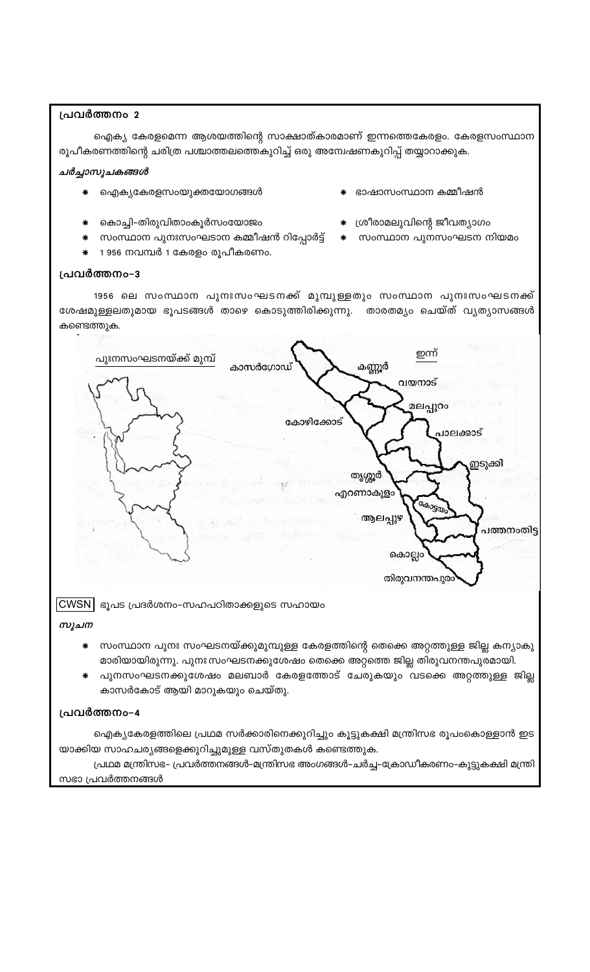## പ്രവർത്തനം 2

ഐക്യ കേരളമെന്ന ആശയത്തിന്റെ സാക്ഷാത്കാരമാണ് ഇന്നത്തെകേരളം. കേരളസംസ്ഥാന രൂപീകരണത്തിന്റെ ചരിത്ര പശ്ചാത്തലത്തെകുറിച്ച് ഒരു അന്വേഷണകുറിപ്പ് തയ്യാറാക്കുക.

## ചർച്ചാസൂചകങ്ങൾ

- ഐക്യകേരളസംയുക്തയോഗങ്ങൾ
- കൊച്ചി-തിരുവിതാംകൂർസംയോജം
- സംസ്ഥാന പുനഃസംഘടാന കമ്മീഷൻ റിപ്പോർട്ട് \* സംസ്ഥാന പുനസംഘടന നിയമം
- 1 956 നവമ്പർ 1 കേരളം രൂപീകരണം.

#### പ്രവർത്തനം-3

1956 ലെ സംസ്ഥാന പുനഃസംഘടനക്ക് മുമ്പുള്ളതും സംസ്ഥാന പുനഃസംഘടനക്ക് ശേഷമുള്ളലതുമായ ഭൂപടങ്ങൾ താഴെ കൊടുത്തിരിക്കുന്നു. താരതമ്യം ചെയ്ത് വ്യത്യാസങ്ങൾ കണ്ടെത്തുക.



സൂചന

- സംസ്ഥാന പുനഃ സംഘടനയ്ക്കുമുമ്പുള്ള കേരളത്തിന്റെ തെക്കെ അറ്റത്തുള്ള ജില്ല കന്യാകു മാരിയായിരുന്നു. പുനഃ സംഘടനക്കുശേഷം തെക്കെ അറ്റത്തെ ജില്ല തിരുവനന്തപുരമായി.
- പുനസംഘടനക്കുശേഷം മലബാർ കേരളത്തോട് ചേരുകയും വടക്കെ അറ്റത്തുള്ള ജില്ല കാസർകോട് ആയി മാറുകയും ചെയ്തു.

### പ്രവർത്തനം-4

ഐക്യകേരളത്തിലെ പ്രഥമ സർക്കാരിനെക്കുറിച്ചും കൂട്ടുകക്ഷി മന്ത്രിസഭ രൂപംകൊള്ളാൻ ഇട യാക്കിയ സാഹചര്യങ്ങളെക്കുറിച്ചുമുള്ള വസ്തുതകൾ കണ്ടെത്തുക.

പ്രഥമ മന്ത്രിസഭ– പ്രവർത്തനങ്ങൾ–മന്ത്രിസഭ അംഗങ്ങൾ–ചർച്ച–ക്രോഡീകരണം–കുട്ടുകക്ഷി മന്ത്രി

സഭാ പ്രവർത്തനങ്ങൾ

- ഭാഷാസംസ്ഥാന കമ്മീഷൻ
- ☀ ശ്രീരാമലുവിന്റെ ജീവത്യാഗം
	-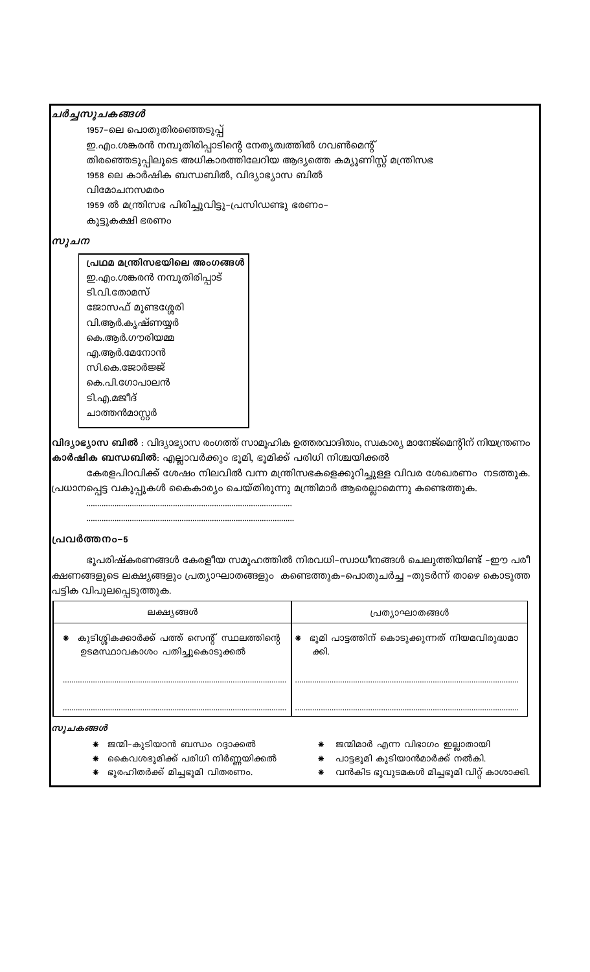## ചർച്ചസൂചകങ്ങൾ

1957–ലെ പൊതുതിരഞ്ഞെടുപ്പ്

ഇ.എം.ശങ്കരൻ നമ്പൂതിരിപ്പാടിന്റെ നേതൃത്വത്തിൽ ഗവൺമെന്റ്

തിരഞ്ഞെടുപ്പിലൂടെ അധികാരത്തിലേറിയ ആദ്യത്തെ കമ്യൂണിസ്റ്റ് മന്ത്രിസഭ

1958 ലെ കാർഷിക ബന്ധബിൽ, വിദ്യാഭ്യാസ ബിൽ

വിമോചനസമരം

1959 ൽ മന്ത്രിസഭ പിരിച്ചുവിട്ടു-പ്രസിഡണ്ടു ഭരണം-

കൂട്ടുകക്ഷി ഭരണം

## സൂചന

## പ്രഥമ മന്ത്രിസഭയിലെ അംഗങ്ങൾ

ഇ.എം.ശങ്കരൻ നമ്പൂതിരിപ്പാട്

ടി.വി.തോമസ്

ജോസഫ് മുണ്ടശ്ശേരി വി.ആർ.കൃഷ്ണയ്യർ കെ.ആർ.ഗൗരിയമ്മ എ.ആർ.മേനോൻ സി.കെ.ജോർജ്ജ് കെ.പി.ഗോപാലൻ ടി.എ.മജീദ്

ചാത്തൻമാസ്റ്റർ

<mark>വിദ്യാഭ്യാസ ബിൽ</mark> : വിദ്യാഭ്യാസ രംഗത്ത് സാമൂഹിക ഉത്തരവാദിത്വം, സ്വകാര്യ മാനേജ്മെന്റിന് നിയന്ത്രണം <mark>കാർഷിക ബന്ധബിൽ</mark>: എല്ലാവർക്കും ഭൂമി, ഭൂമിക്ക് പരിധി നിശ്ചയിക്കൽ

കേരളപിറവിക്ക് ശേഷം നിലവിൽ വന്ന മന്ത്രിസഭകളെക്കുറിച്ചുള്ള വിവര ശേഖരണം നടത്തുക. പ്രധാനപ്പെട്ട വകുപ്പുകൾ കൈകാര്യം ചെയ്തിരുന്നു മന്ത്രിമാർ ആരെല്ലാമെന്നു കണ്ടെത്തുക.

## പ്രവർത്തനം-5

ഭുപരിഷ്കരണങ്ങൾ കേരളീയ സമുഹത്തിൽ നിരവധി–സ്വാധീനങ്ങൾ ചെലുത്തിയിണ്ട് –ഈ പരീ ക്ഷണങ്ങളുടെ ലക്ഷ്യങ്ങളും പ്രത്യാഘാതങ്ങളും കണ്ടെത്തുക-പൊതുചർച്ച –തുടർന്ന് താഴെ കൊടുത്ത പട്ടിക വിപുലപ്പെടുത്തു<mark>ക.</mark>

| ലക്ഷ്യങ്ങൾ                                                                        | പ്രത്യാഘാതങ്ങൾ                                                  |
|-----------------------------------------------------------------------------------|-----------------------------------------------------------------|
| കുടിശ്ശികക്കാർക്ക് പത്ത് സെന്റ് സ്ഥലത്തിന്റെ<br>∗<br>ഉടമസ്ഥാവകാശം പതിച്ചുകൊടുക്കൽ | ഭൂമി പാട്ടത്തിന് കൊടുക്കുന്നത് നിയമവിരുദ്ധമാ<br>$\ast$<br>ക്കി. |
| സുചകങ്ങൾ                                                                          |                                                                 |

- ജന്മി–കുടിയാൻ ബന്ധം റദ്ദാക്കൽ
- കൈവശഭൂമിക്ക് പരിധി നിർണ്ണയിക്കൽ
- \* ഭൂരഹിതർക്ക് മിച്ചഭൂമി വിതരണം.
- ജന്മിമാർ എന്ന വിഭാഗം ഇല്ലാതായി
- \* പാട്ടഭൂമി കുടിയാൻമാർക്ക് നൽകി.
- \* വൻകിട ഭൂവുടമകൾ മിച്ചഭൂമി വിറ്റ് കാശാക്കി.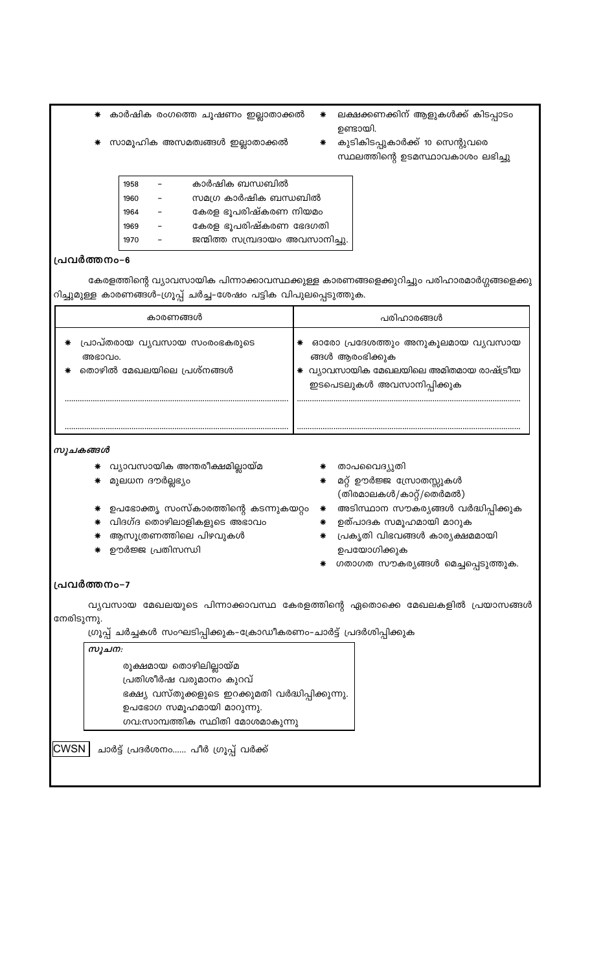കാർഷിക രംഗത്തെ ചൂഷണം ഇല്ലാതാക്കൽ

- സാമൂഹിക അസമത്വങ്ങൾ ഇല്ലാതാക്കൽ
- ഉണ്ടായി. കുടികിടപ്പുകാർക്ക് 10 സെന്റുവരെ സ്ഥലത്തിന്റെ ഉടമസ്ഥാവകാശം ലഭിച്ചു

ലക്ഷക്കണക്കിന് ആളുകൾക്ക് കിടപ്പാടം

| 1958 | കാർഷിക ബന്ധബിൽ                  |
|------|---------------------------------|
| 1960 | സമഗ്ര കാർഷിക ബന്ധബിൽ            |
| 1964 | കേരള ഭൂപരിഷ്കരണ നിയമം           |
| 1969 | കേരള ഭൂപരിഷ്കരണ ഭേദഗതി          |
| 1970 | ജന്മിത്ത സമ്പ്രദായം അവസാനിച്ചു. |
|      |                                 |

#### പ്രവർത്തനം-6

കേരളത്തിന്റെ വ്യാവസായിക പിന്നാക്കാവസ്ഥക്കുള്ള കാരണങ്ങളെക്കുറിച്ചും പരിഹാരമാർഗ്ഗങ്ങളെക്കു റിച്ചുമുള്ള കാരണങ്ങൾ-ഗ്രൂപ്പ് ചർച്ച-ശേഷം പട്ടിക വിപുലപ്പെടുത്തുക.

 $\ast$ 

| കാരണങ്ങൾ                                                                 | പരിഹാരങ്ങൾ                                                                                                                        |
|--------------------------------------------------------------------------|-----------------------------------------------------------------------------------------------------------------------------------|
| പ്രാപ്തരായ വൃവസായ സംരംഭകരുടെ<br>∗<br>അഭാവം.<br>തൊഴിൽ മേഖലയിലെ പ്രശ്നങ്ങൾ | ഓരോ പ്രദേശത്തും അനുകൂലമായ വ്യവസായ<br>∗<br>ങ്ങൾ ആരംഭിക്കുക<br>* വ്യാവസായിക മേഖലയിലെ അമിതമായ രാഷ്ട്രീയ<br>ഇടപെടലുകൾ അവസാനിപ്പിക്കുക |
|                                                                          |                                                                                                                                   |

വ്യവസായ മേഖലയുടെ പിന്നാക്കാവസ്ഥ കേരളത്തിന്റെ ഏതൊക്കെ മേഖലകളിൽ പ്രയാസങ്ങൾ

ഗ്രൂപ്പ് ചർച്ചകൾ സംഘടിപ്പിക്കുക-ക്രോഡീകരണം-ചാർട്ട് പ്രദർശിപ്പിക്കുക

ഭക്ഷ്യ വസ്തുക്കളുടെ ഇറക്കുമതി വർദ്ധിപ്പിക്കുന്നു.

#### സൂചകങ്ങൾ

പ്രവർത്തനം-7

സൂചന:

നേരിടുന്നു.

- \* വ്യാവസായിക അന്തരീക്ഷമില്ലായ്മ
- ∗ മുലധന ദൗർല്ലഭ്യം
- ∗ താപവൈദ്യുതി ☀ മറ്റ് ഊർജ്ജ സ്രോതസ്സുകൾ
- ഉപഭോക്തൃ സംസ്കാരത്തിന്റെ കടന്നുകയറ്റം  $\,$  അടിസ്ഥാന സൗകര്യങ്ങൾ വർദ്ധിപ്പിക്കുക
- ∗ വിദഗ്ദ തൊഴിലാളികളുടെ അഭാവം
- \* ആസൂത്രണത്തിലെ പിഴവുകൾ

രൂക്ഷമായ തൊഴിലില്ലായ്മ പ്രതിശീർഷ വരുമാനം കുറവ്

<mark>CWSN</mark> ചാർട്ട് പ്രദർശനം...... പീർ ഗ്രൂപ്പ് വർക്ക്

ഉപഭോഗ സമൂഹമായി മാറുന്നു.

ഗവ:സാമ്പത്തിക സ്ഥിതി മോശമാകുന്നു

\* ഊർജ്ജ പ്രതിസന്ധി

ഉത്പാദക സമൂഹമായി മാറുക

(തിരമാലകൾ/കാറ്റ്/തെർമൽ)

പ്രകൃതി വിഭവങ്ങൾ കാര്യക്ഷമമായി ഉപയോഗിക്കുക

ഗതാഗത സൗകര്യങ്ങൾ മെച്ചപ്പെടുത്തുക.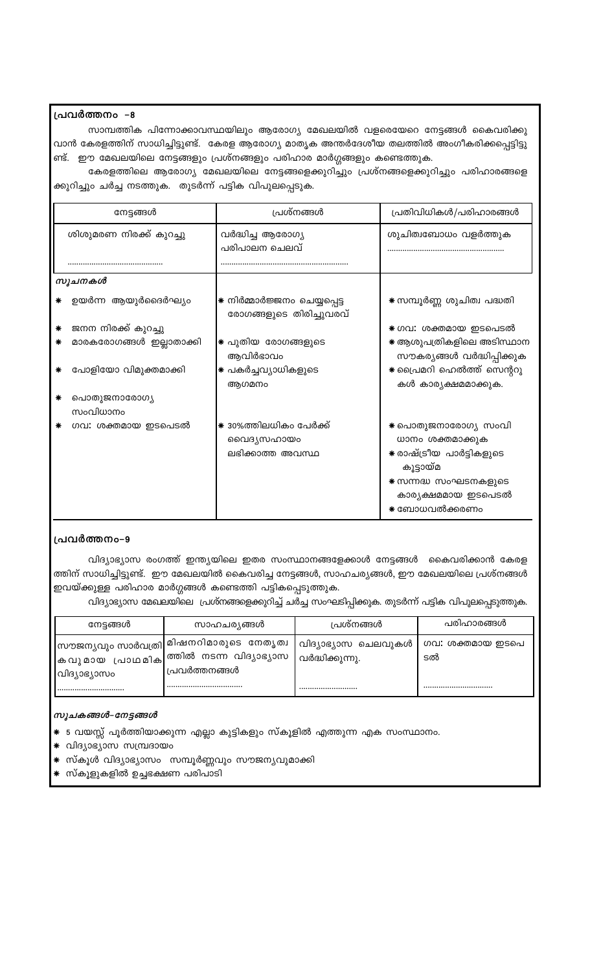#### പ്രവർത്തനം –8

സാമ്പത്തിക പിന്നോക്കാവസ്ഥയിലും ആരോഗ്യ മേഖലയിൽ വളരെയേറെ നേട്ടങ്ങൾ കൈവരിക്കു വാൻ കേരളത്തിന് സാധിച്ചിട്ടുണ്ട്. കേരള ആരോഗ്യ മാതൃക അന്തർദേശീയ തലത്തിൽ അംഗീകരിക്കപ്പെട്ടിട്ടു ണ്ട്. ഈ മേഖലയിലെ നേട്ടങ്ങളും പ്രശ്നങ്ങളും പരിഹാര മാർഗ്ഗങ്ങളും കണ്ടെത്തുക.

കേരളത്തിലെ ആരോഗ്യ മേഖലയിലെ നേട്ടങ്ങളെക്കുറിച്ചും പ്രശ്നങ്ങളെക്കുറിച്ചും പരിഹാരങ്ങളെ ക്കുറിച്ചും ചർച്ച നടത്തുക. തുടർന്ന് പട്ടിക വിപുലപ്പെടുക.

|   | നേട്ടങ്ങൾ                | പ്രശ്നങ്ങൾ                                               | പ്രതിവിധികൾ/പരിഹാരങ്ങൾ                                                                                                                           |
|---|--------------------------|----------------------------------------------------------|--------------------------------------------------------------------------------------------------------------------------------------------------|
|   | ശിശുമരണ നിരക്ക് കുറച്ചു  | വർദ്ധിച്ച ആരോഗ്യ<br>പരിപാലന ചെലവ്                        | ശുചിത്വബോധം വളർത്തുക                                                                                                                             |
|   |                          |                                                          |                                                                                                                                                  |
|   | സൂചനകൾ                   |                                                          |                                                                                                                                                  |
|   | ഉയർന്ന ആയുർദൈർഘ്യം       | * നിർമ്മാർജ്ജനം ചെയ്യപ്പെട്ട<br>രോഗങ്ങളുടെ തിരിച്ചുവരവ്  | ☀ സമ്പൂർണ്ണ ശുചിത്വ പദ്ധതി                                                                                                                       |
| ∗ | ജനന നിരക്ക് കുറച്ചു      |                                                          | * ഗവ: ശക്തമായ ഇടപെടൽ                                                                                                                             |
| ⋇ | മാരകരോഗങ്ങൾ ഇല്ലാതാക്കി  | * പുതിയ രോഗങ്ങളുടെ<br>ആവിർഭാവം                           | ☀ ആശുപത്രികളിലെ അടിസ്ഥാന<br>സൗകര്യങ്ങൾ വർദ്ധിപ്പിക്കുക                                                                                           |
|   | പോളിയോ വിമുക്തമാക്കി     | ∗ പകർച്ചവ്യാധികളുടെ<br>ആഗമനം                             | * പ്രൈമറി ഹെൽത്ത് സെന്ററു<br>കൾ കാര്യക്ഷമമാക്കുക.                                                                                                |
|   | പൊതുജനാരോഗ്യ<br>സംവിധാനം |                                                          |                                                                                                                                                  |
|   | ഗവ: ശക്തമായ ഇടപെടൽ       | * 30%ത്തിലധികം പേർക്ക്<br>വൈദ്യസഹായം<br>ലഭിക്കാത്ത അവസ്ഥ | ☀ പൊതുജനാരോഗ്യ സംവി<br>ധാനം ശക്തമാക്കുക<br>☀ രാഷ്ട്രീയ പാർട്ടികളുടെ<br>കൂട്ടായ്മ<br>* സന്നദ്ധ സംഘടനകളുടെ<br>കാര്യക്ഷമമായ ഇടപെടൽ<br>∗ ബോധവൽക്കരണം |

## പ്രവർത്തനം-9

വിദ്യാഭ്യാസ രംഗത്ത് ഇന്ത്യയിലെ ഇതര സംസ്ഥാനങ്ങളേക്കാൾ നേട്ടങ്ങൾ കൈവരിക്കാൻ കേരള ത്തിന് സാധിച്ചിട്ടുണ്ട്. ഈ മേഖലയിൽ കൈവരിച്ച നേട്ടങ്ങൾ, സാഹചര്യങ്ങൾ, ഈ മേഖലയിലെ പ്രശ്നങ്ങൾ ഇവയ്ക്കുള്ള പരിഹാര മാർഗ്ഗങ്ങൾ കണ്ടെത്തി പട്ടികപ്പെടുത്തുക.

വിദ്യാഭ്യാസ മേഖലയിലെ പ്രശ്നങ്ങളെക്കുറിച്ച് ചർച്ച സംഘടിപ്പിക്കുക. തുടർന്ന് പട്ടിക വിപുലപ്പെടുത്തുക.

| നേട്ടങ്ങൾ    | സാഹചര്യങ്ങൾ                                                                                                 | പ്രശ്നങ്ങൾ                                 | പരിഹാരങ്ങൾ                 |
|--------------|-------------------------------------------------------------------------------------------------------------|--------------------------------------------|----------------------------|
| വിദ്യാഭ്യാസം | സൗജന്യവും സാർവത്രി മിഷനറിമാരുടെ  നേതൃത്വ<br> കവുമായ പ്രാഥമിക ത്തിൽ നടന്ന വിദ്യാഭ്യാസ<br>  പ്രവർത്തനങ്ങൾ<br> | വിദ്യാഭ്യാസ ചെലവുകൾ<br>വർദ്ധിക്കുന്നു.<br> | ഗവ: ശക്തമായ ഇടപെ<br>ടൽ<br> |

#### സൂചകങ്ങൾ–നേട്ടങ്ങൾ

- \* 5 വയസ്സ് പൂർത്തിയാക്കുന്ന എല്ലാ കുട്ടികളും സ്കൂളിൽ എത്തുന്ന എക സംസ്ഥാനം.
- \* വിദ്യാഭ്യാസ സമ്പ്രദായം
- \* സ്കൂൾ വിദ്യാഭ്യാസം സമ്പൂർണ്ണവും സൗജന്യവുമാക്കി
- സ്കൂളുകളിൽ ഉച്ചഭക്ഷണ പരിപാടി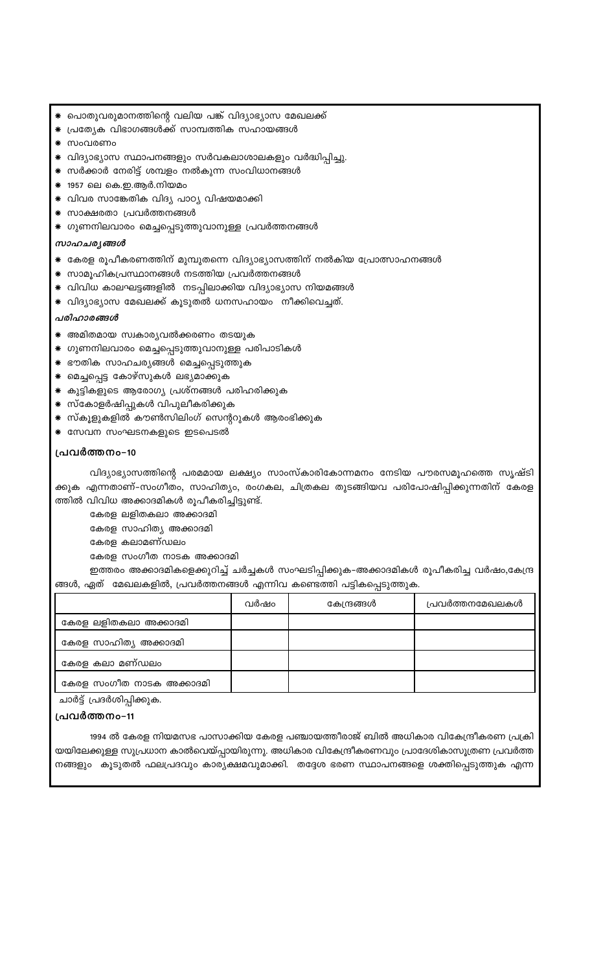1994 ൽ കേരള നിയമസഭ പാസാക്കിയ കേരള പഞ്ചായത്തീരാജ് ബിൽ അധികാര വികേന്ദ്രീകരണ പ്രക്രി യയിലേക്കുള്ള സുപ്രധാന കാൽവെയ്പ്പായിരുന്നു. അധികാര വികേന്ദ്രീകരണവും പ്രാദേശികാസൂത്രണ പ്രവർത്ത നങ്ങളും കൂടുതൽ ഫലപ്രദവും കാര്യക്ഷമവുമാക്കി. തദ്ദേശ ഭരണ സ്ഥാപനങ്ങളെ ശക്തിപ്പെടുത്തുക എന്ന

#### പ്രവർത്തനം-11

ചാർട്ട് പ്രദർശിപ്പിക്കുക.

|                          | വർഷം | കേന്ദ്രങ്ങൾ | പ്രവർത്തനമേഖലകൾ |
|--------------------------|------|-------------|-----------------|
| കേരള ലളിതകലാ അക്കാദമി    |      |             |                 |
| കേരള സാഹിത്യ അക്കാദമി    |      |             |                 |
| കേരള കലാ മണ്ഡലം          |      |             |                 |
| കേരള സംഗീത നാടക അക്കാദമി |      |             |                 |

## ങ്ങൾ, ഏത് മേഖലകളിൽ, പ്രവർത്തനങ്ങൾ എന്നിവ കണ്ടെത്തി പട്ടികപ്പെടുത്തുക.

ഇത്തരം അക്കാദമികളെക്കുറിച്ച് ചർച്ചകൾ സംഘടിപ്പിക്കുക-അക്കാദമികൾ രൂപീകരിച്ച വർഷം,കേന്ദ്ര

കേരള സംഗീത നാടക അക്കാദമി

കേരള കലാമണ്ഡലം

കേരള സാഹിത്യ അക്കാദമി

കേരള ലളിതകലാ അക്കാദമി

ത്തിൽ വിവിധ അക്കാദമികൾ രൂപീകരിച്ചിട്ടുണ്ട്.

വിദ്യാഭ്യാസത്തിന്റെ പരമമായ ലക്ഷ്യം സാംസ്കാരികോന്നമനം നേടിയ പൗരസമൂഹത്തെ സൃഷ്ടി ക്കുക എന്നതാണ്–സംഗീതം, സാഹിത്യം, രംഗകല, ചിത്രകല തുടങ്ങിയവ പരിപോഷിപ്പിക്കുന്നതിന് കേരള

#### പ്രവർത്തനം-10

- \* സേവന സംഘടനകളുടെ ഇടപെടൽ
- \* സ്കൂളുകളിൽ കൗൺസിലിംഗ് സെന്ററുകൾ ആരംഭിക്കുക
- ☀ സ്കോളർഷിപ്പുകൾ വിപുലീകരിക്കുക
- \* കുട്ടികളുടെ ആരോഗ്യ പ്രശ്നങ്ങൾ പരിഹരിക്കുക
- <mark>\*</mark> മെച്ചപ്പെട്ട കോഴ്സുകൾ ലഭ്യമാക്കുക
- \* ഭൗതിക സാഹചര്യങ്ങൾ മെച്ചപ്പെടുത്തുക
- \* ഗുണനിലവാരം മെച്ചപ്പെടുത്തുവാനുള്ള പരിപാടികൾ
- \* അമിതമായ സ്വകാര്യവൽക്കരണം തടയുക

#### പരിഹാരങ്ങൾ

- \* വിദ്യാഭ്യാസ മേഖലക്ക് കൂടുതൽ ധനസഹായം നീക്കിവെച്ചത്.
- \* വിവിധ കാലഘട്ടങ്ങളിൽ നടപ്പിലാക്കിയ വിദ്യാഭ്യാസ നിയമങ്ങൾ
- \* സാമൂഹികപ്രസ്ഥാനങ്ങൾ നടത്തിയ പ്രവർത്തനങ്ങൾ
- \* കേരള രൂപീകരണത്തിന് മുമ്പുതന്നെ വിദ്യാഭ്യാസത്തിന് നൽകിയ പ്രോത്സാഹനങ്ങൾ

#### സാഹചര്യങ്ങൾ

- \* ഗുണനിലവാരം മെച്ചപ്പെടുത്തുവാനുള്ള പ്രവർത്തനങ്ങൾ
- സാക്ഷരതാ പ്രവർത്തനങ്ങൾ
- \* വിവര സാങ്കേതിക വിദ്യ പാഠ്യ വിഷയമാക്കി
- ⊁ 1957 ലെ കെ.ഇ.ആർ.നിയമം
- \* സർക്കാർ നേരിട്ട് ശമ്പളം നൽകുന്ന സംവിധാനങ്ങൾ
- \* വിദ്യാഭ്യാസ സ്ഥാപനങ്ങളും സർവകലാശാലകളും വർദ്ധിപ്പിച്ചു.
- സംവരണം
- പ്രത്യേക വിഭാഗങ്ങൾക്ക് സാമ്പത്തിക സഹായങ്ങൾ
- \* പൊതുവരുമാനത്തിന്റെ വലിയ പങ്ക് വിദ്യാഭ്യാസ മേഖലക്ക്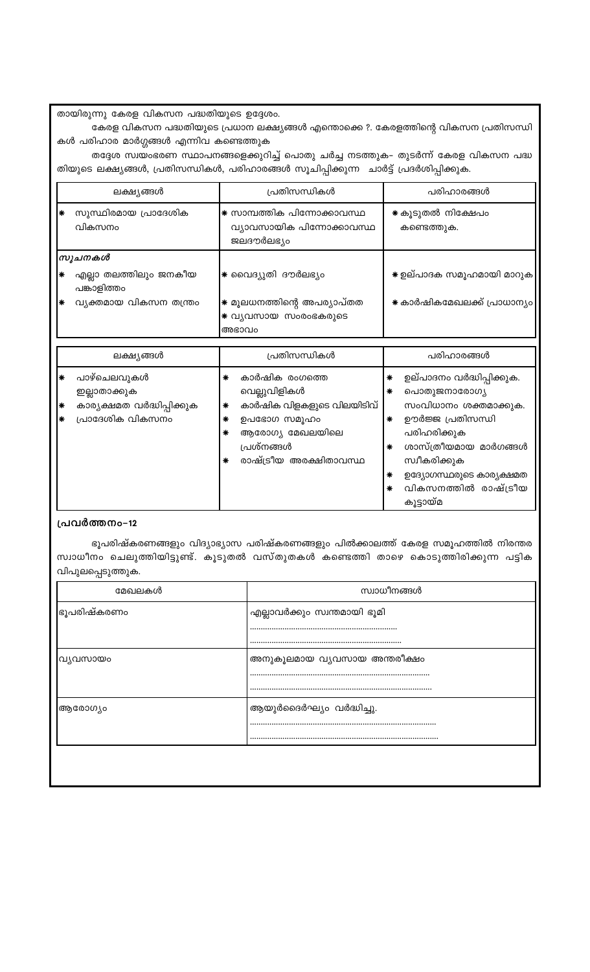| ലക്ഷ്യങ്ങൾ  |                                                                               | പ്രതിസന്ധികൾ                                                                                                                                                   | പരിഹാരങ്ങൾ                                                                                                                                                                                                                                    |  |
|-------------|-------------------------------------------------------------------------------|----------------------------------------------------------------------------------------------------------------------------------------------------------------|-----------------------------------------------------------------------------------------------------------------------------------------------------------------------------------------------------------------------------------------------|--|
| ₩           | സുസ്ഥിരമായ പ്രാദേശിക<br>വികസനം                                                | * സാമ്പത്തിക പിന്നോക്കാവസ്ഥ<br>വ്യാവസായിക പിന്നോക്കാവസ്ഥ<br>ജലദൗർലഭ്യം                                                                                         | * കൂടുതൽ നിക്ഷേപം<br>കണ്ടെത്തുക.                                                                                                                                                                                                              |  |
|             | സൂചനകൾ                                                                        |                                                                                                                                                                |                                                                                                                                                                                                                                               |  |
| ∗           | എല്ലാ തലത്തിലും ജനകീയ<br>പങ്കാളിത്തം                                          | ∗ വൈദ്യുതി ദൗർലഭ്യം                                                                                                                                            | ☀ ഉല്പാദക സമൂഹമായി മാറുക                                                                                                                                                                                                                      |  |
| ∗           | വ്യക്തമായ വികസന തന്ത്രം                                                       | ☀ മൂലധനത്തിന്റെ അപര്യാപ്തത<br>* വ്യവസായ സംരംഭകരുടെ<br>അഭാവം                                                                                                    | ☀ കാർഷികമേഖലക്ക് പ്രാധാന്യം                                                                                                                                                                                                                   |  |
|             |                                                                               |                                                                                                                                                                |                                                                                                                                                                                                                                               |  |
|             | ലക്ഷ്യങ്ങൾ                                                                    | പ്രതിസന്ധികൾ                                                                                                                                                   | പരിഹാരങ്ങൾ                                                                                                                                                                                                                                    |  |
| ₩<br>∗<br>∗ | പാഴ്ചെലവുകൾ<br>ഇല്ലാതാക്കുക<br>കാര്യക്ഷമത വർദ്ധിപ്പിക്കുക<br>പ്രാദേശിക വികസനം | കാർഷിക രംഗത്തെ<br>∗<br>വെല്ലുവിളികൾ<br>കാർഷിക വിളകളുടെ വിലയിടിവ്<br>∗<br>ഉപഭോഗ സമൂഹം<br>∗<br>ആരോഗ്യ മേഖലയിലെ<br>∗<br>പ്രശ്നങ്ങൾ<br>രാഷ്ട്രീയ അരക്ഷിതാവസ്ഥ<br>∗ | ഉല്പാദനം വർദ്ധിപ്പിക്കുക.<br>∗<br>പൊതുജനാരോഗ്യ<br>∗<br>സംവിധാനം ശക്തമാക്കുക.<br>ഊർജ്ജ പ്രതിസന്ധി<br>∗<br>പരിഹരിക്കുക<br>ശാസ്ത്രീയമായ മാർഗങ്ങൾ<br>∗<br>സ്വീകരിക്കുക<br>ഉദ്യോഗസ്ഥരുടെ കാര്യക്ഷമത<br>∗<br>വികസനത്തിൽ രാഷ്ട്രീയ<br>∗<br>കൂട്ടായ്മ |  |

## പ്രവർത്തനം-12

ഭൂപരിഷ്കരണങ്ങളും വിദ്യാഭ്യാസ പരിഷ്കരണങ്ങളും പിൽക്കാലത്ത് കേരള സമൂഹത്തിൽ നിരന്തര സ്വാധീനം ചെലുത്തിയിട്ടുണ്ട്. കൂടുതൽ വസ്തുതകൾ കണ്ടെത്തി താഴെ കൊടുത്തിരിക്കുന്ന പട്ടിക വിപുലപ്പെടുത്തുക.

| മേഖലകൾ              | സ്വാധീനങ്ങൾ                  |
|---------------------|------------------------------|
| ഭൂപരിഷ്കരണ <u>ം</u> | എല്ലാവർക്കും സ്വന്തമായി ഭൂമി |
|                     |                              |
|                     |                              |
| വ്യവസായം            | അനുകൂലമായ വ്യവസായ അന്തരീക്ഷം |
|                     |                              |
|                     |                              |
| ആരോഗ്യം             | ആയുർദൈർഘ്യം വർദ്ധിച്ചു.      |
|                     |                              |
|                     |                              |
|                     |                              |
|                     |                              |
|                     |                              |

കൾ പരിഹാര മാർഗ്ഗങ്ങൾ എന്നിവ കണ്ടെത്തുക തദ്ദേശ സ്വയംഭരണ സ്ഥാപനങ്ങളെക്കുറിച്ച് പൊതു ചർച്ച നടത്തുക– തുടർന്ന് കേരള വികസന പദ്ധ തിയുടെ ലക്ഷ്യങ്ങൾ, പ്രതിസന്ധികൾ, പരിഹാരങ്ങൾ സൂചിപ്പിക്കുന്ന ചാർട്ട് പ്രദർശിപ്പിക്കുക.

 $\mathsf{l}$ 

 $\overline{\phantom{a}}$ 

തായിരുന്നു കേരള വികസന പദ്ധതിയുടെ ഉദ്ദേശം. കേരള വികസന പദ്ധതിയുടെ പ്രധാന ലക്ഷ്യങ്ങൾ എന്തൊക്കെ ?. കേരളത്തിന്റെ വികസന പ്രതിസന്ധി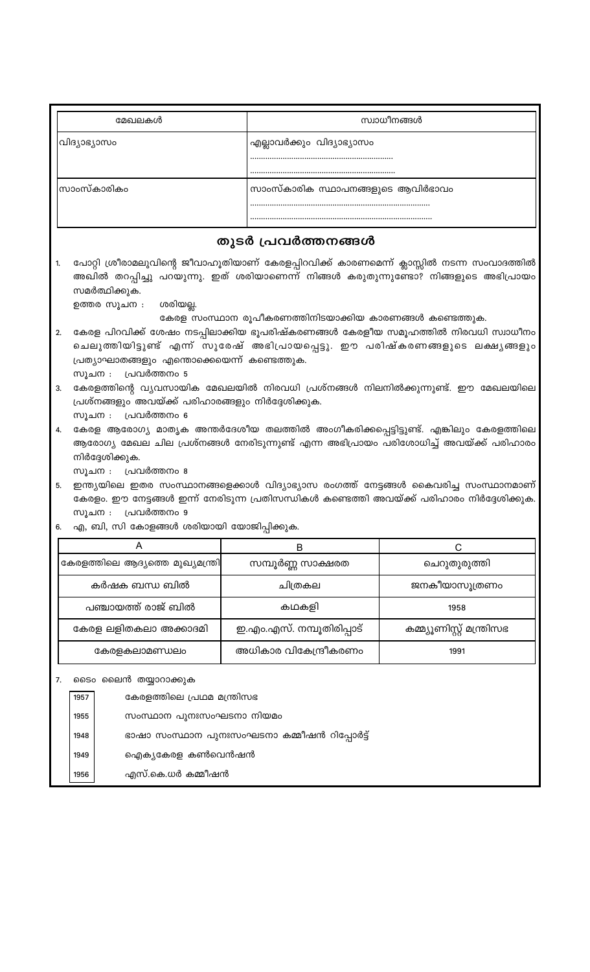| മേഖലകൾ       | സ്വാധീനങ്ങൾ                       |
|--------------|-----------------------------------|
| വിദ്യാഭ്യാസം | എല്ലാവർക്കും വിദ്യാഭ്യാസം         |
| ിസാംസ്കാരികം | സാംസ്കാരിക സ്ഥാപനങ്ങളുടെ ആവിർഭാവം |

## തുടർ പ്രവർത്തനങ്ങൾ

പോറ്റി ശ്രീരാമലുവിന്റെ ജീവാഹൂതിയാണ് കേരളപ്പിറവിക്ക് കാരണമെന്ന് ക്ലാസ്സിൽ നടന്ന സംവാദത്തിൽ 1. അഖിൽ തറപ്പിച്ചു പറയുന്നു. ഇത് ശരിയാണെന്ന് നിങ്ങൾ കരുതുന്നുണ്ടോ? നിങ്ങളുടെ അഭിപ്രായം സമർത്ഥിക്കുക.

ഉത്തര സൂചന : ശരിയല്ല.

കേരള സംസ്ഥാന രൂപീകരണത്തിനിടയാക്കിയ കാരണങ്ങൾ കണ്ടെത്തുക.

- $2.$ കേരള പിറവിക്ക് ശേഷം നടപ്പിലാക്കിയ ഭൂപരിഷ്കരണങ്ങൾ കേരളീയ സമൂഹത്തിൽ നിരവധി സ്വാധീനം ചെലുത്തിയിട്ടുണ്ട് എന്ന് സുരേഷ് അഭിപ്രായപ്പെട്ടു. ഈ പരിഷ്കരണങ്ങളുടെ ലക്ഷ്യങ്ങളും പ്രത്യാഘാതങ്ങളും എന്തൊക്കെയെന്ന് കണ്ടെത്തുക. സൂചന : പ്രവർത്തനം 5
- 3. കേരളത്തിന്റെ വ്യവസായിക മേഖലയിൽ നിരവധി പ്രശ്നങ്ങൾ നിലനിൽക്കുന്നുണ്ട്. ഈ മേഖലയിലെ പ്രശ്നങ്ങളും അവയ്ക്ക് പരിഹാരങ്ങളും നിർദ്ദേശിക്കുക. സൂചന : പ്രവർത്തനം 6
- 4. കേരള ആരോഗ്യ മാതൃക അന്തർദേശീയ തലത്തിൽ അംഗീകരിക്കപ്പെട്ടിട്ടുണ്ട്. എങ്കിലും കേരളത്തിലെ ആരോഗ്യ മേഖല ചില പ്രശ്നങ്ങൾ നേരിടുന്നുണ്ട് എന്ന അഭിപ്രായം പരിശോധിച്ച് അവയ്ക്ക് പരിഹാരം നിർദ്ദേശിക്കുക.
	- സൂചന : പ്രവർത്തനം 8
- 5. ഇന്ത്യയിലെ ഇതര സംസ്ഥാനങ്ങളെക്കാൾ വിദ്യാഭ്യാസ രംഗത്ത് നേട്ടങ്ങൾ കൈവരിച്ച സംസ്ഥാനമാണ് കേരളം. ഈ നേട്ടങ്ങൾ ഇന്ന് നേരിടുന്ന പ്രതിസന്ധികൾ കണ്ടെത്തി അവയ്ക്ക് പരിഹാരം നിർദ്ദേശിക്കുക. സൂചന : പ്രവർത്തനം 9
- 6. എ, ബി, സി കോളങ്ങൾ ശരിയായി യോജിപ്പിക്കുക.

| കേരളത്തിലെ ആദ്യത്തെ മുഖ്യമന്ത്രി | സമ്പൂർണ്ണ സാക്ഷരത         | ചെറുതുരുത്തി              |
|----------------------------------|---------------------------|---------------------------|
| കർഷക ബന്ധ ബിൽ                    | ചിത്രകല                   | ജനകീയാസൂത്രണം             |
| പഞ്ചായത്ത് രാജ് ബിൽ              | കഥകളി                     | 1958                      |
| കേരള ലളിതകലാ അക്കാദമി            | ഇ.എം.എസ്. നമ്പൂതിരിപ്പാട് | കമ്മ്യൂണിസ്റ്റ് മന്ത്രിസഭ |
| കേരളകലാമണ്ഡലം                    | അധികാര വികേന്ദ്രീകരണം     | 1991                      |

#### 7. ടൈം ലൈൻ തയ്യാറാക്കുക

| 1957 | കേരളത്തിലെ പ്രഥമ മന്ത്രിസഭ                  |
|------|---------------------------------------------|
| 1955 | സംസ്ഥാന പുനഃസംഘടനാ നിയമം                    |
| 1948 | ഭാഷാ സംസ്ഥാന പുനഃസംഘടനാ കമ്മീഷൻ റിപ്പോർട്ട് |
| 1949 | ഐക്യകേരള കൺവെൻഷൻ                            |
| 1956 | എസ്.കെ.ധർ കമ്മീഷൻ                           |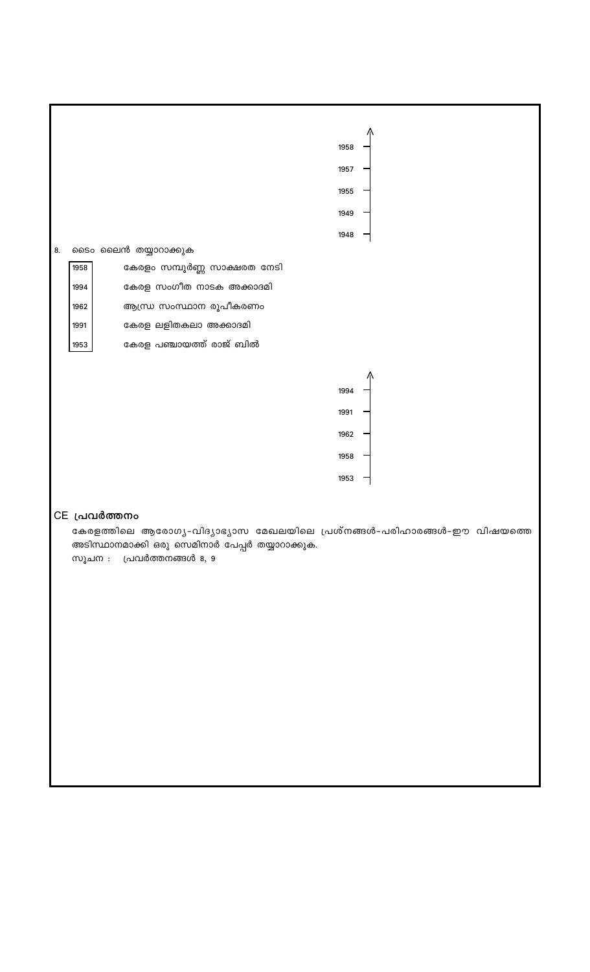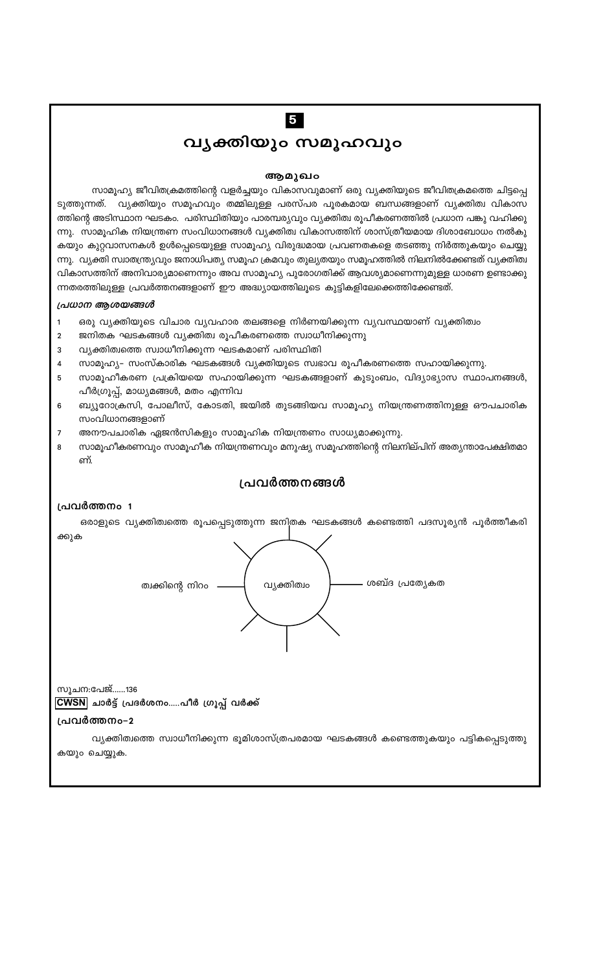# $\overline{5}$

# വൃക്തിയും സമൂഹവും

#### ആമുഖം

സാമൂഹ്യ ജീവിതക്രമത്തിന്റെ വളർച്ചയും വികാസവുമാണ് ഒരു വ്യക്തിയുടെ ജീവിതക്രമത്തെ ചിട്ടപ്പെ ടുത്തുന്നത്. വ്യക്തിയും സമൂഹവും തമ്മിലുള്ള പരസ്പര പൂരകമായ ബന്ധങ്ങളാണ് വ്യക്തിത്വ വികാസ ത്തിന്റെ അടിസ്ഥാന ഘടകം. പരിസ്ഥിതിയും പാരമ്പര്യവും വ്യക്തിത്വ രൂപീകരണത്തിൽ പ്രധാന പങ്കു വഹിക്കു ന്നു. സാമൂഹിക നിയന്ത്രണ സംവിധാനങ്ങൾ വ്യക്തിത്വ വികാസത്തിന് ശാസ്ത്രീയമായ ദിശാബോധം നൽകു കയും കുറ്റവാസനകൾ ഉൾപ്പെടെയുള്ള സാമൂഹ്യ വിരുദ്ധമായ പ്രവണതകളെ തടഞ്ഞു നിർത്തുകയും ചെയ്യു ന്നു. വ്യക്തി സ്വാതന്ത്ര്യവും ജനാധിപത്യ സമൂഹ ക്രമവും തുല്യതയും സമൂഹത്തിൽ നിലനിൽക്കേണ്ടത് വ്യക്തിത്വ വികാസത്തിന് അനിവാര്യമാണെന്നും അവ സാമൂഹ്യ പുരോഗതിക്ക് ആവശ്യമാണെന്നുമുള്ള ധാരണ ഉണ്ടാക്കു ന്നതരത്തിലുള്ള പ്രവർത്തനങ്ങളാണ് ഈ അദ്ധ്യായത്തിലൂടെ കുട്ടികളിലേക്കെത്തിക്കേണ്ടത്.

#### പ്രധാന ആശയങ്ങൾ

- ഒരു വ്യക്തിയുടെ വിചാര വ്യവഹാര തലങ്ങളെ നിർണയിക്കുന്ന വ്യവസ്ഥയാണ് വ്യക്തിത്വം  $\mathbf{1}$
- ജനിതക ഘടകങ്ങൾ വ്യക്തിത്വ രൂപീകരണത്തെ സ്വാധീനിക്കുന്നു  $\overline{2}$
- 3 വ്യക്തിത്വത്തെ സ്വാധീനിക്കുന്ന ഘടകമാണ് പരിസ്ഥിതി
- സാമൂഹ്യ– സംസ്കാരിക ഘടകങ്ങൾ വ്യക്തിയുടെ സ്വഭാവ രൂപീകരണത്തെ സഹായിക്കുന്നു.  $\overline{\mathbf{4}}$
- സാമൂഹീകരണ പ്രക്രിയയെ സഹായിക്കുന്ന ഘടകങ്ങളാണ് കുടുംബം, വിദ്യാഭ്യാസ സ്ഥാപനങ്ങൾ, 5 പീർഗ്രൂപ്പ്, മാധ്യമങ്ങൾ, മതം എന്നിവ
- 6 ബ്യൂറോക്രസി, പോലീസ്, കോടതി, ജയിൽ തുടങ്ങിയവ സാമൂഹ്യ നിയന്ത്രണത്തിനുള്ള ഔപചാരിക സംവിധാനങ്ങളാണ്
- $\overline{7}$ അനൗപചാരിക ഏജൻസികളും സാമൂഹിക നിയന്ത്രണം സാധ്യമാക്കുന്നു.
- സാമൂഹീകരണവും സാമൂഹീക നിയന്ത്രണവും മനുഷ്യ സമൂഹത്തിന്റെ നിലനില്പിന് അത്യന്താപേക്ഷിതമാ 8 ണ്.

## പ്രവർത്തനങ്ങൾ

#### പ്രവർത്തനം 1

ഒരാളുടെ വ്യക്തിത്വത്തെ രൂപപ്പെടുത്തുന്ന ജനിതക ഘടകങ്ങൾ കണ്ടെത്തി പദസൂര്യൻ പൂർത്തീകരി ക്കുക



സൂചന:പേജ്......136 CWSN ചാർട്ട് പ്രദർശനം.....പീർ ഗ്രൂപ്പ് വർക്ക്

## പ്രവർത്തനം-2

വ്യക്തിത്വത്തെ സ്വാധീനിക്കുന്ന ഭൂമിശാസ്ത്രപരമായ ഘടകങ്ങൾ കണ്ടെത്തുകയും പട്ടികപ്പെടുത്തു കയും ചെയ്യുക.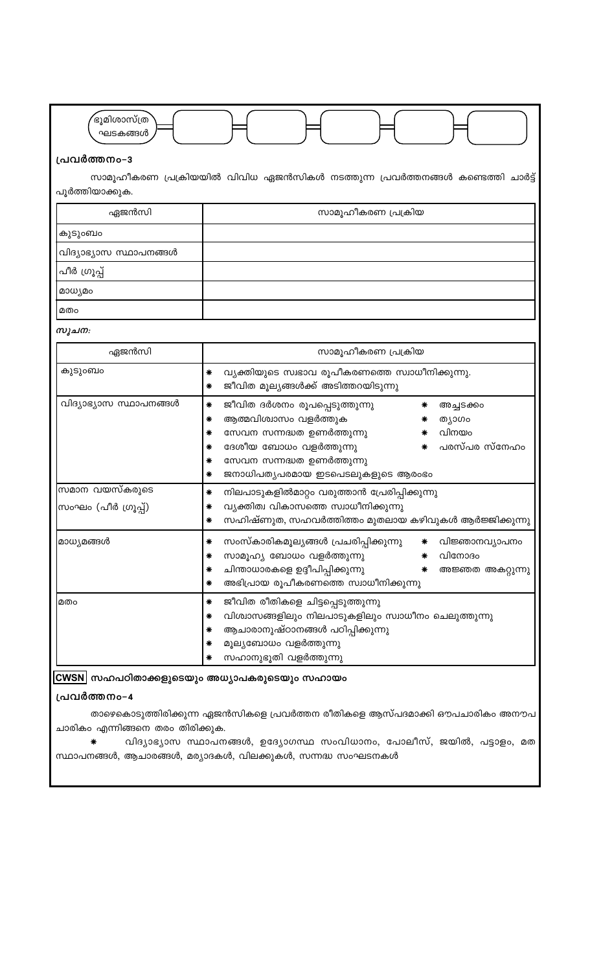

## പ്രവർത്തനം-3

സാമൂഹീകരണ പ്രക്രിയയിൽ വിവിധ ഏജൻസികൾ നടത്തുന്ന പ്രവർത്തനങ്ങൾ കണ്ടെത്തി ചാർട്ട് പൂർത്തിയാക്കുക.

| ഏജൻസി                  | സാമൂഹീകരണ പ്രക്രിയ |
|------------------------|--------------------|
| കുടുംബം                |                    |
| വിദ്യാഭ്യാസ സ്ഥാപനങ്ങൾ |                    |
| പീർ ഗ്രൂപ്പ്           |                    |
| മാധ്യമം                |                    |
| മതം                    |                    |

സൂചന:

| ഏജൻസി                                  | സാമൂഹീകരണ പ്രക്രിയ                                                                                                                                                                                                                                             |  |  |  |
|----------------------------------------|----------------------------------------------------------------------------------------------------------------------------------------------------------------------------------------------------------------------------------------------------------------|--|--|--|
| കുടുംബം                                | വ്യക്തിയുടെ സ്വഭാവ രൂപീകരണത്തെ സ്വാധീനിക്കുന്നു.<br>∗<br>ജീവിത മൂല്യങ്ങൾക്ക് അടിത്തറയിടുന്നു<br>∗                                                                                                                                                              |  |  |  |
| വിദ്യാഭ്യാസ സ്ഥാപനങ്ങൾ                 | ജീവിത ദർശനം രൂപപ്പെടുത്തുന്നു<br>∗<br>അച്ചടക്കം<br>ആത്മവിശ്വാസം വളർത്തുക<br>∗<br>ത്യാഗം<br>വിനയം<br>സേവന സന്നദ്ധത ഉണർത്തുന്നു<br>∗<br>പരസ്പര സ്നേഹം<br>ദേശീയ ബോധം വളർത്തുന്നു<br>∗<br>സേവന സന്നദ്ധത ഉണർത്തുന്നു<br>∗<br>ജനാധിപത്യപരമായ ഇടപെടലുകളുടെ ആരംഭം<br>∗ |  |  |  |
| സമാന വയസ്കരുടെ<br> സംഘം (പീർ ഗ്രൂപ്പ്) | നിലപാടുകളിൽമാറ്റം വരുത്താൻ പ്രേരിപ്പിക്കുന്നു<br>വ്യക്തിത്വ വികാസത്തെ സ്വാധീനിക്കുന്നു<br>സഹിഷ്ണുത, സഹവർത്തിത്തം മുതലായ കഴിവുകൾ ആർജ്ജിക്കുന്നു                                                                                                                 |  |  |  |
| മാധ്യമങ്ങൾ                             | സംസ്കാരികമൂല്യങ്ങൾ പ്രചരിപ്പിക്കുന്നു<br>വിജ്ഞാനവ്യാപനം<br>∗<br>∗<br>സാമൂഹ്യ ബോധം വളർത്തുന്നു<br>വിനോദം<br>∗<br>∗<br>ചിന്താധാരകളെ ഉദ്ദീപിപ്പിക്കുന്നു<br>∗<br>അജ്ഞത അകറ്റുന്നു<br>∗<br>അഭിപ്രായ രൂപീകരണത്തെ സ്വാധീനിക്കുന്നു<br>∗                              |  |  |  |
| മതം                                    | ജീവിത രീതികളെ ചിട്ടപ്പെടുത്തുന്നു<br>വിശ്വാസങ്ങളിലും നിലപാടുകളിലും സ്വാധീനം ചെലുത്തുന്നു<br>ആചാരാനുഷ്ഠാനങ്ങൾ പഠിപ്പിക്കുന്നു<br>മൂല്യബോധം വളർത്തുന്നു<br>സഹാനുഭൂതി വളർത്തുന്നു                                                                                 |  |  |  |

CWSN സഹപഠിതാക്കളുടെയും അധ്യാപകരുടെയും സഹായം

#### പ്രവർത്തനം-4

താഴെകൊടുത്തിരിക്കുന്ന ഏജൻസികളെ പ്രവർത്തന രീതികളെ ആസ്പദമാക്കി ഔപചാരികം അനൗപ ചാരികം എന്നിങ്ങനെ തരം തിരിക്കുക.

വിദ്യാഭ്യാസ സ്ഥാപനങ്ങൾ, ഉദ്യോഗസ്ഥ സംവിധാനം, പോലീസ്, ജയിൽ, പട്ടാളം, മത  $\ast$ സ്ഥാപനങ്ങൾ, ആചാരങ്ങൾ, മര്യാദകൾ, വിലക്കുകൾ, സന്നദ്ധ സംഘടനകൾ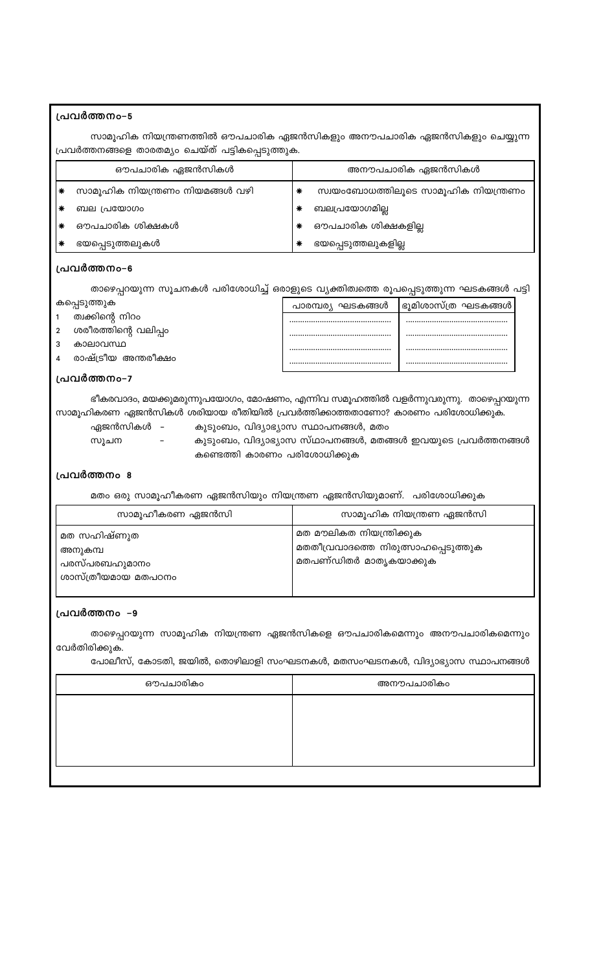## പ്രവർത്തനം-5

സാമൂഹിക നിയന്ത്രണത്തിൽ ഔപചാരിക ഏജൻസികളും അനൗപചാരിക ഏജൻസികളും ചെയ്യുന്ന പ്രവർത്തനങ്ങളെ താരതമ്യം ചെയ്ത് പട്ടികപ്പെടുത്തുക.

| ഔപചാരിക ഏജൻസികൾ |                                 | അനൗപചാരിക ഏജൻസികൾ |                                     |
|-----------------|---------------------------------|-------------------|-------------------------------------|
|                 | സാമൂഹിക നിയന്ത്രണം നിയമങ്ങൾ വഴി | ∗                 | സ്വയംബോധത്തിലൂടെ സാമൂഹിക നിയന്ത്രണം |
|                 | ബല പ്രയോഗം                      |                   | ബലപ്രയോഗമില്ല                       |
|                 | ഔപചാരിക ശിക്ഷകൾ                 |                   | ഔപചാരിക ശിക്ഷകളില്ല                 |
|                 | ഭയപ്പെടുത്തലുകൾ                 |                   | ഭയപ്പെടുത്തലുകളില്ല                 |

#### പ്രവർത്തനം-6

താഴെപ്പറയുന്ന സൂചനകൾ പരിശോധിച്ച് ഒരാളുടെ വ്യക്തിത്വത്തെ രൂപപ്പെടുത്തുന്ന ഘടകങ്ങൾ പട്ടി

|               | കപ്പെടുത്തുക         | പാരമ്പര്യ ഘടകങ്ങൾ | ഭൂമിശാസ്ത്ര ഘടകങ്ങൾ |
|---------------|----------------------|-------------------|---------------------|
|               | ത്വക്കിന്റെ നിറം     |                   |                     |
| $\mathcal{P}$ | ശരീരത്തിന്റെ വലിപ്പം |                   |                     |
|               | കാലാവസ്ഥ             |                   |                     |
|               | രാഷ്ട്രീയ അന്തരീക്ഷം |                   |                     |

#### പ്രവർത്തനം-7

ഭീകരവാദം, മയക്കുമരുന്നുപയോഗം, മോഷണം, എന്നിവ സമൂഹത്തിൽ വളർന്നുവരുന്നു. താഴെപ്പറയുന്ന സാമൂഹികരണ ഏജൻസികൾ ശരിയായ രീതിയിൽ പ്രവർത്തിക്കാത്തതാണോ? കാരണം പരിശോധിക്കുക.

- ഏജൻസികൾ
	-
	- സൂചന

- കുടുംബം, വിദ്യാഭ്യാസ സ്ഥാപനങ്ങൾ, മതം<br>- കുടുംബം, വിദ്യാഭ്യാസ സ്ഥാപനങ്ങൾ, മതങ്ങൾ ഇവയുടെ പ്രവർത്തനങ്ങൾ കണ്ടെത്തി കാരണം പരിശോധിക്കുക

#### പ്രവർത്തനം 8

മതം ഒരു സാമൂഹീകരണ ഏജൻസിയും നിയന്ത്രണ ഏജൻസിയുമാണ്. പരിശോധിക്കുക

| സാമൂഹീകരണ ഏജൻസി                                                | സാമൂഹിക നിയന്ത്രണ ഏജൻസി                                                                   |
|----------------------------------------------------------------|-------------------------------------------------------------------------------------------|
| മത സഹിഷ്ണുത<br>അനുകമ്പ<br>പരസ്പരബഹുമാനം<br>ശാസ്ത്രീയമായ മതപഠനം | മത മൗലികത നിയന്ത്രിക്കുക<br>മതതീവ്രവാദത്തെ നിരുത്സാഹപ്പെടുത്തുക<br>മതപണ്ഡിതർ മാതൃകയാക്കുക |

## പ്രവർത്തനം –9

താഴെപ്പറയുന്ന സാമൂഹിക നിയന്ത്രണ ഏജൻസികളെ ഔപചാരികമെന്നും അനൗപചാരികമെന്നും വേർതിരിക്കുക.

പോലീസ്, കോടതി, ജയിൽ, തൊഴിലാളി സംഘടനകൾ, മതസംഘടനകൾ, വിദ്യാഭ്യാസ സ്ഥാപനങ്ങൾ

| ഔപചാരികം | അനൗപചാരികം |
|----------|------------|
|          |            |
|          |            |
|          |            |
|          |            |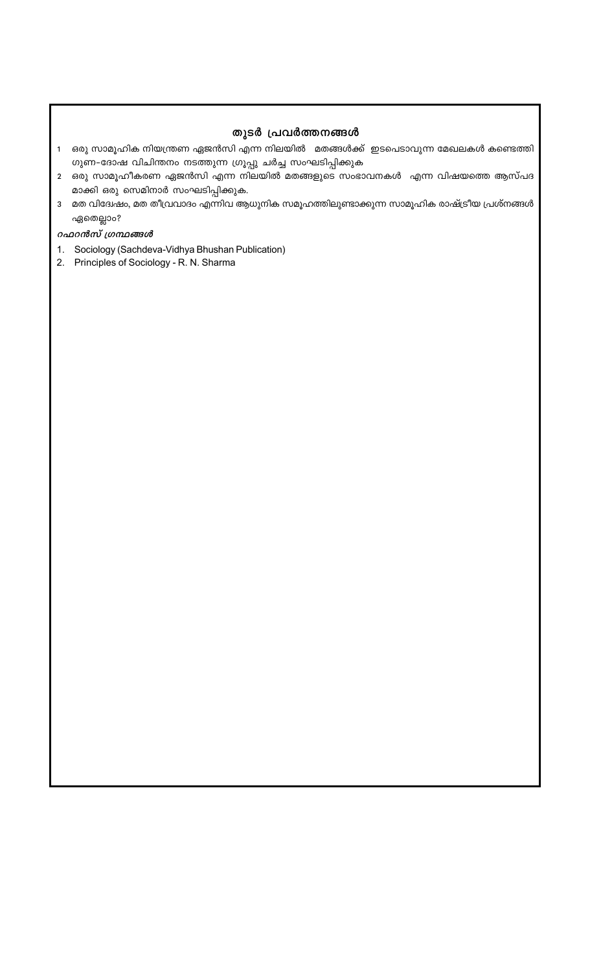## തുടർ പ്രവർത്തനങ്ങൾ

- 1 ഒരു സാമൂഹിക നിയന്ത്രണ ഏജൻസി എന്ന നിലയിൽ മതങ്ങൾക്ക് ഇടപെടാവുന്ന മേഖലകൾ കണ്ടെത്തി ഗുണ-ദോഷ വിചിന്തനം നടത്തുന്ന ഗ്രൂപ്പു ചർച്ച സംഘടിപ്പിക്കുക
- 2 ഒരു സാമൂഹീകരണ ഏജൻസി എന്ന നിലയിൽ മതങ്ങളുടെ സംഭാവനകൾ എന്ന വിഷയത്തെ ആസ്പദ മാക്കി ഒരു സെമിനാർ സംഘടിപ്പിക്കുക.
- 3 മത വിദേശ്ചം, മത തീവ്രവാദം എന്നിവ ആധുനിക സമൂഹത്തിലുണ്ടാക്കുന്ന സാമൂഹിക രാഷ്ട്രീയ പ്രശ്നങ്ങൾ ഏതെല്ലാം?

#### *oഫoൻസ് ശ്രന്ഥങ്ങൾ*

- 1. Sociology (Sachdeva-Vidhya Bhushan Publication)
- 2. Principles of Sociology R. N. Sharma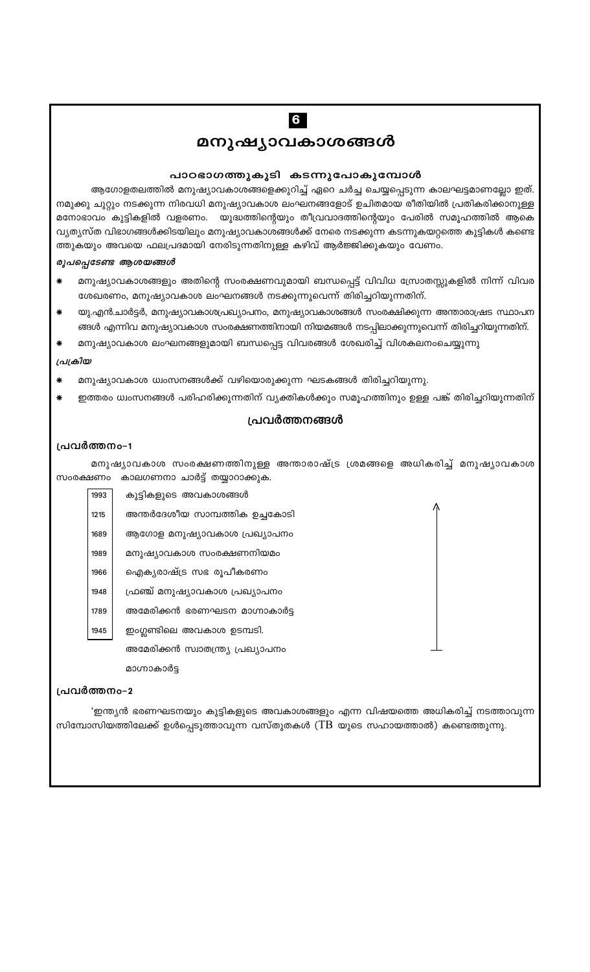# 6

മനുഷ്യാവകാശങ്<mark>ങ</mark>ൾ

## പാഠഭാഗത്തുകൂടി കടന്നുപോകുമ്പോൾ

ആഗോളതലത്തിൽ മനുഷ്യാവകാശങ്ങളെക്കുറിച്ച് ഏറെ ചർച്ച ചെയ്യപ്പെടുന്ന കാലഘട്ടമാണല്ലോ ഇത്. നമുക്കു ചുറ്റും നടക്കുന്ന നിരവധി മനുഷ്യാവകാശ ലംഘനങ്ങളോട് ഉചിതമായ രീതിയിൽ പ്രതികരിക്കാനുള്ള മനോഭാവം കുട്ടികളിൽ വളരണം. യുദ്ധത്തിന്റെയും തീവ്രവാദത്തിന്റെയും പേരിൽ സമൂഹത്തിൽ ആകെ വ്യത്യസ്ത വിഭാഗങ്ങൾക്കിടയിലും മനുഷ്യാവകാശങ്ങൾക്ക് നേരെ നടക്കുന്ന കടന്നുകയറ്റത്തെ കുട്ടികൾ കണ്ടെ ത്തുകയും അവയെ ഫലപ്രദമായി നേരിടുന്നതിനുള്ള കഴിവ് ആർജ്ജിക്കുകയും വേണം.

## രൂപപ്പെടേണ്ട ആശയങ്ങൾ

- മനുഷ്യാവകാശങ്ങളും അതിന്റെ സംരക്ഷണവുമായി ബന്ധപ്പെട്ട് വിവിധ സ്രോതസ്സുകളിൽ നിന്ന് വിവര ശേഖരണം, മനുഷ്യാവകാശ ലംഘനങ്ങൾ നടക്കുന്നുവെന്ന് തിരിച്ചറിയുന്നതിന്.
- യു.എൻ.ചാർട്ടർ, മനുഷ്യാവകാശപ്രഖ്യാപനം, മനുഷ്യാവകാശങ്ങൾ സംരക്ഷിക്കുന്ന അന്താരാഷ്രട സ്ഥാപന ങ്ങൾ എന്നിവ മനുഷ്യാവകാശ സംരക്ഷണത്തിനായി നിയമങ്ങൾ നടപ്പിലാക്കുന്നുവെന്ന് തിരിച്ചറിയുന്നതിന്.
- മനുഷ്യാവകാശ ലംഘനങ്ങളുമായി ബന്ധപ്പെട്ട വിവരങ്ങൾ ശേഖരിച്ച് വിശകലനംചെയ്യുന്നു

#### പ്രക്രിയ

- മനുഷ്യാവകാശ ധ്വംസനങ്ങൾക്ക് വഴിയൊരുക്കുന്ന ഘടകങ്ങൾ തിരിച്ചറിയുന്നു.
- ഇത്തരം ധ്വംസനങ്ങൾ പരിഹരിക്കുന്നതിന് വ്യക്തികൾക്കും സമൂഹത്തിനും ഉള്ള പങ്ക് തിരിച്ചറിയുന്നതിന്

#### പ്രവർത്തനങ്ങൾ

#### പ്രവർത്തനം-1

മനുഷ്യാവകാശ സംരക്ഷണത്തിനുള്ള അന്താരാഷ്ട്ര ശ്രമങ്ങളെ അധികരിച്ച് മനുഷ്യാവകാശ സംരക്ഷണം കാലഗണനാ ചാർട്ട് തയ്യാറാക്കുക.

| 1993 | കുട്ടികളുടെ അവകാശങ്ങൾ             |
|------|-----------------------------------|
| 1215 | അന്തർദേശീയ സാമ്പത്തിക ഉച്ചകോടി    |
| 1689 | ആഗോള മനുഷ്യാവകാശ പ്രഖ്യാപനം       |
| 1989 | മനുഷ്യാവകാശ സംരക്ഷണനിയമം          |
| 1966 | ഐക്യരാഷ്ട്ര സഭ രൂപീകരണം           |
| 1948 | ഫ്രഞ്ച് മനുഷ്യാവകാശ പ്രഖ്യാപനം    |
| 1789 | അമേരിക്കൻ ഭരണഘടന മാഗ്നാകാർട്ട     |
| 1945 | ഇംഗ്ലണ്ടിലെ അവകാശ ഉടമ്പടി.        |
|      | അമേരിക്കൻ സ്വാതന്ത്ര്യ പ്രഖ്യാപനം |

പ്രവർത്തനം-2

മാഗ്നാകാർട്ട

'ഇന്ത്യൻ ഭരണഘടനയും കുട്ടികളുടെ അവകാശങ്ങളും എന്ന വിഷയത്തെ അധികരിച്ച് നടത്താവുന്ന സിമ്പോസിയത്തിലേക്ക് ഉൾപ്പെടുത്താവുന്ന വസ്തുതകൾ (TB യുടെ സഹായത്താൽ) കണ്ടെത്തുന്നു.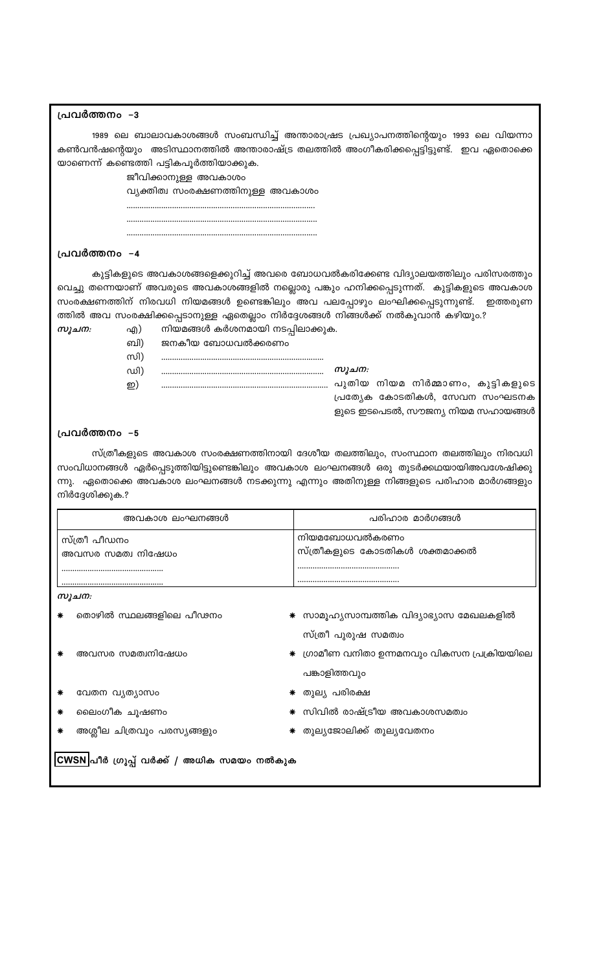## പ്രവർത്തനം –3

1989 ലെ ബാലാവകാശങ്ങൾ സംബന്ധിച്ച് അന്താരാഷ്രട പ്രഖ്യാപനത്തിന്റെയും 1993 ലെ വിയന്നാ കൺവൻഷന്റെയും അടിസ്ഥാനത്തിൽ അന്താരാഷ്ട്ര തലത്തിൽ അംഗീകരിക്കപ്പെട്ടിട്ടുണ്ട്. ഇവ ഏതൊക്കെ യാണെന്ന് കണ്ടെത്തി പട്ടികപൂർത്തിയാക്കുക.

ജീവിക്കാനുള്ള അവകാശം

വ്യക്തിത്വ സംരക്ഷണത്തിനുള്ള അവകാശം

## പ്രവർത്തനം –4

സൂചന:

കുട്ടികളുടെ അവകാശങ്ങളെക്കുറിച്ച് അവരെ ബോധവൽകരിക്കേണ്ട വിദ്യാലയത്തിലും പരിസരത്തും വെച്ചു തന്നെയാണ് അവരുടെ അവകാശങ്ങളിൽ നല്ലൊരു പങ്കും ഹനിക്കപ്പെടുന്നത്. കുട്ടികളുടെ അവകാശ സംരക്ഷണത്തിന് നിരവധി നിയമങ്ങൾ ഉണ്ടെങ്കിലും അവ പലപ്പോഴും ലംഘിക്കപ്പെടുന്നുണ്ട്. ഇത്തരുണ ത്തിൽ അവ സംരക്ഷിക്കപ്പെടാനുള്ള ഏതെല്ലാം നിർദ്ദേശങ്ങൾ നിങ്ങൾക്ക് നൽകുവാൻ കഴിയും.?

- എ) നിയമങ്ങൾ കർശനമായി നടപ്പിലാക്കുക.
- ബി) ജനകീയ ബോധവൽക്കരണം

| സി) |  |
|-----|--|
| ഡി) |  |

സൂചന: പ്രത്യേക കോടതികൾ, സേവന സംഘടനക ളുടെ ഇടപെടൽ, സൗജന്യ നിയമ സഹായങ്ങൾ

#### പ്രവർത്തനം –5

ഇ)

സ്ത്രീകളുടെ അവകാശ സംരക്ഷണത്തിനായി ദേശീയ തലത്തിലും, സംസ്ഥാന തലത്തിലും നിരവധി സംവിധാനങ്ങൾ ഏർപ്പെടുത്തിയിട്ടുണ്ടെങ്കിലും അവകാശ ലംഘനങ്ങൾ ഒരു തുടർക്കഥയായിഅവശേഷിക്കു ന്നു. ഏതൊക്കെ അവകാശ ലംഘനങ്ങൾ നടക്കുന്നു എന്നും അതിനുള്ള നിങ്ങളുടെ പരിഹാര മാർഗങ്ങളും നിർദ്ദേശിക്കുക.?

| അവകാശ ലംഘനങ്ങൾ                    | പരിഹാര മാർഗങ്ങൾ                                 |
|-----------------------------------|-------------------------------------------------|
| സ്ത്രീ പീഡനം<br>അവസര സമത്വ നിഷേധം | നിയമബോധവൽകരണം<br>സ്ത്രീകളുടെ കോടതികൾ ശക്തമാക്കൽ |
|                                   |                                                 |
| സുചന:                             |                                                 |
| തൊഴിൽ സ്ഥലങ്ങളിലെ പീഢനം           | സാമൂഹ്യസാമ്പത്തിക വിദ്യാഭ്യാസ മേഖലകളിൽ          |

- അവസര സമത്വനിഷേധം
- വേതന വൃത്യാസം
- ലൈംഗീക ചൂഷണം
- അശ്ലീല ചിത്രവും പരസ്യങ്ങളും
- 

സിവിൽ രാഷ്ട്രീയ അവകാശസമത്വം

\* തുല്യജോലിക്ക് തുല്യവേതനം

സ്ത്രീ പുരുഷ സമത്വം

പങ്കാളിത്തവും

തുല്യ പരിരക്ഷ

∗ ഗ്രാമീണ വനിതാ ഉന്നമനവും വികസന പ്രക്രിയയിലെ

|CWSN|പീർ ഗ്രൂപ്പ് വർക്ക് / അധിക സമയം നൽകുക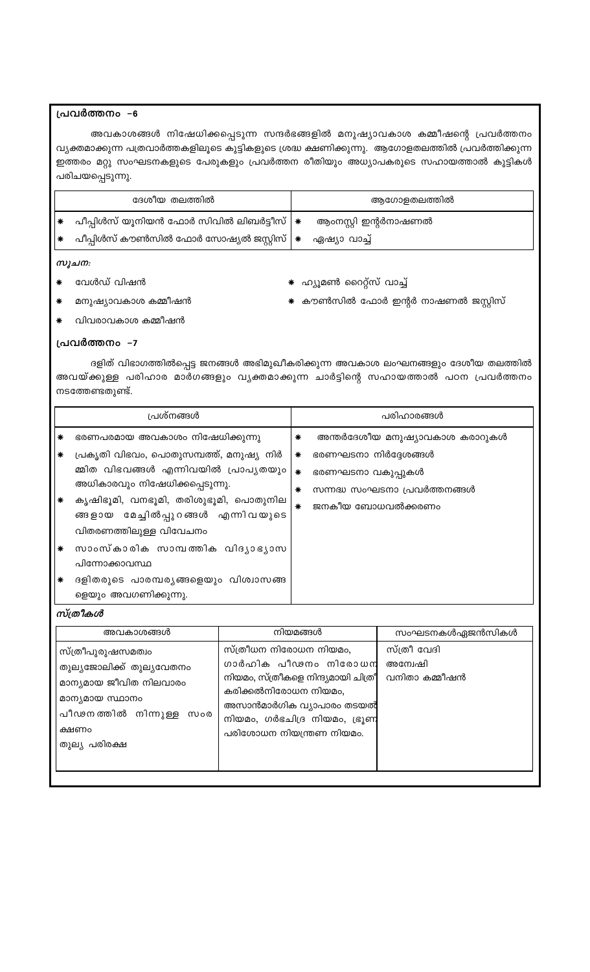## പ്രവർത്തനം –6

അവകാശങ്ങൾ നിഷേധിക്കപ്പെടുന്ന സന്ദർഭങ്ങളിൽ മനുഷ്യാവകാശ കമ്മീഷന്റെ പ്രവർത്തനം വ്യക്തമാക്കുന്ന പത്രവാർത്തകളിലൂടെ കുട്ടികളുടെ ശ്രദ്ധ ക്ഷണിക്കുന്നു. ആഗോളതലത്തിൽ പ്രവർത്തിക്കുന്ന ഇത്തരം മറ്റു സംഘടനകളുടെ പേരുകളും പ്രവർത്തന രീതിയും അധ്യാപകരുടെ സഹായത്താൽ കുട്ടികൾ പരിചയപ്പെടുന്നു.

| ദേശീയ തലത്തിൽ |                                                                               | ആഗോളതലത്തിൽ |                      |
|---------------|-------------------------------------------------------------------------------|-------------|----------------------|
| I∗            | പീപ്പിൾസ് യൂനിയൻ ഫോർ സിവിൽ ലിബർട്ടീസ് $ \ast $                                |             | ആംനസ്റ്റി ഇന്റർനാഷണൽ |
| I∗            | പീപ്പിൾസ് കൗൺസിൽ ഫോർ സോഷ്യൽ ജസ്റ്റിസ് <b>  <math>\ast</math></b> ഏഷ്യാ വാച്ച് |             |                      |

#### സൂചന:

വേൾഡ് വിഷൻ

- \* ഹ്യൂമൺ റൈറ്റ്സ് വാച്ച്
- മനുഷ്യാവകാശ കമ്മീഷൻ
	- വിവരാവകാശ കമ്മീഷൻ
- \* കൗൺസിൽ ഫോർ ഇന്റർ നാഷണൽ ജസ്റ്റിസ്

#### പ്രവർത്തനം –7

ദളിത് വിഭാഗത്തിൽപ്പെട്ട ജനങ്ങൾ അഭിമുഖീകരിക്കുന്ന അവകാശ ലംഘനങ്ങളും ദേശീയ തലത്തിൽ അവയ്ക്കുള്ള പരിഹാര മാർഗങ്ങളും വൃക്തമാക്കുന്ന ചാർട്ടിന്റെ സഹായത്താൽ പഠന പ്രവർത്തനം നടത്തേണ്ടതുണ്ട്.

|             | പ്രശ്നങ്ങൾ                                                                                                                                                                                  |                  | പരിഹാരങ്ങൾ                                                                                                  |
|-------------|---------------------------------------------------------------------------------------------------------------------------------------------------------------------------------------------|------------------|-------------------------------------------------------------------------------------------------------------|
| ∗<br>∗<br>∗ | ഭരണപരമായ അവകാശം നിഷേധിക്കുന്നു<br>പ്രകൃതി വിഭവം, പൊതുസമ്പത്ത്, മനുഷ്യ നിർ<br>മ്മിത വിഭവങ്ങൾ എന്നിവയിൽ പ്രാപ്യതയും<br>അധികാരവും നിഷേധിക്കപ്പെടുന്നു.<br>കൃഷിഭൂമി, വനഭൂമി, തരിശുഭൂമി, പൊതുനില | ∗<br>⋇<br>∗<br>∗ | അന്തർദേശീയ മനുഷ്യാവകാശ കരാറുകൾ<br>ഭരണഘടനാ നിർദ്ദേശങ്ങൾ<br>ഭരണഘടനാ വകുപ്പുകൾ<br>സന്നദ്ധ സംഘടനാ പ്രവർത്തനങ്ങൾ |
| ∗<br>∗      | ങ്ങളായ മേച്ചിൽപ്പുറങ്ങൾ എന്നിവയുടെ<br>വിതരണത്തിലുള്ള വിവേചനം<br>സാംസ്കാരിക സാമ്പത്തിക വിദൃാഭൃാസ<br>പിന്നോക്കാവസ്ഥ<br>ദളിതരുടെ പാരമ്പര്യങ്ങളെയും വിശ്വാസങ്ങ<br>ളെയും അവഗണിക്കുന്നു.          | ∗                | ജനകീയ ബോധവൽക്കരണം                                                                                           |

## സ്ത്രീകൾ

| അവകാശങ്ങൾ                                                                                                                                          | നിയമങ്ങൾ                                                                                                                                                                                             | സംഘടനകൾഏജൻസികൾ                          |
|----------------------------------------------------------------------------------------------------------------------------------------------------|------------------------------------------------------------------------------------------------------------------------------------------------------------------------------------------------------|-----------------------------------------|
| സ്ത്രീപുരുഷസമത്വം<br>തുല്യജോലിക്ക് തുല്യവേതനം<br>മാന്യമായ ജീവിത നിലവാരം<br>മാന്യമായ സ്ഥാനം<br>പീഢനത്തിൽ നിന്നുള്ള<br>സംര<br>ക്ഷണം<br>തുല്യ പരിരക്ഷ | സ്ത്രീധന നിരോധന നിയമം,<br>ഗാർഹിക പീഢനം നിരോധന<br>നിയമം, സ്ത്രീകളെ നിന്ദ്യമായി ചിത്രീ<br>കരിക്കൽനിരോധന നിയമം,<br>അസാൻമാർഗിക വ്യാപാരം തടയൽ<br>നിയമം, ഗർഭചിദ്ര നിയമം, ഭ്രൂണ<br>പരിശോധന നിയന്ത്രണ നിയമം. | സ്ത്രീ വേദി<br>അന്വേഷി<br>വനിതാ കമ്മീഷൻ |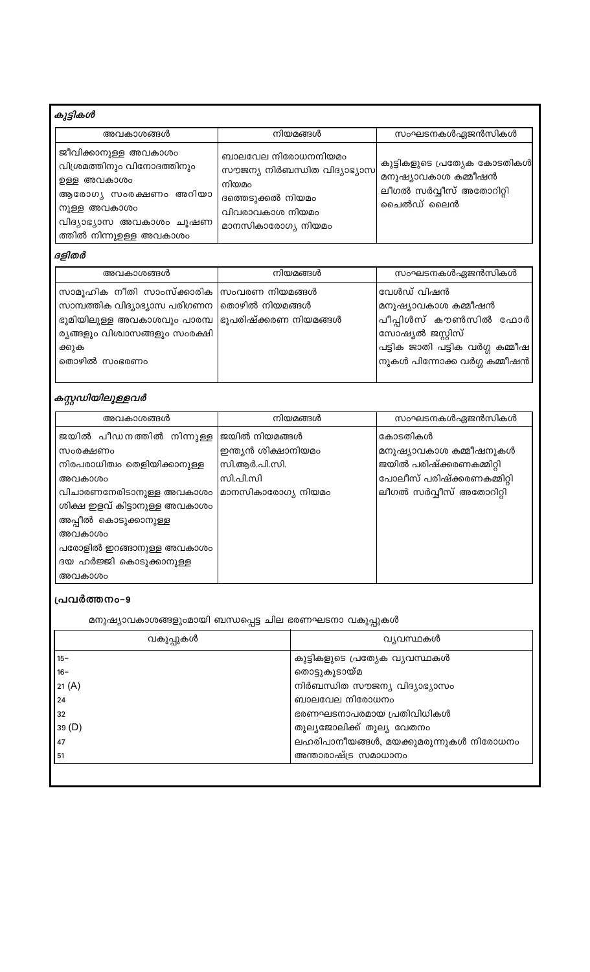# കുട്ടികൾ

| അവകാശങ്ങൾ                                                                                                                                                        | നിയമങ്ങൾ                                                                                                                  | സംഘടനകൾഏജൻസികൾ                                                                               |
|------------------------------------------------------------------------------------------------------------------------------------------------------------------|---------------------------------------------------------------------------------------------------------------------------|----------------------------------------------------------------------------------------------|
| ജീവിക്കാനുള്ള അവകാശം<br>വിശ്രമത്തിനും വിനോദത്തിനും<br>ഉള്ള അവകാശം<br>ആരോഗ്യ സംരക്ഷണം അറിയാ<br>നുള്ള അവകാശം<br>വിദ്യാഭ്യാസ അവകാശം ചൂഷണ<br>ത്തിൽ നിന്നുഉള്ള അവകാശം | ബാലവേല നിരോധനനിയമം<br>സൗജന്യ നിർബന്ധിത വിദ്യാഭ്യാസ<br>നിയമം<br>ദത്തെടുക്കൽ നിയമം<br>വിവരാവകാശ നിയമം<br>മാനസികാരോഗ്യ നിയമം | കുട്ടികളുടെ പ്രത്യേക കോടതികൾ <br>മനുഷ്യാവകാശ കമ്മീഷൻ<br>ലീഗൽ സർവ്വീസ് അതോറിറ്റി<br>ചൈൽഡ് ലൈൻ |

## ദളിതർ

| സാമൂഹിക നീതി സാംസ്ക്കാരിക ന്രംവരണ നിയമങ്ങൾ<br>വേൾഡ് വിഷൻ                                                                                                                                                                                                                                                                         | അവകാശങ്ങൾ |  |
|----------------------------------------------------------------------------------------------------------------------------------------------------------------------------------------------------------------------------------------------------------------------------------------------------------------------------------|-----------|--|
| സാമ്പത്തിക വിദ്യാഭ്യാസ പരിഗണന  തൊഴിൽ നിയമങ്ങൾ<br>മനുഷ്യാവകാശ കമ്മീഷൻ<br>പീപ്പിൾസ് കൗൺസിൽ ഫോർ<br>ഭൂമിയിലുള്ള അവകാശവും പാരമ്പ  ഭൂപരിഷ്ക്കരണ നിയമങ്ങൾ<br>ര്യങ്ങളും വിശ്വാസങ്ങളും സംരക്ഷി<br>സോഷ്യൽ ജസ്റ്റിസ്<br>പട്ടിക ജാതി പട്ടിക വർഗ്ഗ കമ്മീഷ <br>ക്കുക<br>$\left $ നുകൾ പിന്നോക്ക വർഗ്ഗ കമ്മീഷൻ $\left  \right $<br>തൊഴിൽ സംഭരണം |           |  |

# ക*സ്റ്റഡിയിലുള്ളവർ*

| അവകാശങ്ങൾ                     | നിയമങ്ങൾ            | സംഘടനകൾഏജൻസികൾ             |  |
|-------------------------------|---------------------|----------------------------|--|
| ജയിൽ പീഡനത്തിൽ നിന്നുള്ള      | ജയിൽ നിയമങ്ങൾ       | കോടതികൾ                    |  |
| സംരക്ഷണം                      | ഇന്ത്യൻ ശിക്ഷാനിയമം | മനുഷ്യാവകാശ കമ്മീഷനുകൾ     |  |
| നിരപരാധിത്വം തെളിയിക്കാനുള്ള  | സി.ആർ.പി.സി.        | ജയിൽ പരിഷ്ക്കരണകമ്മിറ്റി   |  |
| അവകാശം                        | സി.പി.സി            | പോലീസ് പരിഷ്ക്കരണകമ്മിറ്റി |  |
| വിചാരണനേരിടാനുള്ള അവകാശം      | മാനസികാരോഗ്യ നിയമം  | ലീഗൽ സർവ്വീസ് അതോറിറ്റി    |  |
| ശിക്ഷ ഇളവ് കിട്ടാനുള്ള അവകാശം |                     |                            |  |
| അപ്പീൽ കൊടുക്കാനുള്ള          |                     |                            |  |
| അവകാശം                        |                     |                            |  |
| പരോളിൽ ഇറങ്ങാനുള്ള അവകാശം     |                     |                            |  |
| ദയ ഹർജ്ജി കൊടുക്കാനുള്ള       |                     |                            |  |
| അവകാശം                        |                     |                            |  |

## പ്രവർത്തനം-9

മനുഷ്യാവകാശങ്ങളുംമായി ബന്ധപ്പെട്ട ചില ഭരണഘടനാ വകുപ്പുകൾ

| വകുപ്പുകൾ | വ്യവസ്ഥകൾ                              |
|-----------|----------------------------------------|
| 15-       | കുട്ടികളുടെ പ്രത്യേക വ്യവസ്ഥകൾ         |
| 16-       | തൊട്ടുകൂടായ്മ                          |
| 21 (A)    | നിർബന്ധിത സൗജന്യ വിദ്യാഭ്യാസം          |
| 24        | ബാലവേല നിരോധനം                         |
| 32        | ഭരണഘടനാപരമായ പ്രതിവിധികൾ               |
| 39 (D)    | തുല്യജോലിക്ക് തുല്യ വേതനം              |
| 47        | ലഹരിപാനീയങ്ങൾ, മയക്കുമരുന്നുകൾ നിരോധനം |
| 51        | അന്താരാഷ്ട്ര സമാധാനം                   |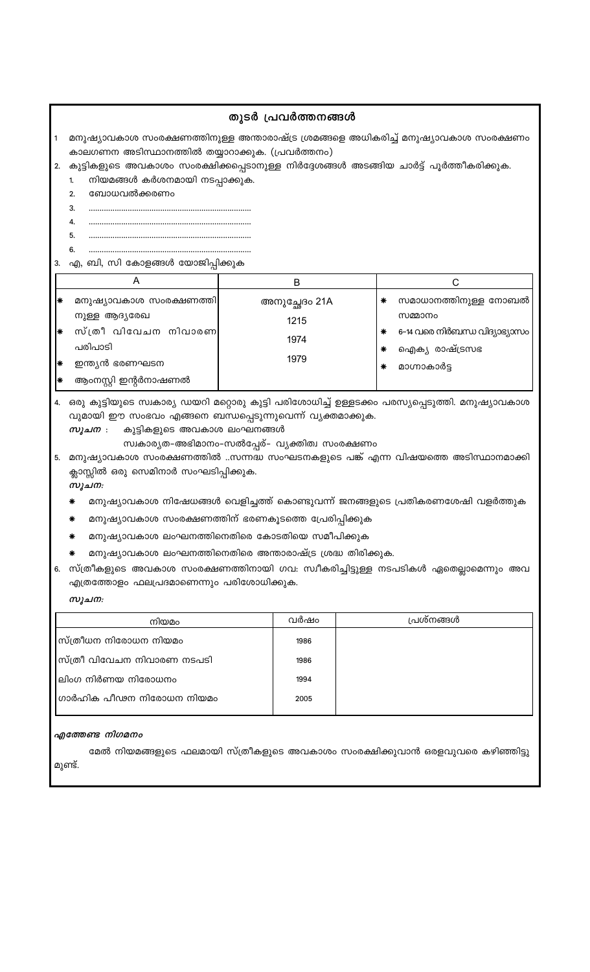## തുടർ പ്രവർത്തനങ്ങൾ

- മനുഷ്യാവകാശ സംരക്ഷണത്തിനുള്ള അന്താരാഷ്ട്ര ശ്രമങ്ങളെ അധികരിച്ച് മനുഷ്യാവകാശ സംരക്ഷണം കാലഗണന അടിസ്ഥാനത്തിൽ തയ്യാറാക്കുക. (പ്രവർത്തനം)
- 2. കുട്ടികളുടെ അവകാശം സംരക്ഷിക്കപ്പെടാനുള്ള നിർദ്ദേശങ്ങൾ അടങ്ങിയ ചാർട്ട് പൂർത്തീകരിക്കുക.
	- നിയമങ്ങൾ കർശനമായി നടപ്പാക്കുക.  $1.$
	- 2. ബോധവൽക്കരണം
	- $3.$
	- $\mathbf{4}$
	- 5. 6.

3. എ, ബി, സി കോളങ്ങൾ യോജിപ്പിക്കുക

|     | A                       | ĸ             |                                    |
|-----|-------------------------|---------------|------------------------------------|
| l∗  | മനുഷ്യാവകാശ സംരക്ഷണത്തി | അനുച്ഛേദം 21A | സമാധാനത്തിനുള്ള നോബൽ<br>∗          |
|     | നുള്ള ആദ്യരേഖ           | 1215          | സമ്മാനം                            |
| l∗  | സ്ത്രീ വിവേചന നിവാരണ    |               | 6-14 വരെ നിർബന്ധ വിദ്യാഭ്യാസം<br>∗ |
|     | പരിപാടി                 | 1974          | ഐക്യ രാഷ്ട്രസഭ<br>∗                |
| I∗  | ഇന്ത്യൻ ഭരണഘടന          | 1979          | മാഗ്നാകാർട്ട<br>∗                  |
| I∗⊭ | ആംനസ്റ്റി ഇന്റർനാഷണൽ    |               |                                    |

4. ഒരു കുട്ടിയുടെ സ്വകാര്യ ഡയറി മറ്റൊരു കുട്ടി പരിശോധിച്ച് ഉള്ളടക്കം പരസ്യപ്പെടുത്തി. മനുഷ്യാവകാശ വുമായി ഈ സംഭവം എങ്ങനെ ബന്ധപ്പെടുന്നുവെന്ന് വ്യക്തമാക്കുക.

- സൂചന : കുട്ടികളുടെ അവകാശ ലംഘനങ്ങൾ
	- സ്വകാര്യത-അഭിമാനം-സൽപ്പേര്- വ്യക്തിത്വ സംരക്ഷണം

5. മനുഷ്യാവകാശ സംരക്ഷണത്തിൽ ..സന്നദ്ധ സംഘടനകളുടെ പങ്ക് എന്ന വിഷയത്തെ അടിസ്ഥാനമാക്കി ക്ലാസ്സിൽ ഒരു സെമിനാർ സംഘടിപ്പിക്കുക. സൂചന:

- മനുഷ്യാവകാശ നിഷേധങ്ങൾ വെളിച്ചത്ത് കൊണ്ടുവന്ന് ജനങ്ങളുടെ പ്രതികരണശേഷി വളർത്തുക
- മനുഷ്യാവകാശ സംരക്ഷണത്തിന് ഭരണകൂടത്തെ പ്രേരിപ്പിക്കുക
- മനുഷ്യാവകാശ ലംഘനത്തിനെതിരെ കോടതിയെ സമീപിക്കുക
- മനുഷ്യാവകാശ ലംഘനത്തിനെതിരെ അന്താരാഷ്ട്ര ശ്രദ്ധ തിരിക്കുക.
- 6. സ്ത്രീകളുടെ അവകാശ സംരക്ഷണത്തിനായി ഗവ: സ്ഥീകരിച്ചിട്ടുള്ള നടപടികൾ ഏതെല്ലാമെന്നും അവ എത്രത്തോളം ഫലപ്രദമാണെന്നും പരിശോധിക്കുക.

#### സൂചന:

| വർഷം | പ്രശ്നങ്ങൾ |
|------|------------|
| 1986 |            |
| 1986 |            |
| 1994 |            |
| 2005 |            |
|      |            |

#### എത്തേണ്ട നിഗമനം

മേൽ നിയമങ്ങളുടെ ഫലമായി സ്ത്രീകളുടെ അവകാശം സംരക്ഷിക്കുവാൻ ഒരളവുവരെ കഴിഞ്ഞിട്ടു മുണ്ട്.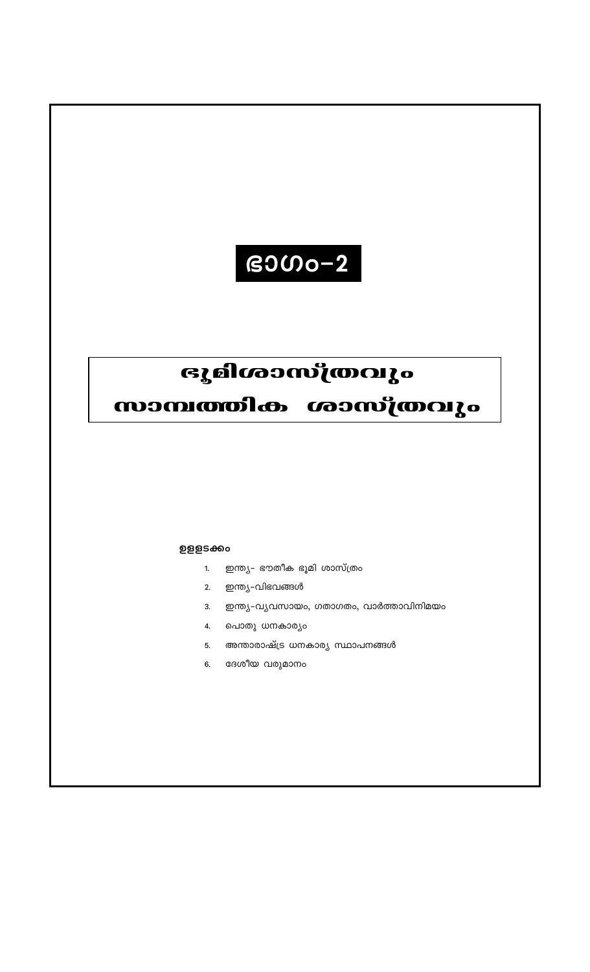# $B3000-2$

# ഭൂമിശാസ്ത്രവും

സാമ്പത്തിക ശാസ്ത്രവും

## ഉളളടക്കം

- ഇന്ത്യ– ഭൗതീക ഭൂമി ശാസ്ത്രം  $1.$
- 2. ഇന്ത്യ-വിഭവങ്ങൾ
- ഇന്ത്യ-വൃവസായം, ഗതാഗതം, വാർത്താവിനിമയം  $3.$
- പൊതു ധനകാര്യം  $\overline{4}$ .
- അന്താരാഷ്ട്ര ധനകാര്യ സ്ഥാപനങ്ങൾ  $5.$
- ദേശീയ വരുമാനം  $6.$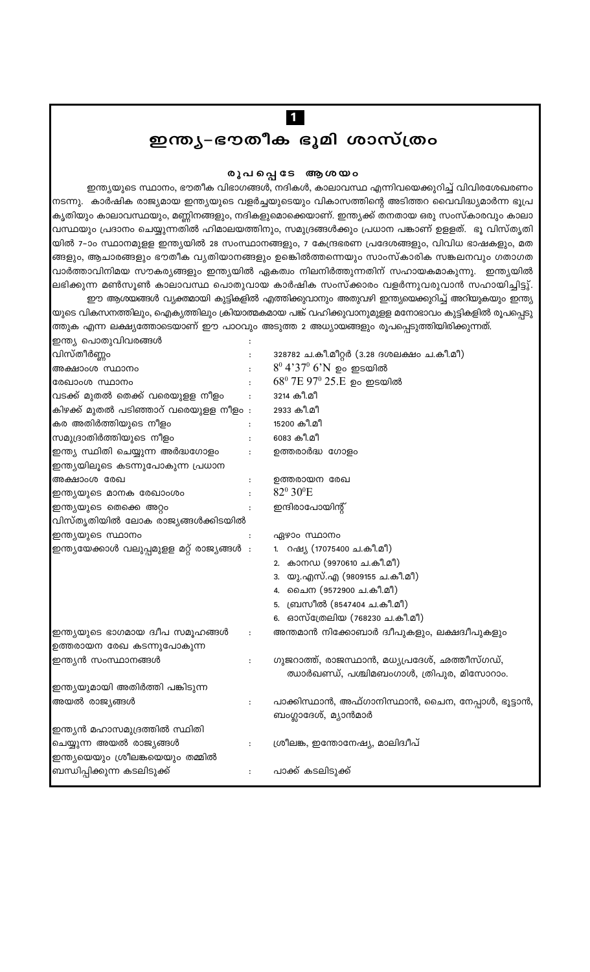# ഇന്ത്യ–ഭൗതീക ഭൂമി ശാസ്ത്രം

 $\overline{1}$ 

#### രൂപപ്പെടേ ആശയം

ഇന്ത്യയുടെ സ്ഥാനം, ഭൗതീക വിഭാഗങ്ങൾ, നദികൾ, കാലാവസ്ഥ എന്നിവയെക്കുറിച്ച് വിവിരശേഖരണം നടന്നു. കാർഷിക രാജ്യമായ ഇന്ത്യയുടെ വളർച്ചയുടെയും വികാസത്തിന്റെ അടിത്തറ വൈവിദ്ധ്യമാർന്ന ഭൂപ്ര കൃതിയും കാലാവസ്ഥയും, മണ്ണിനങ്ങളും, നദികളുമൊക്കെയാണ്. ഇന്ത്യക്ക് തനതായ ഒരു സംസ്കാരവും കാലാ വസ്ഥയും പ്രദാനം ചെയ്യുന്നതിൽ ഹിമാലയത്തിനും, സമുദ്രങ്ങൾക്കും പ്രധാന പങ്കാണ് ഉളളത്. ഭൂ വിസ്തൃതി യിൽ 7-ാം സ്ഥാനമുളള ഇന്ത്യയിൽ 28 സംസ്ഥാനങ്ങളും, 7 കേന്ദ്രഭരണ പ്രദേശങ്ങളും, വിവിധ ഭാഷകളും, മത ങ്ങളും, ആചാരങ്ങളും ഭൗതീക വ്യതിയാനങ്ങളും ഉങ്കെിൽത്തന്നെയും സാംസ്കാരിക സങ്കലനവും ഗതാഗത വാർത്താവിനിമയ സൗകര്യങ്ങളും ഇന്ത്യയിൽ ഏകത്വം നിലനിർത്തുന്നതിന് സഹായകമാകുന്നു. ഇന്ത്യയിൽ |ലഭിക്കുന്ന മൺസൂൺ കാലാവസ്ഥ പൊതുവായ കാർഷിക സംസ്ക്കാരം വളർന്നുവരുവാൻ സഹായിച്ചിട്ടു്. ഈ ആശയങ്ങൾ വ്യക്തമായി കുട്ടികളിൽ എത്തിക്കുവാനും അതുവഴി ഇന്ത്യയെക്കുറിച്ച് അറിയുകയും ഇന്ത്യ

യുടെ വികസനത്തിലും, ഐക്യത്തിലും ക്രിയാത്മകമായ പങ്ക് വഹിക്കുവാനുമുളള മനോഭാവം കുട്ടികളിൽ രൂപപ്പെടു ത്തുക എന്ന ലക്ഷ്യത്തോടെയാണ് ഈ പാഠവും അടുത്ത 2 അധ്യായങ്ങളും രൂപപ്പെടുത്തിയിരിക്കുന്നത്. ഇന്ത്യ പൊതുവിവരങ്ങൾ

| വിസ്തീർണ്ണം                                | $\ddot{\cdot}$ | 328782 ച.കീ.മീറ്റർ (3.28 ദശലക്ഷം ച.കീ.മീ)         |
|--------------------------------------------|----------------|---------------------------------------------------|
| അക്ഷാംശ സ്ഥാനം                             |                | $8^{\rm 0}$ 4'37 $^{\rm 0}$ 6'N ഉം ഇടയിൽ          |
| രേഖാംശ സ്ഥാനം                              |                | $68^{\rm o}$ 7E $97^{\rm o}$ 25.E ഉം ഇടയിൽ        |
| വടക്ക് മുതൽ തെക്ക് വരെയുളള നീളം            |                | 3214 കീ.മീ                                        |
| കിഴക്ക് മുതൽ പടിഞ്ഞാറ് വരെയുളള നീളം:       |                | 2933 കീ.മീ                                        |
| കര അതിർത്തിയുടെ നീളം                       |                | 15200 കീ.മീ                                       |
| സമുദ്രാതിർത്തിയുടെ നീളം                    | $\ddot{\cdot}$ | 6083 കീ.മീ                                        |
| ഇന്ത്യ സ്ഥിതി ചെയ്യുന്ന അർദ്ധഗോളം          | :              | ഉത്തരാർദ്ധ ഗോളം                                   |
| ഇന്ത്യയിലൂടെ കടന്നുപോകുന്ന പ്രധാന          |                |                                                   |
| അക്ഷാംശ രേഖ                                |                | ഉത്തരായന രേഖ                                      |
| ഇന്ത്യയുടെ മാനക രേഖാംശം                    | $\ddot{\cdot}$ | 82º 30°E                                          |
| ഇന്ത്യയുടെ തെക്കെ അറ്റം                    | :              | ഇന്ദിരാപോയിന്റ്                                   |
| വിസ്തൃതിയിൽ ലോക രാജ്യങ്ങൾക്കിടയിൽ          |                |                                                   |
| ഇന്ത്യയുടെ സ്ഥാനം                          |                | ഏഴാം സ്ഥാനം                                       |
| ഇന്ത്യയേക്കാൾ വലുപ്പമുളള മറ്റ് രാജ്യങ്ങൾ : |                | 1. റഷ്യ (17075400 ച.കീ.മീ)                        |
|                                            |                | 2. കാനഡ (9970610 ച.കീ.മീ)                         |
|                                            |                | 3. യു.എസ്.എ (9809155 ച.കീ.മീ)                     |
|                                            |                | 4. ചൈന (9572900 ച.കീ.മീ)                          |
|                                            |                | 5. ബ്രസീൽ (8547404 ച.കീ.മീ)                       |
|                                            |                | 6. ഓസ്ത്രേലിയ (768230 ച.കീ.മീ)                    |
| ഇന്ത്യയുടെ ഭാഗമായ ദ്വീപ സമൂഹങ്ങൾ           | :              | അന്തമാൻ നിക്കോബാർ ദ്വീപുകളും, ലക്ഷദ്വീപുകളും      |
| ഉത്തരായന രേഖ കടന്നുപോകുന്ന                 |                |                                                   |
| ഇന്ത്യൻ സംസ്ഥാനങ്ങൾ                        | $\ddot{\cdot}$ | ഗുജറാത്ത്, രാജസ്ഥാൻ, മധ്യപ്രദേശ്, ഛത്തീസ്ഗഡ്,     |
|                                            |                | ഝാർഖണ്ഡ്, പശ്ചിമബംഗാൾ, ത്രിപുര, മിസോറാം.          |
| ഇന്ത്യയുമായി അതിർത്തി പങ്കിടുന്ന           |                |                                                   |
| അയൽ രാജ്യങ്ങൾ                              | $\ddot{\cdot}$ | പാക്കിസ്ഥാൻ, അഫ്ഗാനിസ്ഥാൻ, ചൈന, നേപ്പാൾ, ഭൂട്ടാൻ, |
|                                            |                | ബംഗ്ലാദേശ്, മ്യാൻമാർ                              |
| ഇന്ത്യൻ മഹാസമുദ്രത്തിൽ സ്ഥിതി              |                |                                                   |
| ചെയ്യുന്ന അയൽ രാജ്യങ്ങൾ                    | :              | ശ്രീലങ്ക, ഇന്തോനേഷ്യ, മാലിദ്വീപ്                  |
| ഇന്ത്യയെയും ശ്രീലങ്കയെയും തമ്മിൽ           |                |                                                   |
| ബന്ധിപ്പിക്കുന്ന കടലിടുക്ക്                |                | പാക്ക് കടലിടുക്ക്                                 |
|                                            |                |                                                   |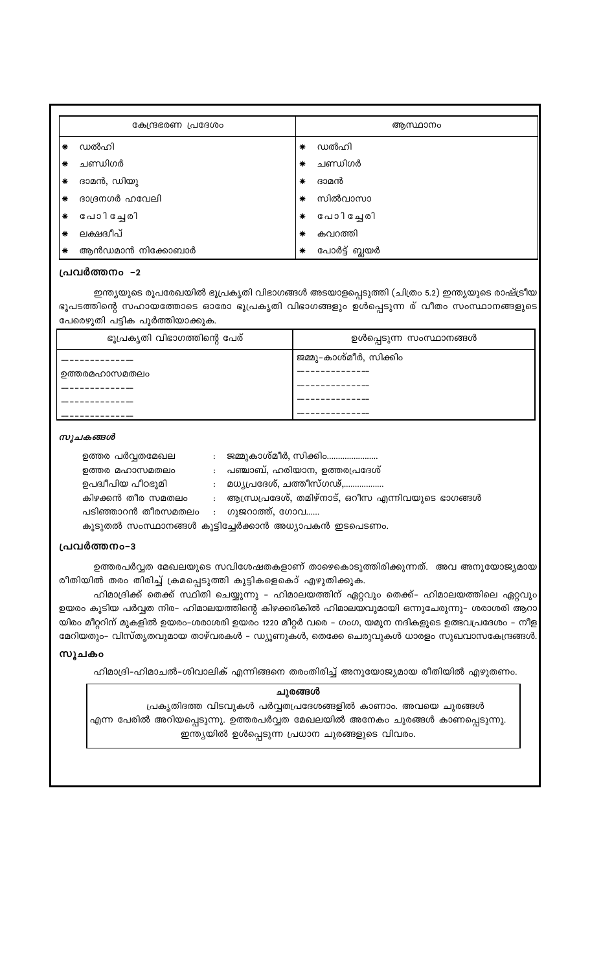|        | കേന്ദ്രഭരണ പ്രദേശം |   | അസ്ഥാനം       |
|--------|--------------------|---|---------------|
| ∗      | ഡൽഹി               | ∗ | ഡൽഹി          |
| $\ast$ | ചണ്ഡിഗർ            | ∗ | ചണ്ഡിഗർ       |
| $\ast$ | ദാമൻ, ഡിയു         | ∗ | ദാമൻ          |
| $\ast$ | ദാദ്രനഗർ ഹവേലി     | ∗ | സിൽവാസാ       |
| $\ast$ | പോിച്ചേരി          | ∗ | പോിച്ചേരി     |
| $\ast$ | ലക്ഷദ്വീപ്         | ∗ | കവറത്തി       |
| ☀      | ആൻഡമാൻ നിക്കോബാർ   | ∗ | പോർട്ട് ബ്ലയർ |

#### പ്രവർത്തനം –2

ഇന്ത്യയുടെ രൂപരേഖയിൽ ഭൂപ്രകൃതി വിഭാഗങ്ങൾ അടയാളപ്പെടുത്തി (ചിത്രം 5.2) ഇന്ത്യയുടെ രാഷ്ട്രീയ ഭൂപടത്തിന്റെ സഹായത്തോടെ ഓരോ ഭൂപ്രകൃതി വിഭാഗങ്ങളും ഉൾപ്പെടുന്ന ര് വീതം സംസ്ഥാനങ്ങളുടെ പേരെഴുതി പട്ടിക പൂർത്തിയാക്കുക.

| ഭൂപ്രകൃതി വിഭാഗത്തിന്റെ പേര് | ഉൾപ്പെടുന്ന സംസ്ഥാനങ്ങൾ |
|------------------------------|-------------------------|
|                              | ജമ്മു-കാശ്മീർ, സിക്കിം  |
| ഉത്തരമഹാസമതലം                |                         |
|                              |                         |
|                              |                         |

#### സൂചകങ്ങൾ

| ഉത്തര പർവ്വതമേഖല                                      |                | ജമ്മുകാശ്മീർ, സിക്കിം                             |  |  |
|-------------------------------------------------------|----------------|---------------------------------------------------|--|--|
| ഉത്തര മഹാസമതലം                                        |                | പഞ്ചാബ്, ഹരിയാന, ഉത്തരപ്രദേശ്                     |  |  |
| ഉപദ്വീപിയ പീഠഭുമി                                     |                | മധ്യപ്രദേശ്, ചത്തീസ്ഗഢ്,                          |  |  |
| കിഴക്കൻ തീര സമതലം                                     |                | ആന്ധ്രപ്രദേശ്, തമിഴ്നാട്, ഒറീസ എന്നിവയുടെ ഭാഗങ്ങൾ |  |  |
| പടിഞ്ഞാറൻ തീരസമതലം                                    | $\ddot{\cdot}$ | ഗുജറാത്ത്, ഗോവ                                    |  |  |
| കൂടുതൽ സംസ്ഥാനങ്ങൾ കൂട്ടിച്ചേർക്കാൻ അധ്യാപകൻ ഇടപെടണം. |                |                                                   |  |  |

#### പ്രവർത്തനം-3

ഉത്തരപർവ്വത മേഖലയുടെ സവിശേഷതകളാണ് താഴെകൊടുത്തിരിക്കുന്നത്. അവ അനുയോജ്യമായ രീതിയിൽ തരം തിരിച്ച് ക്രമപ്പെടുത്തി കുട്ടികളെകൊ് എഴുതിക്കുക.

ഹിമാദ്രിക്ക് തെക്ക് സ്ഥിതി ചെയ്യുന്നു – ഹിമാലയത്തിന് ഏറ്റവും തെക്ക്– ഹിമാലയത്തിലെ ഏറ്റവും ഉയരം കൂടിയ പർവ്വത നിര– ഹിമാലയത്തിന്റെ കിഴക്കരികിൽ ഹിമാലയവുമായി ഒന്നുചേരുന്നു– ശരാശരി ആറാ യിരം മീറ്ററിന് മുകളിൽ ഉയരം-ശരാശരി ഉയരം 1220 മീറ്റർ വരെ - ഗംഗ, യമുന നദികളുടെ ഉത്ഭവപ്രദേശം - നീള മേറിയതും– വിസ്തൃതവുമായ താഴ്വരകൾ – ഡ്യൂണുകൾ, തെക്കേ ചെരുവുകൾ ധാരളം സുഖവാസകേന്ദ്രങ്ങൾ

#### സൂചകം

ഹിമാദ്രി-ഹിമാചൽ-ശിവാലിക് എന്നിങ്ങനെ തരംതിരിച്ച് അനുയോജ്യമായ രീതിയിൽ എഴുതണം.

#### ചുരങ്ങൾ

പ്രകൃതിദത്ത വിടവുകൾ പർവ്വതപ്രദേശങ്ങളിൽ കാണാം. അവയെ ചുരങ്ങൾ എന്ന പേരിൽ അറിയപ്പെടുന്നു. ഉത്തരപർവ്വത മേഖലയിൽ അനേകം ചുരങ്ങൾ കാണപ്പെടുന്നു. ഇന്ത്യയിൽ ഉൾപ്പെടുന്ന പ്രധാന ചുരങ്ങളുടെ വിവരം.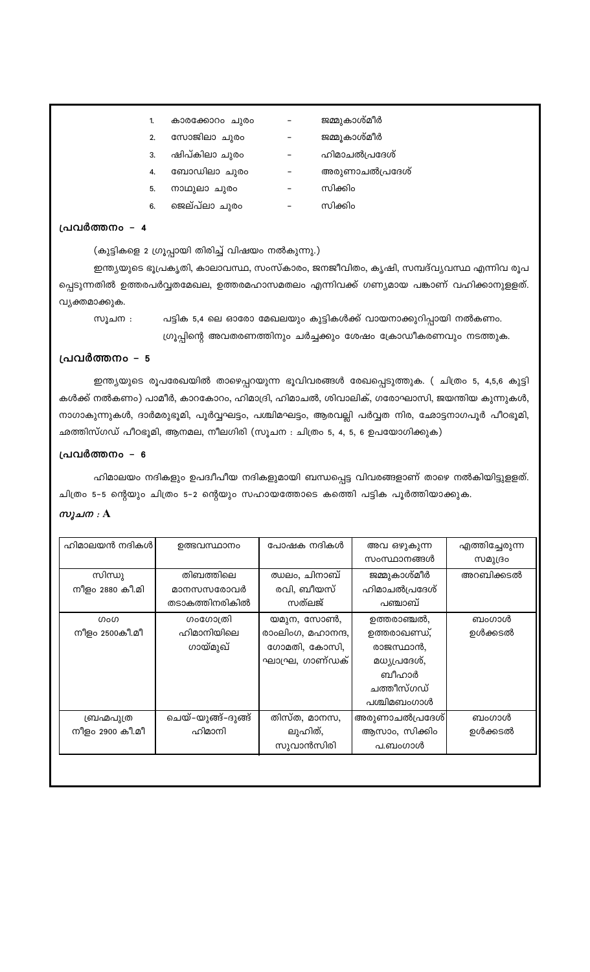- $1.$ കാരക്കോറം ചുരം  $\equiv$ ജമ്മുകാശ്മീർ
- സോജിലാ ചുരം  $2.$  $\equiv$ 
	-
	- ഷിപ്കിലാ ചുരം
- ബോഡിലാ ചുരം 4.

3.

- നാഥുലാ ചുരം 5.
- ജെല്പ്ലാ ചുരം 6.  $\frac{1}{2}$

## പ്രവർത്തനം - 4

(കുട്ടികളെ 2 ഗ്രൂപ്പായി തിരിച്ച് വിഷയം നൽകുന്നു.)

ഇന്ത്യയുടെ ഭൂപ്രകൃതി, കാലാവസ്ഥ, സംസ്കാരം, ജനജീവിതം, കൃഷി, സമ്പദ്വുവസ്ഥ എന്നിവ രൂപ പ്പെടുന്നതിൽ ഉത്തരപർവ്വതമേഖല, ഉത്തരമഹാസമതലം എന്നിവക്ക് ഗണ്യമായ പങ്കാണ് വഹിക്കാനുളളത്. വ്യക്തമാക്കുക.

പട്ടിക 5,4 ലെ ഓരോ മേഖലയും കുട്ടികൾക്ക് വായനാക്കുറിപ്പായി നൽകണം. സൂചന $:$ ഗ്രൂപ്പിന്റെ അവതരണത്തിനും ചർച്ചക്കും ശേഷം ക്രോഡീകരണവും നടത്തുക.

#### പ്രവർത്തനം - 5

ഇന്ത്യയുടെ രൂപരേഖയിൽ താഴെപ്പറയുന്ന ഭൂവിവരങ്ങൾ രേഖപ്പെടുത്തുക. ( ചിത്രം 5, 4,5,6 കുട്ടി കൾക്ക് നൽകണം) പാമീർ, കാറകോറം, ഹിമാദ്രി, ഹിമാചൽ, ശിവാലിക്, ഗരോഘാസി, ജയന്തിയ കുന്നുകൾ, നാഗാകുന്നുകൾ, ദാർമരുഭൂമി, പൂർവ്വഘട്ടം, പശ്ചിമഘട്ടം, ആരവല്ലി പർവ്വത നിര, ഛോട്ടനാഗപൂർ പീഠഭൂമി, ഛത്തിസ്ഗഡ് പീഠഭൂമി, ആനമല, നീലഗിരി (സൂചന : ചിത്രം 5, 4, 5, 6 ഉപയോഗിക്കുക)

## പ്രവർത്തനം - 6

ഹിമാലയം നദികളും ഉപദ്വീപീയ നദികളുമായി ബന്ധപ്പെട്ട വിവരങ്ങളാണ് താഴെ നൽകിയിട്ടുളളത്. ചിത്രം 5–5 ന്റെയും ചിത്രം 5–2 ന്റെയും സഹായത്തോടെ കത്തെി പട്ടിക പൂർത്തിയാക്കുക. സൂചന  $: A$ 

| ഹിമാലയൻ നദികൾ   | ഉത്ഭവസ്ഥാനം        | പോഷക നദികൾ        | അവ ഒഴുകുന്ന    | എത്തിച്ചേരുന്ന |
|-----------------|--------------------|-------------------|----------------|----------------|
|                 |                    |                   | സംസ്ഥാനങ്ങൾ    | സമുദ്രം        |
| സിന്ധു          | തിബത്തിലെ          | ഝലം, ചിനാബ്       | ജമ്മുകാശ്മീർ   | അറബിക്കടൽ      |
| നീളം 2880 കീ.മി | മാനസസരോവർ          | രവി, ബീയസ്        | ഹിമാചൽപ്രദേശ്  |                |
|                 | തടാകത്തിനരികിൽ     | സത്ലജ്            | പഞ്ചാബ്        |                |
| 0000            | ഗംഗോത്രി           | യമുന, സോൺ,        | ഉത്തരാഞ്ചൽ,    | ബംഗാൾ          |
| നീളം 2500കീ.മീ  | ഹിമാനിയിലെ         | രാംലിംഗ, മഹാനന്ദ, | ഉത്തരാഖണ്ഡ്,   | ഉൾക്കടൽ        |
|                 | ഗായ്മുഖ്           | ഗോമതി, കോസി,      | രാജസ്ഥാൻ,      |                |
|                 |                    | ഘാഘ്ര, ഗാണ്ഡക്    | മധ്യപ്രദേശ്,   |                |
|                 |                    |                   | ബീഹാർ          |                |
|                 |                    |                   | ചത്തീസ്ഗഡ്     |                |
|                 |                    |                   | പശ്ചിമബംഗാൾ    |                |
| ബ്രഹ്മപുത്ര     | ചെയ്–യുങ്ങ്–ദുങ്ങ് | തിസ്ത, മാനസ,      | അരുണാചൽപ്രദേശ് | ബംഗാൾ          |
| നീളം 2900 കീ.മീ | ഹിമാനി             | ലുഹിത്,           | ആസാം, സിക്കിം  | ഉൾക്കടൽ        |
|                 |                    | സുവാൻസിരി         | പ.ബംഗാൾ        |                |
|                 |                    |                   |                |                |
|                 |                    |                   |                |                |

ഹിമാചൽപ്രദേശ് അരുണാചൽപ്രദേശ്

ജമ്മൂകാശ്മീർ

- സിക്കിം
- സിക്കിം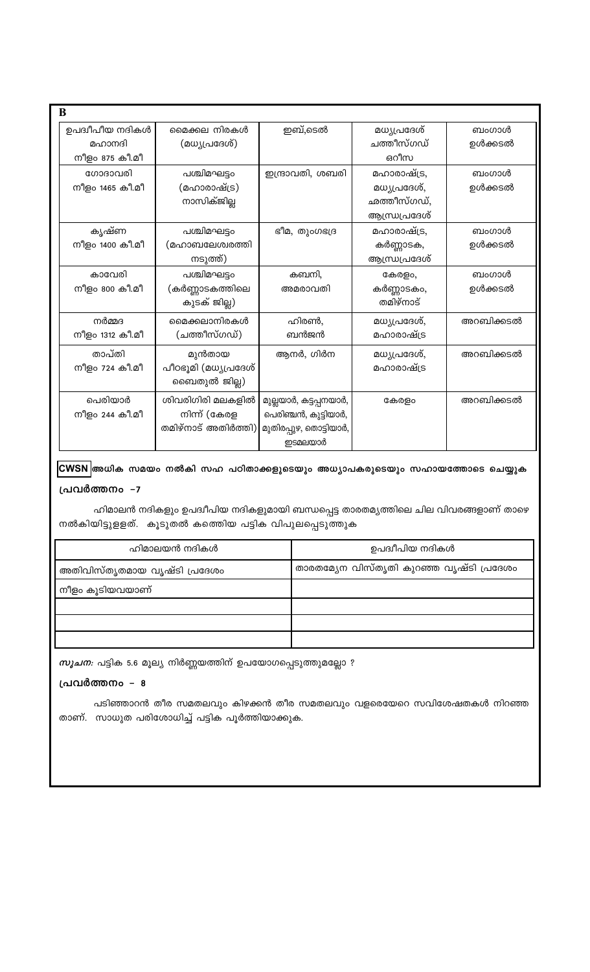| B               |                      |                        |               |           |
|-----------------|----------------------|------------------------|---------------|-----------|
| ഉപദ്വീപീയ നദികൾ | മൈക്കല നിരകൾ         | ഇബ്,ടെൽ                | മധ്യപ്രദേശ്   | ബംഗാൾ     |
| മഹാനദി          | (മധ്യപ്രദേശ്)        |                        | ചത്തീസ്ഗഡ്    | ഉൾക്കടൽ   |
| നീളം 875 കീ.മീ  |                      |                        | ഒറീസ          |           |
| ഗോദാവരി         | പശ്ചിമഘട്ടം          | ഇന്ദ്രാവതി, ശബരി       | മഹാരാഷ്ട്ര,   | ബംഗാൾ     |
| നീളം 1465 കീ.മീ | (മഹാരാഷ്ട്ര)         |                        | മധ്യപ്രദേശ്,  | ഉൾക്കടൽ   |
|                 | നാസിക്ജില്ല          |                        | ഛത്തീസ്ഗഡ്,   |           |
|                 |                      |                        | ആന്ധ്രപ്രദേശ് |           |
| കൃഷ്ണ           | പശ്ചിമഘട്ടം          | ഭീമ, തുംഗഭദ്ര          | മഹാരാഷ്ട്ര,   | ബംഗാൾ     |
| നീളം 1400 കീ.മീ | (മഹാബലേശ്വരത്തി      |                        | കർണ്ണാടക,     | ഉൾക്കടൽ   |
|                 | നടുത്ത്)             |                        | ആന്ധ്രപ്രദേശ് |           |
| കാവേരി          | പശ്ചിമഘട്ടം          | കബനി,                  | കേരളം,        | ബംഗാൾ     |
| നീളം 800 കീ.മീ  | (കർണ്ണാടകത്തിലെ      | അമരാവതി                | കർണ്ണാടകം,    | ഉൾക്കടൽ   |
|                 | കുടക് ജില്ല)         |                        | തമിഴ്നാട്     |           |
| നർമ്മദ          | മൈക്കലാനിരകൾ         | ഹിരൺ,                  | മധ്യപ്രദേശ്,  | അറബിക്കടൽ |
| നീളം 1312 കീ.മീ | (ചത്തീസ്ഗഡ്)         | ബൻജൻ                   | മഹാരാഷ്ട്ര    |           |
| താപ്തി          | മുൻതായ               | ആനർ, ഗിർന              | മധ്യപ്രദേശ്,  | അറബിക്കടൽ |
| നീളം 724 കീ.മീ  | പീഠഭൂമി (മധ്യപ്രദേശ് |                        | മഹാരാഷ്ട്ര    |           |
|                 | ബൈതുൽ ജില്ല)         |                        |               |           |
| പെരിയാർ         | ശിവരിഗിരി മലകളിൽ     | മുല്ലയാർ, കട്ടപ്പനയാർ, | കേരളം         | അറബിക്കടൽ |
| നീളം 244 കീ.മീ  | നിന്ന് (കേരള         | പെരിഞ്ചൻ, കുട്ടിയാർ,   |               |           |
|                 | തമിഴ്നാട് അതിർത്തി)  | മുതിരപ്പുഴ, തൊട്ടിയാർ, |               |           |
|                 |                      | ഇടമലയാർ                |               |           |

## CWSN അധിക സമയം നൽകി സഹ പഠിതാക്കളുടെയും അധ്യാപകരുടെയും സഹായത്തോടെ ചെയ്യുക പ്രവർത്തനം -7

ഹിമാലൻ നദികളും ഉപദ്വീപിയ നദികളുമായി ബന്ധപ്പെട്ട താരതമ്യത്തിലെ ചില വിവരങ്ങളാണ് താഴെ നൽകിയിട്ടുളളത്. കൂടുതൽ കത്തിെയ പട്ടിക വിപുലപ്പെടുത്തുക

| ഹിമാലയൻ നദികൾ                | ഉപദ്വീപിയ നദികൾ                          |
|------------------------------|------------------------------------------|
| അതിവിസ്തൃതമായ വൃഷ്ടി പ്രദേശം | താരതമ്യേന വിസ്തൃതി കുറഞ്ഞ വൃഷ്ടി പ്രദേശം |
| നീളം കൂടിയവയാണ്              |                                          |
|                              |                                          |
|                              |                                          |
|                              |                                          |
|                              |                                          |

*സൂചന:* പട്ടിക 5.6 മൂല്യ നിർണ്ണയത്തിന് ഉപയോഗപ്പെടുത്തുമല്ലോ ?

## പ്രവർത്തനം - 8

പടിഞ്ഞാറൻ തീര സമതലവും കിഴക്കൻ തീര സമതലവും വളരെയേറെ സവിശേഷതകൾ നിറഞ്ഞ താണ്. സാധുത പരിശോധിച്ച് പട്ടിക പൂർത്തിയാക്കുക.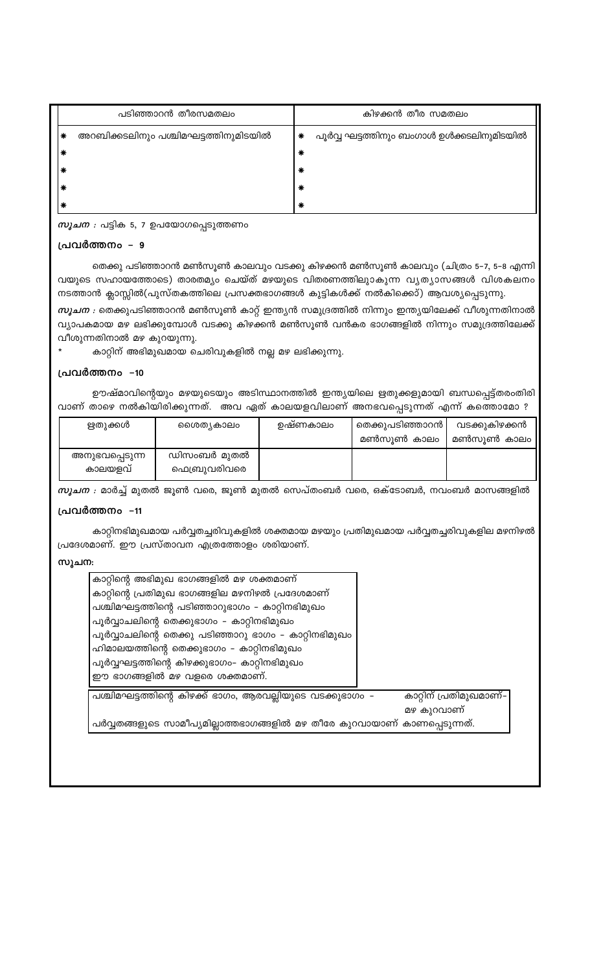| കാറ്റിന്റെ അഭിമുഖ ഭാഗങ്ങളിൽ മഴ ശക്തമാണ്                                   |                        |
|---------------------------------------------------------------------------|------------------------|
| കാറ്റിന്റെ പ്രതിമുഖ ഭാഗങ്ങളില മഴനിഴൽ പ്രദേശമാണ്                           |                        |
| പശ്ചിമഘട്ടത്തിന്റെ പടിഞ്ഞാറുഭാഗം – കാറ്റിനഭിമുഖം                          |                        |
| പൂർവ്വാചലിന്റെ തെക്കുഭാഗം – കാറ്റിനഭിമുഖം                                 |                        |
| പൂർവ്വാചലിന്റെ തെക്കു പടിഞ്ഞാറു ഭാഗം – കാറ്റിനഭിമുഖം                      |                        |
| ഹിമാലയത്തിന്റെ തെക്കുഭാഗം – കാറ്റിനഭിമുഖം                                 |                        |
| പൂർവ്വഘട്ടത്തിന്റെ കിഴക്കുഭാഗം- കാറ്റിനഭിമുഖം                             |                        |
| ഈ ഭാഗങ്ങളിൽ മഴ വളരെ ശക്തമാണ്.                                             |                        |
| പശ്ചിമഘട്ടത്തിന്റെ കിഴക്ക് ഭാഗം, ആരവല്ലിയുടെ വടക്കുഭാഗം –                 | കാറ്റിന് പ്രതിമുഖമാണ്– |
|                                                                           | മഴ കുറവാണ്             |
| പർവ്വതങ്ങളുടെ സാമീപ്യമില്ലാത്തഭാഗങ്ങളിൽ മഴ തീരേ കുറവായാണ് കാണപ്പെടുന്നത്. |                        |

# സു

കാറ്റിനഭിമുഖമായ പർവ്വതച്ചരിവുകളിൽ ശക്തമായ മഴയും പ്രതിമുഖമായ പർവ്വതച്ചരിവുകളില മഴനിഴൽ പ്രദേശമാണ്. ഈ പ്രസ്താവന എത്രത്തോളം ശരിയാണ്.

#### പ്രവർത്തനം -11

 $m$ ൂചന : മാർച്ച് മുതൽ ജൂൺ വരെ, ജൂൺ മുതൽ സെപ്തംബർ വരെ, ഒക്ടോബർ, നവംബർ മാസങ്ങളിൽ

| ഋതുക്കൾ                   | ൈശത്യകാലം                   | ഉഷ്ണകാലം | തെക്കുപടിഞ്ഞാറൻ  <br>മൺസുൺ കാലം | വടക്കുകിഴക്കൻ<br>മൺസുൺ കാലം |
|---------------------------|-----------------------------|----------|---------------------------------|-----------------------------|
| അനുഭവപ്പെടുന്ന<br>കാലയളവ് | ഡിസംബർ മുതൽ<br>ഫെബ്രുവരിവരെ |          |                                 |                             |

ഊഷ്മാവിന്റെയും മഴയുടെയും അടിസ്ഥാനത്തിൽ ഇന്ത്യയിലെ ഋതുക്കളുമായി ബന്ധപ്പെട്ട്തരംതിരി വാണ് താഴെ നൽകിയിരിക്കുന്നത്. അവ ഏത് കാലയളവിലാണ് അനഭവപ്പെടുന്നത് എന്ന് കത്തൊമോ ?

#### പ്രവർത്തനം –10

കാറ്റിന് അഭിമുഖമായ ചെരിവുകളിൽ നല്ല മഴ ലഭിക്കുന്നു.

വീശുന്നതിനാൽ മഴ കുറയുന്നു.

നടത്താൻ ക്ലാസ്സിൽ(പുസ്തകത്തിലെ പ്രസക്തഭാഗങ്ങൾ കുട്ടികൾക്ക് നൽകിക്കൊ്) ആവശ്യപ്പെടുന്നു. *സൂചന :* തെക്കുപടിഞ്ഞാറൻ മൺസൂൺ കാറ്റ് ഇന്ത്യൻ സമുദ്രത്തിൽ നിന്നും ഇന്ത്യയിലേക്ക് വീശുന്നതിനാൽ വ്യാപകമായ മഴ ലഭിക്കുമ്പോൾ വടക്കു കിഴക്കൻ മൺസൂൺ വൻകര ഭാഗങ്ങളിൽ നിന്നും സമുദ്രത്തിലേക്ക്

തെക്കു പടിഞ്ഞാറൻ മൺസൂൺ കാലവും വടക്കു കിഴക്കൻ മൺസൂൺ കാലവും (ചിത്രം 5-7, 5-8 എന്നി വയുടെ സഹായത്തോടെ) താരതമ്യം ചെയ്ത് മഴയുടെ വിതരണത്തിലുാകുന്ന വ്യത്യാസങ്ങൾ വിശകലനം

## പ്രവർത്തനം – 9

*സൂചന :* പട്ടിക 5, 7 ഉപയോഗപ്പെടുത്തണം

| പടിഞ്ഞാറൻ തീരസമതലം                   |        | കിഴക്കൻ തീര സമതലം                         |
|--------------------------------------|--------|-------------------------------------------|
| അറബിക്കടലിനും പശ്ചിമഘട്ടത്തിനുമിടയിൽ | ∗      | പൂർവ്വ ഘട്ടത്തിനും ബംഗാൾ ഉൾക്കടലിനുമിടയിൽ |
|                                      | ∗      |                                           |
|                                      | $\ast$ |                                           |
|                                      | ∗      |                                           |
|                                      | ∗      |                                           |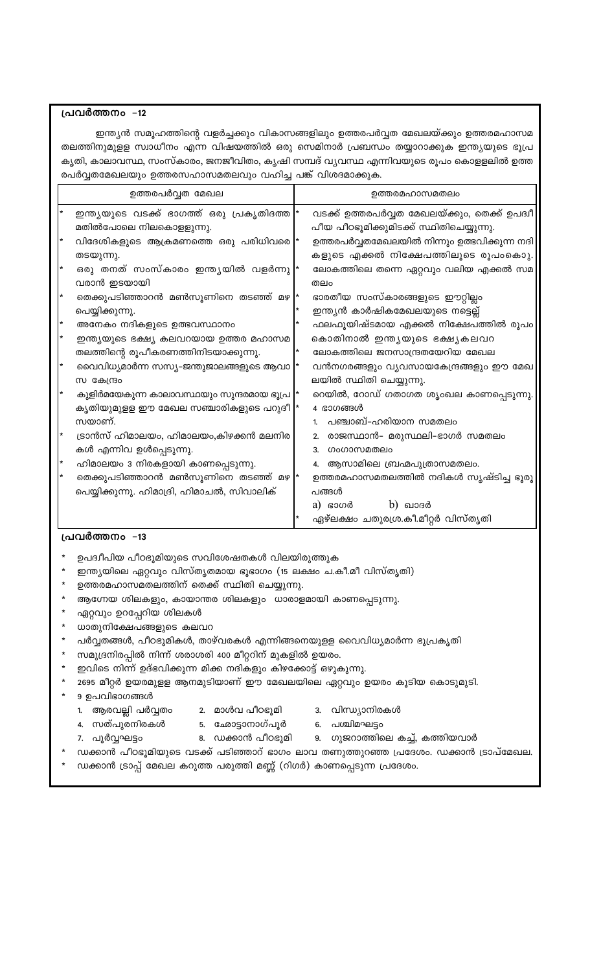## പ്രവർത്തനം -12

ഇന്ത്യൻ സമൂഹത്തിന്റെ വളർച്ചക്കും വികാസങ്ങളിലും ഉത്തരപർവ്വത മേഖലയ്ക്കും ഉത്തരമഹാസമ തലത്തിനുമുളള സ്വാധീനം എന്ന വിഷയത്തിൽ ഒരു സെമിനാർ പ്രബന്ധം തയ്യാറാക്കുക ഇന്ത്യയുടെ ഭൂപ്ര കൃതി, കാലാവസ്ഥ, സംസ്കാരം, ജനജീവിതം, കൃഷി സമ്പദ് വ്യവസ്ഥ എന്നിവയുടെ രൂപം കൊളളലിൽ ഉത്ത രപർവ്വതമേഖലയും ഉത്തരസഹാസമതലവും വഹിച്ച പങ്ക് വിശദമാക്കുക.

|        | ഉത്തരപർവ്വത മേഖല                                                                   | ഉത്തരമഹാസമതലം                                                                             |
|--------|------------------------------------------------------------------------------------|-------------------------------------------------------------------------------------------|
| $\ast$ | ഇന്ത്യയുടെ വടക്ക് ഭാഗത്ത് ഒരു പ്രകൃതിദത്ത  *<br>മതിൽപോലെ നിലകൊളളുന്നു.             | വടക്ക് ഉത്തരപർവ്വത മേഖലയ്ക്കും, തെക്ക് ഉപദ്വീ<br>പീയ പീഠഭൂമിക്കുമിടക്ക് സ്ഥിതിചെയ്യുന്നു. |
| *      | വിദേശികളുടെ ആക്രമണത്തെ ഒരു പരിധിവരെ  *                                             | ഉത്തരപർവ്വതമേഖലയിൽ നിന്നും ഉത്ഭവിക്കുന്ന നദി                                              |
| l*     | തടയുന്നു.<br>ഒരു തനത് സംസ്കാരം ഇന്ത്യയിൽ വളർന്നു  *                                | കളുടെ എക്കൽ നിക്ഷേപത്തിലൂടെ രൂപംകൊു.<br>ലോകത്തിലെ തന്നെ ഏറ്റവും വലിയ എക്കൽ സമ             |
|        | വരാൻ ഇടയായി<br>തെക്കുപടിഞ്ഞാറൻ മൺസൂണിനെ തടഞ്ഞ് മഴ *                                | തലം<br>ഭാരതീയ സംസ്കാരങ്ങളുടെ ഈറ്റില്ലം                                                    |
| *      | പെയ്യിക്കുന്നു.<br>അനേകം നദികളുടെ ഉത്ഭവസ്ഥാനം                                      | ഇന്ത്യൻ കാർഷികമേഖലയുടെ നട്ടെല്ല്<br>ഫലഫൂയിഷ്ടമായ എക്കൽ നിക്ഷേപത്തിൽ രൂപം                  |
| l*     | ഇന്ത്യയുടെ ഭക്ഷ്യ കലവറയായ ഉത്തര മഹാസമ                                              | കൊതിനാൽ ഇന്ത്യയുടെ ഭക്ഷ്യകലവറ                                                             |
| l*     | തലത്തിന്റെ രൂപീകരണത്തിനിടയാക്കുന്നു.<br>വൈവിധ്യമാർന്ന സസ്യ-ജന്തുജാലങ്ങളുടെ ആവാ     | ലോകത്തിലെ ജനസാന്ദ്രതയേറിയ മേഖല<br>വൻനഗരങ്ങളും വ്യവസായകേന്ദ്രങ്ങളും ഈ മേഖ                  |
|        | സ കേന്ദ്രം                                                                         | ലയിൽ സ്ഥിതി ചെയ്യുന്നു.                                                                   |
|        | കുളിർമയേകുന്ന കാലാവസ്ഥയും സുന്ദരമായ ഭൂപ്ര<br>കൃതിയുമുളള ഈ മേഖല സഞ്ചാരികളുടെ പറുദീ  | റെയിൽ, റോഡ് ഗതാഗത ശൃംഖല കാണപ്പെടുന്നു.<br>4 ഭാഗങ്ങൾ                                       |
| *      | സയാണ്.                                                                             | പഞ്ചാബ്–ഹരിയാന സമതലം<br>1.                                                                |
|        | ട്രാൻസ് ഹിമാലയം, ഹിമാലയം,കിഴക്കൻ മലനിര<br>കൾ എന്നിവ ഉൾപ്പെടുന്നു.                  | രാജസ്ഥാൻ– മരുസ്ഥലി–ഭാഗർ സമതലം<br>2.<br>ഗംഗാസമതലം<br>3.                                    |
| *      | ഹിമാലയം 3 നിരകളായി കാണപ്പെടുന്നു.                                                  | 4. ആസാമിലെ ബ്രഹ്മപുത്രാസമതലം.                                                             |
| ∗      | തെക്കുപടിഞ്ഞാറൻ മൺസൂണിനെ തടഞ്ഞ് മഴ *<br>പെയ്യിക്കുന്നു. ഹിമാദ്രി, ഹിമാചൽ, സിവാലിക് | ഉത്തരമഹാസമതലത്തിൽ നദികൾ സൃഷ്ടിച്ച ഭൂരൂ<br>പങ്ങൾ<br>$b)$ ഖാദർ<br>$a)$ ഭാഗർ                 |
|        |                                                                                    | ഏഴ്ലക്ഷം ചതുരശ്ര.കീ.മീറ്റർ വിസ്തൃതി                                                       |

#### പ്രവർത്തനം -13

- ഉപദ്വീപിയ പീഠഭൂമിയുടെ സവിശേഷതകൾ വിലയിരുത്തുക
- ഇന്ത്യയിലെ ഏറ്റവും വിസ്തൃതമായ ഭൂഭാഗം (15 ലക്ഷം ച.കീ.മീ വിസ്തൃതി)
- ഉത്തരമഹാസമതലത്തിന് തെക്ക് സ്ഥിതി ചെയ്യുന്നു.

ഏറ്റവും ഉറപ്പേറിയ ശിലകൾ ധാതുനിക്ഷേപങ്ങളുടെ കലവറ

9 ഉപവിഭാഗങ്ങൾ

7. പൂർവ്വഘട്ടം

1. ആരവല്ലി പർവ്വതം

4. സത്പുരനിരകൾ

- 
- 
- 

സമുദ്രനിരപ്പിൽ നിന്ന് ശരാശരി 400 മീറ്ററിന് മുകളിൽ ഉയരം.

ഇവിടെ നിന്ന് ഉദ്ഭവിക്കുന്ന മിക്ക നദികളും കിഴക്കോട്ട് ഒഴുകുന്നു.

- 
- 
- 
- 

ആഗ്നേയ ശിലകളും, കായാന്തര ശിലകളും ധാരാളമായി കാണപ്പെടുന്നു.

2. മാൾവ പീഠഭൂമി

ഡക്കാൻ ട്രാപ്പ് മേഖല കറുത്ത പരുത്തി മണ്ണ് (റിഗർ) കാണപ്പെടുന്ന പ്രദേശം.

.<br>5. ഛോട്ടാനാഗ്പൂർ<br>-

പർവ്വതങ്ങൾ, പീഠഭൂമികൾ, താഴ്വരകൾ എന്നിങ്ങനെയുളള വൈവിധ്യമാർന്ന ഭൂപ്രകൃതി

2695 മീറ്റർ ഉയരമുളള ആനമുടിയാണ് ഈ മേഖലയിലെ ഏറ്റവും ഉയരം കൂടിയ കൊടുമുടി.

ഡക്കാൻ പീഠഭൂമിയുടെ വടക്ക് പടിഞ്ഞാറ് ഭാഗം ലാവ തണുത്തുറഞ്ഞ പ്രദേശം. ഡക്കാൻ ട്രാപ്മേഖല.

3. വിന്ധ്യാനിരകൾ

6. പശ്ചിമഘട്ടം 8. ഡക്കാൻ പീഠഭൂമി 9. ഗുജറാത്തിലെ കച്ച്, കത്തിയവാർ

- 
- 
- 
- 
- 
- 
- 
- 
- 
- 
- 
- 
- 
- 
- 
- 
- 
- 
- 
- 
- 
- 
- 
- 
-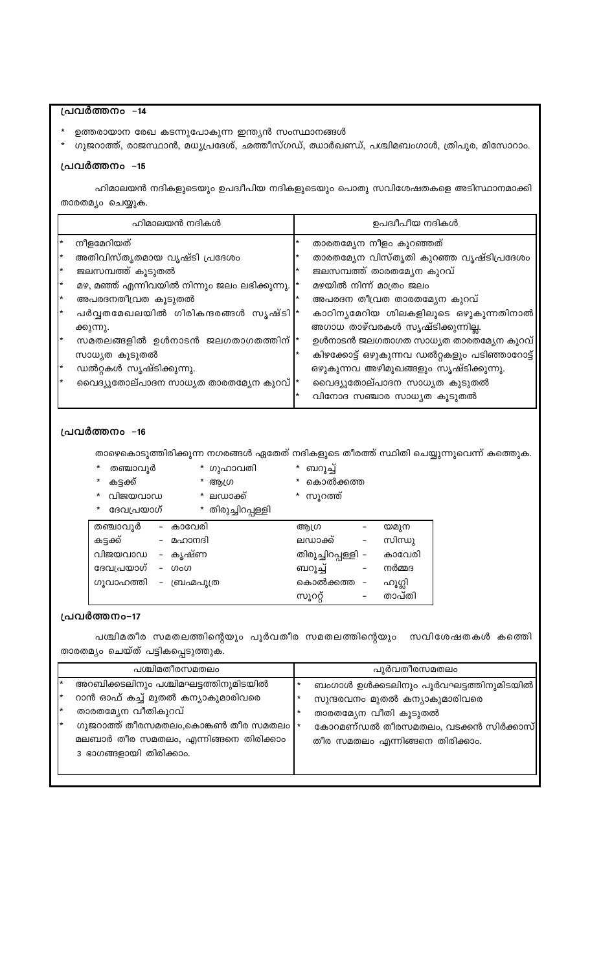## പ്രവർത്തനം –14

- ഉത്തരായാന രേഖ കടന്നുപോകുന്ന ഇന്ത്യൻ സംസ്ഥാനങ്ങൾ
- ഗുജറാത്ത്, രാജസ്ഥാൻ, മധ്യപ്രദേശ്, ഛത്തീസ്ഗഡ്, ഝാർഖണ്ഡ്, പശ്ചിമബംഗാൾ, ത്രിപുര, മിസോറാം.

## പ്രവർത്തനം -15

ഹിമാലയൻ നദികളുടെയും ഉപദ്വീപിയ നദികളുടെയും പൊതു സവിശേഷതകളെ അടിസ്ഥാനമാക്കി താരതമ്യം ചെയ്യുക.

|    | ഹിമാലയൻ നദികൾ                                   | ഉപദ്വീപീയ നദികൾ                               |
|----|-------------------------------------------------|-----------------------------------------------|
|    | നീളമേറിയത്                                      | താരതമ്യേന നീളം കുറഞ്ഞത്                       |
|    | അതിവിസ്തൃതമായ വൃഷ്ടി പ്രദേശം                    | താരതമ്യേന വിസ്തൃതി കുറഞ്ഞ വൃഷ്ടിപ്രദേശം       |
| l* | ജലസമ്പത്ത് കൂടുതൽ                               | ജലസമ്പത്ത് താരതമ്യേന കുറവ്                    |
| *  | മഴ, മഞ്ഞ് എന്നിവയിൽ നിന്നും ജലം ലഭിക്കുന്നു.  * | മഴയിൽ നിന്ന് മാത്രം ജലം                       |
| l* | അപരദനതീവ്രത കൂടുതൽ                              | അപരദന തീവ്രത താരതമ്യേന കുറവ്                  |
| l* | പർവ്വതമേഖലയിൽ ഗിരികന്ദരങ്ങൾ സൃഷ്ടി  *           | കാഠിന്യമേറിയ ശിലകളിലൂടെ ഒഴുകുന്നതിനാൽ         |
|    | ക്കുന്നു.                                       | അഗാധ താഴ്വരകൾ സൃഷ്ടിക്കുന്നില്ല.              |
| I∗ | സമതലങ്ങളിൽ ഉൾനാടൻ ജലഗതാഗതത്തിന്  *              | ഉൾനാടൻ ജലഗതാഗത സാധ്യത താരതമ്യേന കുറവ്         |
|    | സാധ്യത കൂടുതൽ                                   | കിഴക്കോട്ട് ഒഴുകുന്നവ ഡൽറ്റകളും പടിഞ്ഞാറോട്ട് |
| l* | ഡൽറ്റകൾ സൃഷ്ടിക്കുന്നു.                         | ഒഴുകുന്നവ അഴിമുഖങ്ങളും സൃഷ്ടിക്കുന്നു.        |
| l* | വൈദ്യുതോല്പാദന സാധ്യത താരതമ്യേന കുറവ്  *        | വൈദ്യുതോല്പാദന സാധ്യത കൂടുതൽ                  |
|    |                                                 | വിനോദ സഞ്ചാര സാധ്യത കൂടുതൽ                    |

#### പ്രവർത്തനം -16

താഴെകൊടുത്തിരിക്കുന്ന നഗരങ്ങൾ ഏതേത് നദികളുടെ തീരത്ത് സ്ഥിതി ചെയ്യുന്നുവെന്ന് കത്തെുക.

|  | തഞ്ചാവൂ |
|--|---------|
|--|---------|

- ൂർ \* ഗുഹാവതി \* ബറൂച്ച്
- കട്ടക്ക്  $\star$ \* വിജയവാഡ
- \* ആഗ്ര
- \* ലഡാക്ക്
- \* കൊൽക്കത്ത \* സൂറത്ത്
- \* ദേവപ്രയാഗ് \* തിരുച്ചിറപ്പള്ളി തഞ്ചാവൂർ - കാവേരി ആഗ്ര യമുന  $\mathcal{L}_{\text{max}} = 100$ കട്ടക്ക് – മഹാനദി ലഡാക്ക് സിന്ധു വിജയവാഡ - കൃഷ്ണ തിരുച്ചിറപ്പള്ളി – കാവേരി ദേവപ്രയാഗ് – ഗംഗ ബറൂച്ച് നർമ്മദ ഗൂവാഹത്തി - ബ്രഹ്മപുത്ര കൊൽക്കത്ത – ഹൂഗ്ലി സൂററ്റ് താപ്തി

## പ്രവർത്തനം-17

പശ്ചിമതീര സമതലത്തിന്റെയും പൂർവതീര സമതലത്തിന്റെയും സവിശേഷതകൾ കത്തെി താരതമ്യം ചെയ്ത് പട്ടികപ്പെടുത്തുക.

| പശ്ചിമതീരസമതലം                                                                                                             | പുർവതീരസമതലം                                                           |
|----------------------------------------------------------------------------------------------------------------------------|------------------------------------------------------------------------|
| അറബിക്കടലിനും പശ്ചിമഘട്ടത്തിനുമിടയിൽ                                                                                       | ബംഗാൾ ഉൾക്കടലിനും പൂർവഘട്ടത്തിനുമിടയിൽ                                 |
| റാൻ ഓഫ് കച്ച് മുതൽ കന്യാകുമാരിവരെ<br>താരതമ്യേന വീതികുറവ്                                                                   | സുന്ദരവനം മുതൽ കന്യാകുമാരിവരെ<br>താരതമ്യേന വീതി കൂടുതൽ                 |
| ഗുജറാത്ത് തീരസമതലം,കൊങ്കൺ തീര സമതലം $\vert \ast \vert$<br>മലബാർ തീര സമതലം, എന്നിങ്ങനെ തിരിക്കാം<br>3 ഭാഗങ്ങളായി തിരിക്കാം. | കോറമണ്ഡൽ തീരസമതലം, വടക്കൻ സിർക്കാസ്<br>തീര സമതലം എന്നിങ്ങനെ തിരിക്കാം. |
|                                                                                                                            |                                                                        |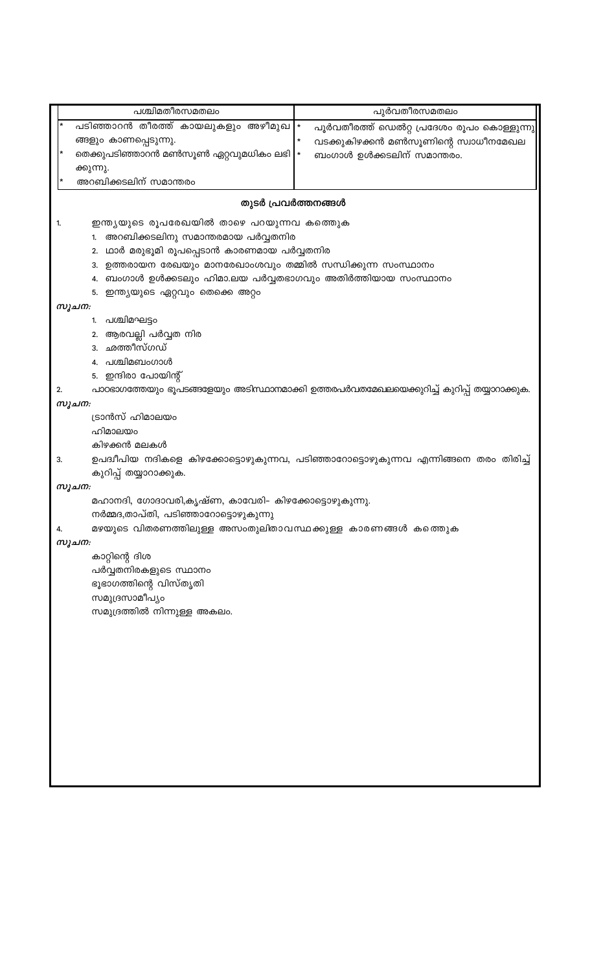പശ്ചിമതീരസമതലം പുർവതീരസമതലം പടിഞ്ഞാറൻ തീരത്ത് കായലുകളും അഴീമുഖ പൂർവതീരത്ത് ഡെൽറ്റ പ്രദേശം രൂപം കൊള്ളുന്നു ങ്ങളും കാണപ്പെടുന്നു. വടക്കുകിഴക്കൻ മൺസൂണിന്റെ സ്വാധീനമേഖല തെക്കുപടിഞ്ഞാറൻ മൺസൂൺ ഏറ്റവുമധികം ലഭി ബംഗാൾ ഉൾക്കടലിന് സമാന്തരം. ക്കുന്നു. അറബിക്കടലിന് സമാന്തരം തുടർ പ്രവർത്തനങ്ങൾ 1. ഇന്ത്യയുടെ രൂപരേഖയിൽ താഴെ പറയുന്നവ കത്തെുക 1. അറബിക്കടലിനു സമാന്തരമായ പർവ്വതനിര 2. ഥാർ മരുഭൂമി രൂപപ്പെടാൻ കാരണമായ പർവ്വതനിര 3. ഉത്തരായന രേഖയും മാനരേഖാംശവും തമ്മിൽ സന്ധിക്കുന്ന സംസ്ഥാനം 4. ബംഗാൾ ഉൾക്കടലും ഹിമാ.ലയ പർവ്വതഭാഗവും അതിർത്തിയായ സംസ്ഥാനം 5. ഇന്ത്യയുടെ ഏറ്റവും തെക്കെ അറ്റം സൂചന: 1. പശ്ചിമഘട്ടം 2. ആരവല്ലി പർവ്വത നിര 3. ഛത്തീസ്ഗഡ് 4. പശ്ചിമബംഗാൾ 5. ഇന്ദിരാ പോയിന്റ് പാഠഭാഗത്തേയും ഭൂപടങ്ങളേയും അടിസ്ഥാനമാക്കി ഉത്തരപർവതമേഖലയെക്കുറിച്ച് കുറിപ്പ് തയ്യാറാക്കുക.  $2.$ സൂചന: ട്രാൻസ് ഹിമാലയം ഹിമാലയം കിഴക്കൻ മലകൾ 3. ഉപദ്വീപിയ നദികളെ കിഴക്കോട്ടൊഴുകുന്നവ, പടിഞ്ഞാറോട്ടൊഴുകുന്നവ എന്നിങ്ങനെ തരം തിരിച്ച് കുറിപ്പ് തയ്യാറാക്കുക. സൂചന: മഹാനദി, ഗോദാവരി,കൃഷ്ണ, കാവേരി- കിഴക്കോട്ടൊഴുകുന്നു. നർമ്മദ,താപ്തി, പടിഞ്ഞാറോട്ടൊഴുകുന്നു മഴയുടെ വിതരണത്തിലുള്ള അസംതുലിതാവസ്ഥക്കുള്ള കാരണങ്ങൾ കത്തെുക 4. സൂചന: കാറ്റിന്റെ ദിശ പർവ്വതനിരകളുടെ സ്ഥാനം ഭൂഭാഗത്തിന്റെ വിസ്തൃതി സമുദ്രസാമീപ്യം സമുദ്രത്തിൽ നിന്നുള്ള അകലം.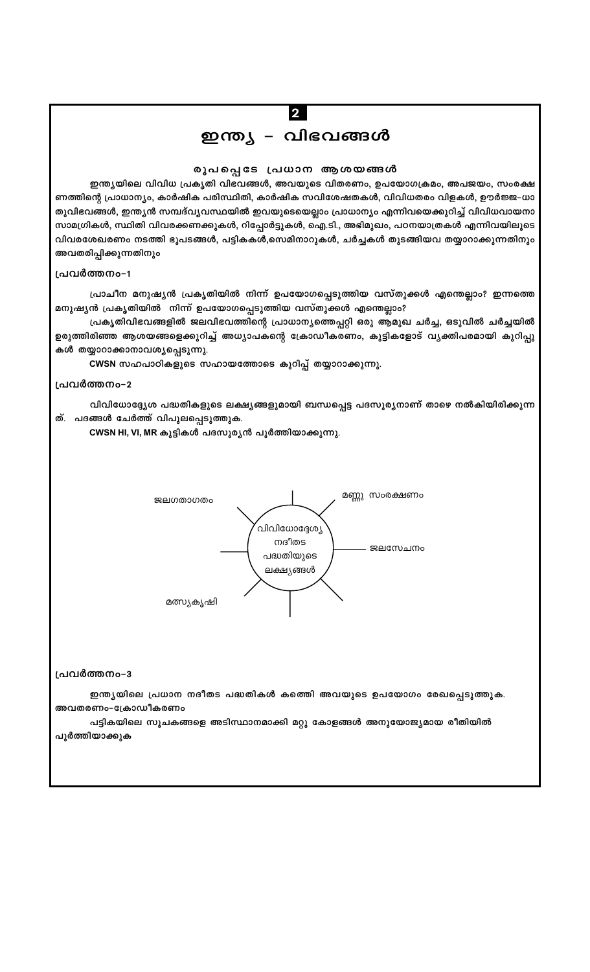# ഇന്ത്യ – വിഭവങ്ങൾ

 $\overline{\mathbf{2}}$ 

#### രൂപപ്പെടേ പ്രധാന ആശയങ്ങൾ

ഇന്ത്യയിലെ വിവിധ പ്രകൃതി വിഭവങ്ങൾ, അവയുടെ വിതരണം, ഉപയോഗക്രമം, അപജയം, സംരക്ഷ ണത്തിന്റെ പ്രാധാന്യം, കാർഷിക പരിസ്ഥിതി, കാർഷിക സവിശേഷതകൾ, വിവിധതരം വിളകൾ, ഊർജ്ജ-ധാ തുവിഭവങ്ങൾ, ഇന്ത്യൻ സമ്പദ്വ്യവസ്ഥയിൽ ഇവയുടെയെല്ലാം പ്രാധാന്യം എന്നിവയെക്കുറിച്ച് വിവിധവായനാ സാമഗ്രികൾ, സ്ഥിതി വിവരക്കണക്കുകൾ, റിപ്പോർട്ടുകൾ, ഐ.ടി., അഭിമുഖം, പഠനയാത്രകൾ എന്നിവയിലൂടെ വിവരശേഖരണം നടത്തി ഭൂപടങ്ങൾ, പട്ടികകൾ,സെമിനാറുകൾ, ചർച്ചകൾ തുടങ്ങിയവ തയ്യാറാക്കുന്നതിനും അവതരിപ്പിക്കുന്നതിനും

#### പ്രവർത്തനം-1

പ്രാചീന മനുഷ്യൻ പ്രകൃതിയിൽ നിന്ന് ഉപയോഗപ്പെടുത്തിയ വസ്തുക്കൾ എന്തെല്ലാം? ഇന്നത്തെ മനുഷ്യൻ പ്രകൃതിയിൽ നിന്ന് ഉപയോഗപ്പെടുത്തിയ വസ്തുക്കൾ എന്തെല്ലാം?

പ്രകൃതിവിഭവങ്ങളിൽ ജലവിഭവത്തിന്റെ പ്രാധാന്യത്തെപ്പറ്റി ഒരു ആമുഖ ചർച്ച, ഒടുവിൽ ചർച്ചയിൽ ഉരുത്തിരിഞ്ഞ ആശയങ്ങളെക്കുറിച്ച് അധ്യാപകന്റെ ക്രോഡീകരണം, കുട്ടികളോട് വൃക്തിപരമായി കുറിപ്പു കൾ തയ്യാറാക്കാനാവശ്യപ്പെടുന്നു.

CWSN സഹപാഠികളുടെ സഹായത്തോടെ കുറിപ്പ് തയ്യാറാക്കുന്നു.

#### പ്രവർത്തനം-2

വിവിധോദ്ദ്യേശ പദ്ധതികളുടെ ലക്ഷ്യങ്ങളുമായി ബന്ധപ്പെട്ട പദസൂര്യനാണ് താഴെ നൽകിയിരിക്കുന്ന ത്. പദങ്ങൾ ചേർത്ത് വിപുലപ്പെടുത്തുക.

CWSN HI, VI, MR കുട്ടികൾ പദസൂര്യൻ പൂർത്തിയാക്കുന്നു.



#### പ്രവർത്തനം-3

ഇന്ത്യയിലെ പ്രധാന നദീതട പദ്ധതികൾ കത്തെി അവയുടെ ഉപയോഗം രേഖപ്പെടുത്തുക. അവതരണം-ക്രോഡീകരണം

പട്ടികയിലെ സൂചകങ്ങളെ അടിസ്ഥാനമാക്കി മറ്റു കോളങ്ങൾ അനുയോജ്യമായ രീതിയിൽ പൂർത്തിയാക്കുക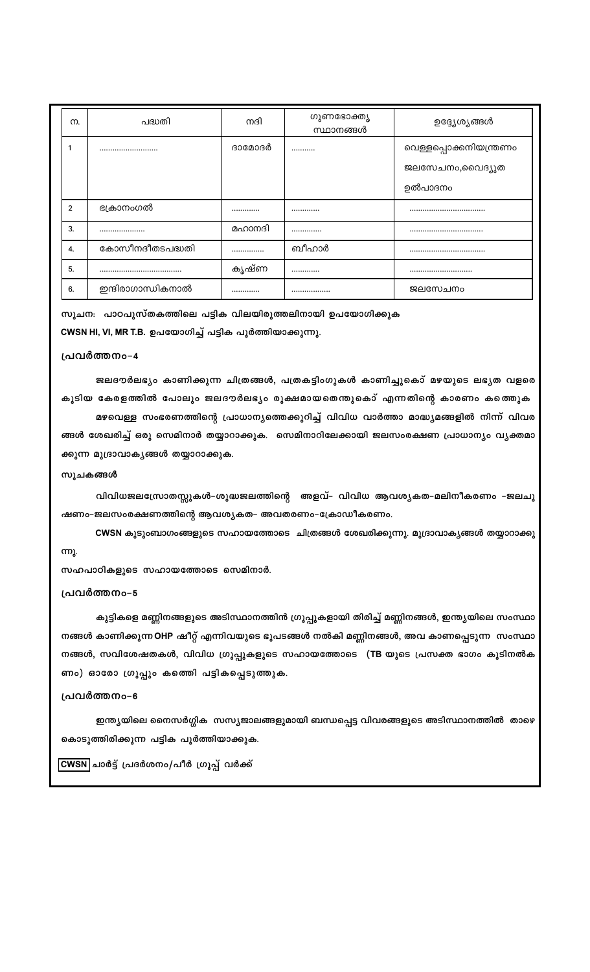| m.             | പദ്ധതി            | നദി    | ഗുണഭോക്തൃ<br>സ്ഥാനങ്ങൾ | ഉദ്ദ്യേശ്യങ്ങൾ         |
|----------------|-------------------|--------|------------------------|------------------------|
|                |                   | ദാമോദർ |                        | വെള്ളപ്പൊക്കനിയന്ത്രണം |
|                |                   |        |                        | ജലസേചനം,വൈദ്യുത        |
|                |                   |        |                        | ഉൽപാദനം                |
| $\overline{2}$ | ഭക്രാനംഗൽ         |        |                        |                        |
| 3.             |                   | മഹാനദി |                        |                        |
| 4.             | കോസീനദീതടപദ്ധതി   |        | ബീഹാർ                  |                        |
| 5.             |                   | കൃഷ്ണ  |                        |                        |
| 6.             | ഇന്ദിരാഗാന്ധികനാൽ |        |                        | ജലസേചനം                |

സൂചന: പാഠപുസ്തകത്തിലെ പട്ടിക വിലയിരുത്തലിനായി ഉപയോഗിക്കുക

CWSN HI, VI, MR T.B. ഉപയോഗിച്ച് പട്ടിക പൂർത്തിയാക്കുന്നു.

#### പ്രവർത്തനം-4

ജലദൗർലഭ്യം കാണിക്കുന്ന ചിത്രങ്ങൾ, പത്രകട്ടിംഗുകൾ കാണിച്ചുകൊ് മഴയുടെ ലഭ്യത വളരെ കൂടിയ കേരളത്തിൽ പോലും ജലദൗർലഭ്യം രൂക്ഷമായതെന്തുകൊ് എന്നതിന്റെ കാരണം കത്തെുക

മഴവെള്ള സംഭരണത്തിന്റെ പ്രാധാന്യത്തെക്കുറിച്ച് വിവിധ വാർത്താ മാദ്ധ്യമങ്ങളിൽ നിന്ന് വിവര ങ്ങൾ ശേഖരിച്ച് ഒരു സെമിനാർ തയ്യാറാക്കുക. സെമിനാറിലേക്കായി ജലസംരക്ഷണ പ്രാധാന്യം വ്യക്തമാ ക്കുന്ന മുദ്രാവാകൃങ്ങൾ തയ്യാറാക്കുക.

#### സൂചകങ്ങൾ

വിവിധജലസ്രോതസ്സുകൾ-ശുദ്ധജലത്തിന്റെ അളവ്- വിവിധ ആവശ്യകത-മലിനീകരണം -ജലചൂ ഷണം-ജലസംരക്ഷണത്തിന്റെ ആവശ്യകത- അവതരണം-ക്രോഡീകരണം.

CWSN കുടുംബാഗംങ്ങളുടെ സഹായത്തോടെ ചിത്രങ്ങൾ ശേഖരിക്കുന്നു. മുദ്രാവാകൃങ്ങൾ തയ്യാറാക്കു ന്നു.

സഹപാഠികളുടെ സഹായത്തോടെ സെമിനാർ.

#### പ്രവർത്തനം-5

കുട്ടികളെ മണ്ണിനങ്ങളുടെ അടിസ്ഥാനത്തിൻ ഗ്രൂപ്പുകളായി തിരിച്ച് മണ്ണിനങ്ങൾ, ഇന്ത്യയിലെ സംസ്ഥാ നങ്ങൾ കാണിക്കുന്ന OHP ഷീറ്റ് എന്നിവയുടെ ഭൂപടങ്ങൾ നൽകി മണ്ണിനങ്ങൾ, അവ കാണപ്പെടുന്ന സംസ്ഥാ നങ്ങൾ, സവിശേഷതകൾ, വിവിധ ഗ്രൂപ്പുകളുടെ സഹായത്തോടെ (TB യുടെ പ്രസക്ത ഭാഗം കൂടിനൽക ണം) ഓരോ ഗ്രൂപ്പും കത്തിെ പട്ടികപ്പെടുത്തുക.

#### പ്രവർത്തനം-6

ഇന്ത്യയിലെ നൈസർഗ്ഗിക സസ്യജാലങ്ങളുമായി ബന്ധപ്പെട്ട വിവരങ്ങളുടെ അടിസ്ഥാനത്തിൽ താഴെ കൊടുത്തിരിക്കൂന്ന പട്ടിക പൂർത്തിയാക്കുക.

<mark>CWSN</mark> ചാർട്ട് പ്രദർശനം/പീർ ഗ്രൂപ്പ് വർക്ക്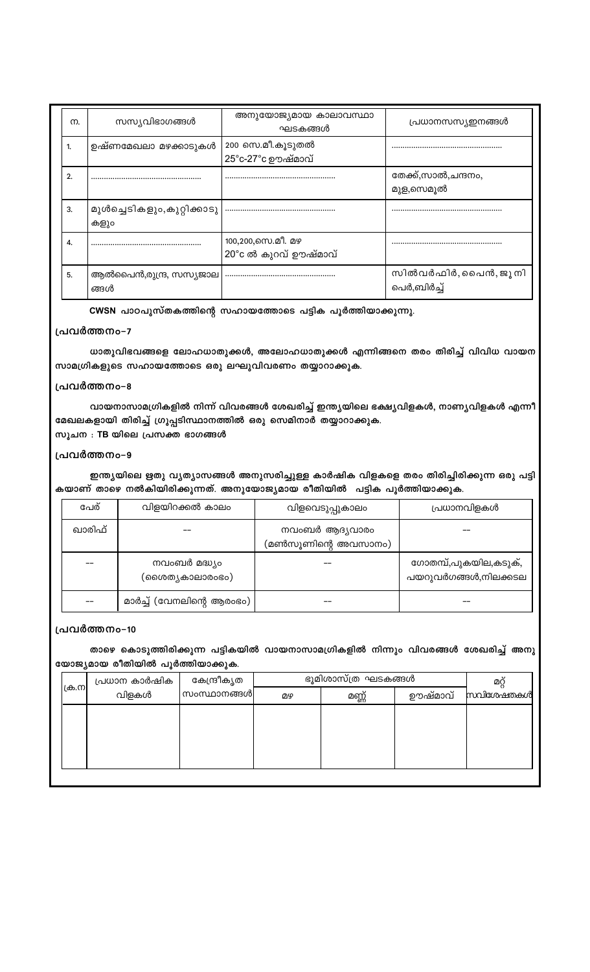| m. | സസ്യവിഭാഗങ്ങൾ                      | അനുയോജ്യമായ കാലാവസ്ഥാ<br>ഘടകങ്ങൾ          | പ്രധാനസസ്യഇനങ്ങൾ                 |
|----|------------------------------------|-------------------------------------------|----------------------------------|
| 1. | ഉഷ്ണമേഖലാ മഴക്കാടുകൾ               | 200 സെ.മീ.കൂടുതൽ<br>25°c-27°c ഊഷ്മാവ്     |                                  |
| 2. |                                    |                                           | തേക്ക്,സാൽ,ചന്ദനം,<br>മുള,സെമൂൽ  |
| 3. | മുൾച്ചെടികളും,കുറ്റിക്കാടു<br>കളും |                                           |                                  |
| 4. |                                    | 100,200,സെ.മീ. മഴ<br>20°c ൽ കുറവ് ഊഷ്മാവ് |                                  |
| 5. | ആൽപൈൻ,രുന്ദ്ര, സസ്യജാല<br>ങ്ങൾ     |                                           | സിൽവർഫിർ,പൈൻ,ജൂനി<br>പെർ,ബിർച്ച് |

CWSN പാഠപുസ്തകത്തിന്റെ സഹായത്തോടെ പട്ടിക പൂർത്തിയാക്കുന്നു.

## പ്രവർത്തനം-7

ധാതുവിഭവങ്ങളെ ലോഹധാതുക്കൾ, അലോഹധാതുക്കൾ എന്നിങ്ങനെ തരം തിരിച്ച് വിവിധ വായന സാമഗ്രികളുടെ സഹായത്തോടെ ഒരു ലഘുവിവരണം തയ്യാറാക്കുക.

#### പ്രവർത്തനം-8

വായനാസാമഗ്രികളിൽ നിന്ന് വിവരങ്ങൾ ശേഖരിച്ച് ഇന്ത്യയിലെ ഭക്ഷ്യവിളകൾ, നാണ്യവിളകൾ എന്നീ മേഖലകളായി തിരിച്ച് ഗ്രൂപ്പടിസ്ഥാനത്തിൽ ഒരു സെമിനാർ തയ്യാറാക്കുക. സൂചന : TB യിലെ പ്രസക്ത ഭാഗങ്ങൾ

## പ്രവർത്തനം-9

ഇന്ത്യയിലെ ഋതു വ്യത്യാസങ്ങൾ അനുസരിച്ചുള്ള കാർഷിക വിളകളെ തരം തിരിച്ചിരിക്കുന്ന ഒരു പട്ടി കയാണ് താഴെ നൽകിയിരിക്കുന്നത്. അനുയോജ്യമായ രീതിയിൽ പട്ടിക പൂർത്തിയാക്കുക.

| പേര്   | വിളയിറക്കൽ കാലം                  | വിളവെടുപ്പുകാലം                       | പ്രധാനവിളകൾ                                   |
|--------|----------------------------------|---------------------------------------|-----------------------------------------------|
| ഖാരിഫ് |                                  | നവംബർ ആദ്യവാരം<br>(മൺസൂണിന്റെ അവസാനം) |                                               |
|        | നവംബർ മദ്ധ്യം<br>(ശൈത്യകാലാരംഭം) |                                       | ഗോതമ്പ്,പുകയില,കടുക്,<br>പയറുവർഗങ്ങൾ,നിലക്കടല |
|        | മാർച്ച് (വേനലിന്റെ ആരംഭം)        |                                       |                                               |

#### പ്രവർത്തനം-10

താഴെ കൊടുത്തിരിക്കുന്ന പട്ടികയിൽ വായനാസാമഗ്രികളിൽ നിന്നും വിവരങ്ങൾ ശേഖരിച്ച് അനു യോജ്യമായ രീതിയിൽ പൂർത്തിയാക്കുക.

| ക്ര.നി | പ്രധാന കാർഷിക | കേന്ദ്രീകൃത |    | ഭൂമിശാസ്ത്ര ഘടകങ്ങൾ |         | മറ്റ്     |
|--------|---------------|-------------|----|---------------------|---------|-----------|
|        | വിളകൾ         | സംസ്ഥാനങ്ങൾ | று | മണ്ണ്               | ഊഷ്മാവ് | സവിശേഷതകൾ |
|        |               |             |    |                     |         |           |
|        |               |             |    |                     |         |           |
|        |               |             |    |                     |         |           |
|        |               |             |    |                     |         |           |
|        |               |             |    |                     |         |           |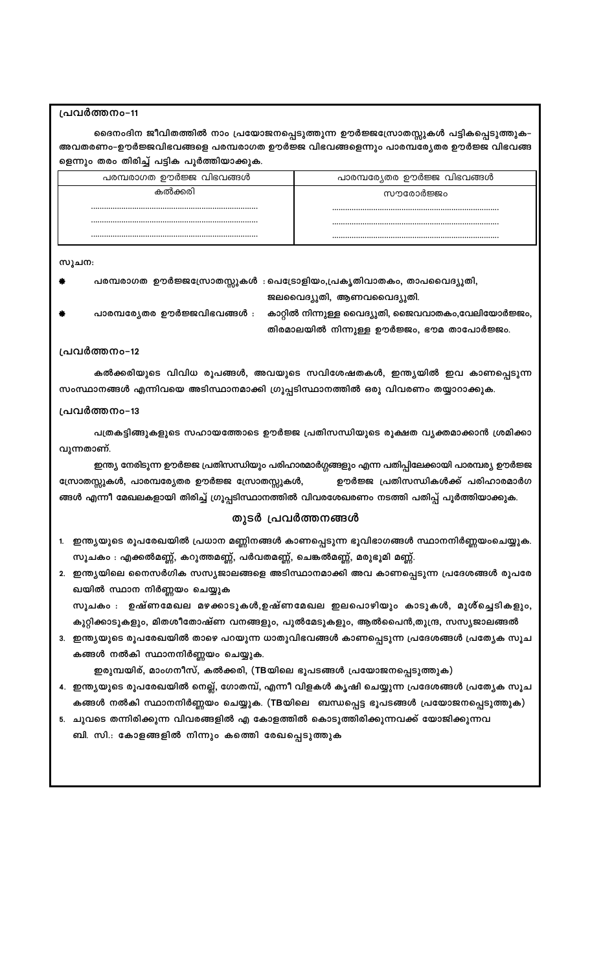ഭൈനംദിന ജീവിതത്തിൽ നാം പ്രയോജനപ്പെടുത്തുന്ന ഊർജ്ജസ്രോതസ്സുകൾ പട്ടികപ്പെടുത്തുക-അവതരണം-ഊർജ്ജവിഭവങ്ങളെ പരമ്പരാഗത ഊർജ്ജ വിഭവങ്ങളെന്നും പാരമ്പര്യേതര ഊർജ്ജ വിഭവങ്ങ ളെന്നും തരം തിരിച്ച് പട്ടിക പൂർത്തിയാക്കുക.

| പരമ്പരാഗത ഊർജ്ജ വിഭവങ്ങൾ | പാരമ്പര്യേതര ഊർജ്ജ വിഭവങ്ങൾ |
|--------------------------|-----------------------------|
| കൽക്കരി                  | സൗരോർജ്ജം                   |
|                          |                             |
|                          |                             |
|                          |                             |

#### സൂചന:

- പരമ്പരാഗത ഊർജ്ജസ്രോതസ്സുകൾ :പെട്രോളിയം,പ്രകൃതിവാതകം, താപവൈദ്യുതി,
	- - ജലവൈദ്യുതി, ആണവവൈദ്യുതി.
- പാരമ്പര്യേതര ഊർജ്ജവിഭവങ്ങൾ :

സ്രോതസ്സുകൾ, പാരമ്പര്യേതര ഊർജ്ജ സ്രോതസ്സുകൾ,

ഖയിൽ സ്ഥാന നിർണ്ണയം ചെയ്യുക

കങ്ങൾ നൽകി സ്ഥാനനിർണ്ണയം ചെയ്യുക.

ബി. സി.: കോളങ്ങളിൽ നിന്നും കത്തെി രേഖപ്പെടുത്തുക

കാറ്റിൽ നിന്നുള്ള വൈദ്യുതി, ജൈവവാതകം,വേലിയോർജ്ജം,

ഊർജ്ജ പ്രതിസന്ധികൾക്ക് പരിഹാരമാർഗ

തിരമാലയിൽ നിന്നുള്ള ഊർജ്ജം, ഭൗമ താപോർജ്ജം.

## പ്രവർത്തനം-12

പ്രവർത്തനം-11

സംസ്ഥാനങ്ങൾ എന്നിവയെ അടിസ്ഥാനമാക്കി ഗ്രൂപ്പടിസ്ഥാനത്തിൽ ഒരു വിവരണം തയ്യാറാക്കുക.

പത്രകട്ടിങ്ങുകളുടെ സഹായത്തോടെ ഊർജ്ജ പ്രതിസന്ധിയുടെ രൂക്ഷത വൃക്തമാക്കാൻ ശ്രമിക്കാ

ഇന്ത്യ നേരിടുന്ന ഊർജ്ജ പ്രതിസന്ധിയും പരിഹാരമാർഗ്ഗങ്ങളും എന്ന പതിപ്പിലേക്കായി പാരമ്പര്യ ഊർജ്ജ

#### പ്രവർത്തനം-13

വുന്നതാണ്.

ങ്ങൾ എന്നീ മേഖലകളായി തിരിച്ച് ഗ്രൂപ്പടിസ്ഥാനത്തിൽ വിവരശേഖരണം നടത്തി പതിപ്പ് പൂർത്തിയാക്കുക.

തുടർ പ്രവർത്തനങ്ങൾ

1. ഇന്ത്യയുടെ രൂപരേഖയിൽ പ്രധാന മണ്ണിനങ്ങൾ കാണപ്പെടുന്ന ഭൂവിഭാഗങ്ങൾ സ്ഥാനനിർണ്ണയംചെയ്യുക.

2. ഇന്ത്യയിലെ നൈസർഗിക സസ്യജാലങ്ങളെ അടിസ്ഥാനമാക്കി അവ കാണപ്പെടുന്ന പ്രദേശങ്ങൾ രൂപരേ

ഇരുമ്പയിര്, മാംഗനീസ്, കൽക്കരി, (TBയിലെ ഭൂപടങ്ങൾ പ്രയോജനപ്പെടുത്തുക)

5. ചുവടെ തന്നിരിക്കുന്ന വിവരങ്ങളിൽ എ കോളത്തിൽ കൊടുത്തിരിക്കുന്നവക്ക് യോജിക്കുന്നവ

സൂചകം : ഉഷ്ണമേഖല മഴക്കാടുകൾ,ഉഷ്ണമേഖല ഇലപൊഴിയും കാടുകൾ, മുശ്ച്ചെടികളും, കുറ്റിക്കാടുകളും, മിതശീതോഷ്ണ വനങ്ങളും, പുൽമേടുകളും, ആൽപൈൻ,തുന്ദ്ര, സസ്യജാലങ്ങൽ 3. ഇന്ത്യയുടെ രൂപരേഖയിൽ താഴെ പറയുന്ന ധാതുവിഭവങ്ങൾ കാണപ്പെടുന്ന പ്രദേശങ്ങൾ പ്രത്യേക സൂച

4. ഇന്ത്യയുടെ രൂപരേഖയിൽ നെല്ല്, ഗോതമ്പ്, എന്നീ വിളകൾ കൃഷി ചെയ്യുന്ന പ്രദേശങ്ങൾ പ്രത്യേക സൂച കങ്ങൾ നൽകി സ്ഥാനനിർണ്ണയം ചെയ്യുക. (TBയിലെ ബന്ധപ്പെട്ട ഭൂപടങ്ങൾ പ്രയോജനപ്പെടുത്തുക)

സൂചകം : എക്കൽമണ്ണ്, കറുത്തമണ്ണ്, പർവതമണ്ണ്, ചെങ്കൽമണ്ണ്, മരുഭൂമി മണ്ണ്.

കൽക്കരിയുടെ വിവിധ രൂപങ്ങൾ, അവയുടെ സവിശേഷതകൾ, ഇന്ത്യയിൽ ഇവ കാണപ്പെടുന്ന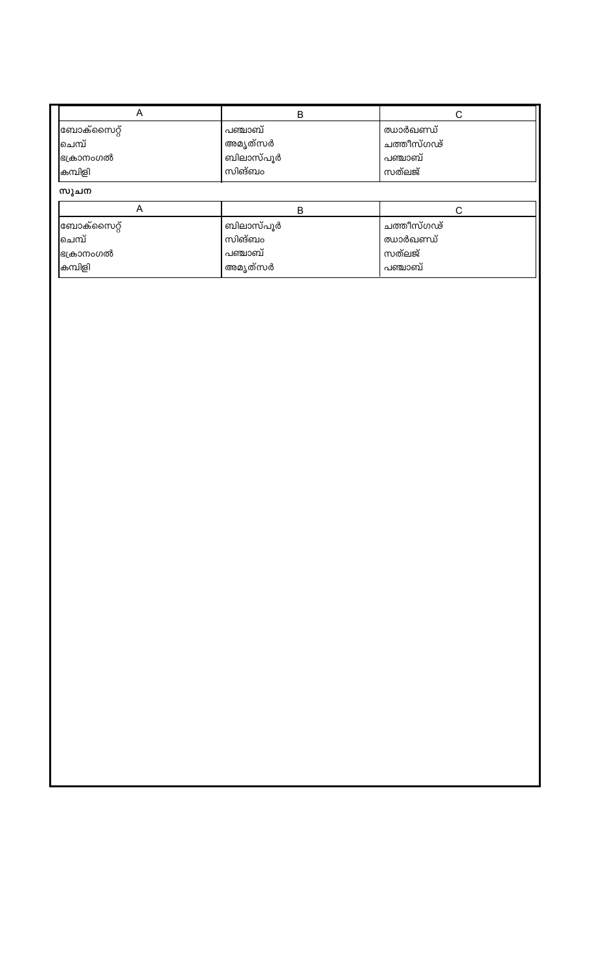| A          | B         | С          |  |
|------------|-----------|------------|--|
| ബോക്സൈറ്റ് | പഞ്ചാബ്   | ഝാർഖണ്ഡ്   |  |
| ചെമ്പ്     | അമൃത്സർ   | ചത്തീസ്ഗഢ് |  |
| ഭക്രാനംഗൽ  | ബിലാസ്പൂർ | പഞ്ചാബ്    |  |
| കമ്പിളി    | സിങ്ബം    | സത്ലജ്     |  |
| സുചന       |           |            |  |
| A          | Β         | C          |  |
| ബോക്സൈറ്റ് | ബിലാസ്പൂർ | ചത്തീസ്ഗഢ് |  |
| ിചെമ്പ്    | സിങ്ബം    | ഝാർഖണ്ഡ്   |  |
| ഭക്രാനംഗൽ  | പഞ്ചാബ്   | സത്ലജ്     |  |
| കമ്പിളി    | അമൃത്സർ   | പഞ്ചാബ്    |  |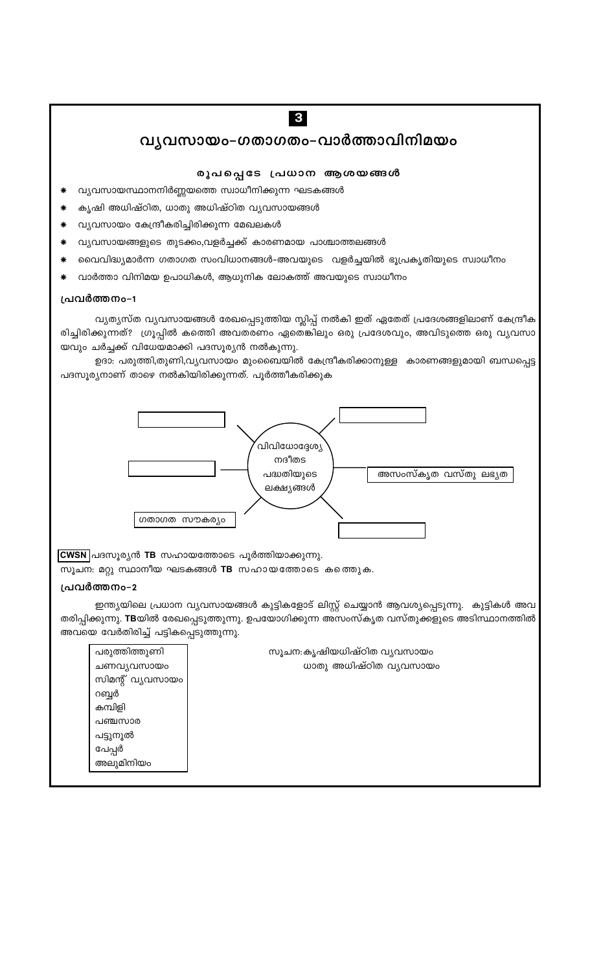## വ്യവസായം-ഗതാഗതം-വാർത്താവിനിമയം

 $\sqrt{3}$ 

## രൂപപ്പെടേ പ്രധാന ആശയങ്ങൾ

- വ്യവസായസ്ഥാനനിർണ്ണയത്തെ സ്വാധീനിക്കുന്ന ഘടകങ്ങൾ
- കൃഷി അധിഷ്ഠിത, ധാതു അധിഷ്ഠിത വ്യവസായങ്ങൾ
- വ്യവസായം കേന്ദ്രീകരിച്ചിരിക്കുന്ന മേഖലകൾ
- വ്യവസായങ്ങളുടെ തുടക്കം,വളർച്ചക്ക് കാരണമായ പാശ്ചാത്തലങ്ങൾ
- വൈവിദ്ധ്യമാർന്ന ഗതാഗത സംവിധാനങ്ങൾ-അവയുടെ വളർച്ചയിൽ ഭൂപ്രകൃതിയുടെ സ്വാധീനം
- വാർത്താ വിനിമയ ഉപാധികൾ, ആധുനിക ലോകത്ത് അവയുടെ സ്വാധീനം

#### പ്രവർത്തനം-1

വ്യത്യസ്ത വ്യവസായങ്ങൾ രേഖപ്പെടുത്തിയ സ്ലിപ്പ് നൽകി ഇത് ഏതേത് പ്രദേശങ്ങളിലാണ് കേന്ദ്രീക രിച്ചിരിക്കുന്നത്? ഗ്രൂപ്പിൽ കത്തെി അവതരണം ഏതെങ്കിലും ഒരു പ്രദേശവും, അവിടുത്തെ ഒരു വൃവസാ യവും ചർച്ചക്ക് വിധേയമാക്കി പദസൂര്യൻ നൽകുന്നു.

ഉദാ: പരുത്തി,തുണി,വൃവസായം മുംബൈയിൽ കേന്ദ്രീകരിക്കാനുള്ള കാരണങ്ങളുമായി ബന്ധപ്പെട്ട പദസൂര്യനാണ് താഴെ നൽകിയിരിക്കുന്നത്. പൂർത്തീകരിക്കുക



CWSN പദസൂര്യൻ TB സഹായത്തോടെ പൂർത്തിയാക്കുന്നു.

സൂചന: മറ്റു സ്ഥാനീയ ഘടകങ്ങൾ TB സഹായത്തോടെ കത്തെുക.

#### പ്രവർത്തനം-2

ഇന്ത്യയിലെ പ്രധാന വ്യവസായങ്ങൾ കുട്ടികളോട് ലിസ്റ്റ് ചെയ്യാൻ ആവശ്യപ്പെടുന്നു. കുട്ടികൾ അവ തരിപ്പിക്കുന്നു. **TB**യിൽ രേഖപ്പെടുത്തുന്നു. ഉപയോഗിക്കുന്ന അസംസ്കൃത വസ്തുക്കളുടെ അടിസ്ഥാനത്തിൽ അവയെ വേർതിരിച്ച് പട്ടികപ്പെടുത്തുന്നു.

| പരുത്തിത്തുണി    | സൂചന:കൃഷിയധിഷ്ഠിത വ്യവസായം |
|------------------|----------------------------|
| ചണവൃവസായം        | ധാതു അധിഷ്ഠിത വ്യവസായം     |
| സിമന്റ് വ്യവസായം |                            |
| റബ്ബർ            |                            |
| കമ്പിളി          |                            |
| പഞ്ചസാര          |                            |
| പട്ടുനൂൽ         |                            |
| പേപ്പർ           |                            |
| അലുമിനിയം        |                            |
|                  |                            |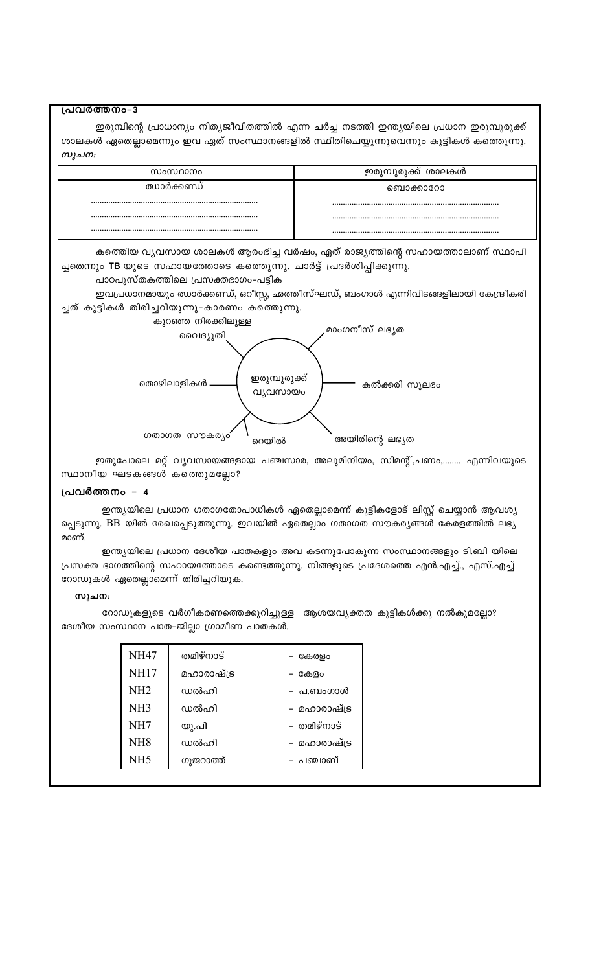പ്രവർത്തനം-3

ഇരുമ്പിന്റെ പ്രാധാന്യം നിത്യജീവിതത്തിൽ എന്ന ചർച്ച നടത്തി ഇന്ത്യയിലെ പ്രധാന ഇരുമ്പുരുക്ക് ശാലകൾ ഏതെല്ലാമെന്നും ഇവ ഏത് സംസ്ഥാനങ്ങളിൽ സ്ഥിതിചെയ്യുന്നുവെന്നും കുട്ടികൾ കത്തുെന്നു. സൂചന:

| സംസ്ഥാനം   | ഇരുമ്പുരുക്ക് ശാലകൾ |
|------------|---------------------|
| ഝാർക്കണ്ഡ് | ൈഥക്കാറോ            |
|            |                     |
|            |                     |
|            |                     |

കത്തിയ വ്യവസായ ശാലകൾ ആരംഭിച്ച വർഷം, ഏത് രാജ്യത്തിന്റെ സഹായത്താലാണ് സ്ഥാപി ച്ചതെന്നും TB യുടെ സഹായത്തോടെ കത്തുെന്നു. ചാർട്ട് പ്രദർശിപ്പിക്കുന്നു.

#### പാഠപുസ്തകത്തിലെ പ്രസക്തഭാഗം-പട്ടിക

ഇവപ്രധാനമായും ഝാർക്കണ്ഡ്, ഒറീസ്സ, ഛത്തീസ്ഘഡ്, ബംഗാൾ എന്നിവിടങ്ങളിലായി കേന്ദ്രീകരി ച്ചത് കുട്ടികൾ തിരിച്ചറിയുന്നു-കാരണം കത്തെുന്നു.



ഇതുപോലെ മറ്റ് വ്യവസായങ്ങളായ പഞ്ചസാര, അലുമിനിയം, സിമന്റ്,ചണം,........ എന്നിവയുടെ സ്ഥാനീയ ഘടകങ്ങൾ കത്തെുമല്ലോ?

#### പ്രവർത്തനം - 4

ഇന്ത്യയിലെ പ്രധാന ഗതാഗതോപാധികൾ ഏതെല്ലാമെന്ന് കുട്ടികളോട് ലിസ്റ്റ് ചെയ്യാൻ ആവശ്യ പ്പെടുന്നു. BB യിൽ രേഖപ്പെടുത്തുന്നു. ഇവയിൽ ഏതെല്ലാം ഗതാഗത സൗകര്യങ്ങൾ കേരളത്തിൽ ലഭ്യ മാണ്.

ഇന്ത്യയിലെ പ്രധാന ദേശീയ പാതകളും അവ കടന്നുപോകുന്ന സംസ്ഥാനങ്ങളും ടി.ബി യിലെ പ്രസക്ത ഭാഗത്തിന്റെ സഹായത്തോടെ കണ്ടെത്തുന്നു. നിങ്ങളുടെ പ്രദേശത്തെ എൻ.എച്ച്., എസ്.എച്ച് റോഡുകൾ ഏതെല്ലാമെന്ന് തിരിച്ചറിയുക.

#### സൂചന:

റോഡുകളുടെ വർഗീകരണത്തെക്കുറിച്ചുള്ള ആശയവ്യക്തത കുട്ടികൾക്കു നൽകുമല്ലോ? ദേശീയ സംസ്ഥാന പാത-ജില്ലാ ഗ്രാമീണ പാതകൾ.

| <b>NH47</b>     | തമിഴ്നാട്  | - കേരളം      |
|-----------------|------------|--------------|
| <b>NH17</b>     | മഹാരാഷ്ട്ര | - കേളം       |
| NH2             | ഡൽഹി       | – പ.ബംഗാൾ    |
| NH <sub>3</sub> | ഡൽഹി       | − മഹാരാഷ്ട്ര |
| NH7             | യു.പി      | – തമിഴ്നാട്  |
| NH <sub>8</sub> | വാൽഹി      | − മഹാരാഷ്ട്ര |
| NH <sub>5</sub> | ഗുജറാത്ത്  | – പഞ്ചാബ്    |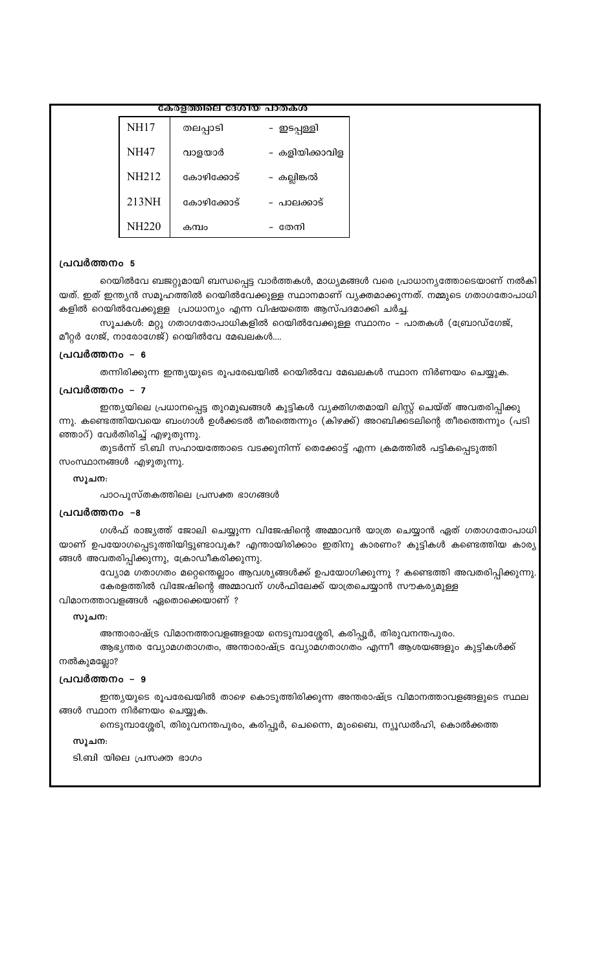#### കേരളത്തിലെ ദേശിയ പാതകശ

| <b>NH17</b>  | തലപ്പാടി   | – ഇടപ്പള്ളി    |
|--------------|------------|----------------|
| <b>NH47</b>  | വാളയാർ     | – കളിയിക്കാവിള |
| <b>NH212</b> | കോഴിക്കോട് | – കല്ലിങ്കൽ    |
| 213NH        | കോഴിക്കോട് | - പാലക്കാട്    |
| <b>NH220</b> | കന്വം      | – തേനി         |

#### പ്രവർത്തനം 5

റെയിൽവേ ബജറ്റുമായി ബന്ധപ്പെട്ട വാർത്തകൾ, മാധ്യമങ്ങൾ വരെ പ്രാധാന്യത്തോടെയാണ് നൽകി യത്. ഇത് ഇന്ത്യൻ സമൂഹത്തിൽ റെയിൽവേക്കുള്ള സ്ഥാനമാണ് വ്യക്തമാക്കുന്നത്. നമ്മുടെ ഗതാഗതോപാധി കളിൽ റെയിൽവേക്കുള്ള പ്രാധാന്യം എന്ന വിഷയത്തെ ആസ്പദമാക്കി ചർച്ച.

സൂചകൾ: മറ്റു ഗതാഗതോപാധികളിൽ റെയിൽവേക്കുള്ള സ്ഥാനം – പാതകൾ (ബ്രോഡ്ഗേജ്, മീറ്റർ ഗേജ്, നാരോഗേജ്) റെയിൽവേ മേഖലകൾ....

#### പ്രവർത്തനം – 6

തന്നിരിക്കുന്ന ഇന്ത്യയുടെ രൂപരേഖയിൽ റെയിൽവേ മേഖലകൾ സ്ഥാന നിർണയം ചെയ്യുക.

#### പ്രവർത്തനം – 7

ഇന്ത്യയിലെ പ്രധാനപ്പെട്ട തുറമുഖങ്ങൾ കുട്ടികൾ വ്യക്തിഗതമായി ലിസ്റ്റ് ചെയ്ത് അവതരിപ്പിക്കു ന്നു. കണ്ടെത്തിയവയെ ബംഗാൾ ഉൾക്കടൽ തീരത്തെന്നും (കിഴക്ക്) അറബിക്കടലിന്റെ തീരത്തെന്നും (പടി ഞ്ഞാറ്) വേർതിരിച്ച് എഴുതുന്നു.

തുടർന്ന് ടി.ബി സഹായത്തോടെ വടക്കുനിന്ന് തെക്കോട്ട് എന്ന ക്രമത്തിൽ പട്ടികപ്പെടുത്തി സംസ്ഥാനങ്ങൾ എഴുതുന്നു.

#### സൂചന:

പാഠപുസ്തകത്തിലെ പ്രസക്ത ഭാഗങ്ങൾ

#### പ്രവർത്തനം –8

ഗൾഫ് രാജ്യത്ത് ജോലി ചെയ്യുന്ന വിജേഷിന്റെ അമ്മാവൻ യാത്ര ചെയ്യാൻ ഏത് ഗതാഗതോപാധി യാണ് ഉപയോഗപ്പെടുത്തിയിട്ടുണ്ടാവുക? എന്തായിരിക്കാം ഇതിനു കാരണം? കുട്ടികൾ കണ്ടെത്തിയ കാര്യ ങ്ങൾ അവതരിപ്പിക്കുന്നു, ക്രോഡീകരിക്കുന്നു.

വ്യോമ ഗതാഗതം മറ്റെന്തെല്ലാം ആവശ്യങ്ങൾക്ക് ഉപയോഗിക്കുന്നു ? കണ്ടെത്തി അവതരിപ്പിക്കുന്നു. കേരളത്തിൽ വിജേഷിന്റെ അമ്മാവന് ഗൾഫിലേക്ക് യാത്രചെയ്യാൻ സൗകര്യമുള്ള

വിമാനത്താവളങ്ങൾ ഏതൊക്കെയാണ് ?

#### സൂചന:

അന്താരാഷ്ട്ര വിമാനത്താവളങ്ങളായ നെടുമ്പാശ്ശേരി, കരിപ്പൂർ, തിരുവനന്തപുരം.

ആഭ്യന്തര വ്യോമഗതാഗതം, അന്താരാഷ്ട്ര വ്യോമഗതാഗതം എന്നീ ആശയങ്ങളും കുട്ടികൾക്ക്

## നൽകുമല്ലോ?

#### പ്രവർത്തനം – 9

ഇന്ത്യയുടെ രൂപരേഖയിൽ താഴെ കൊടുത്തിരിക്കുന്ന അന്തരാഷ്ട്ര വിമാനത്താവളങ്ങളുടെ സ്ഥല ങ്ങൾ സ്ഥാന നിർണയം ചെയ്യുക.

നെടുമ്പാശ്ശേരി, തിരുവനന്തപുരം, കരിപ്പൂർ, ചെന്നൈ, മുംബൈ, ന്യൂഡൽഹി, കൊൽക്കത്ത

#### സൂചന:

ടി.ബി യിലെ പ്രസക്ത ഭാഗം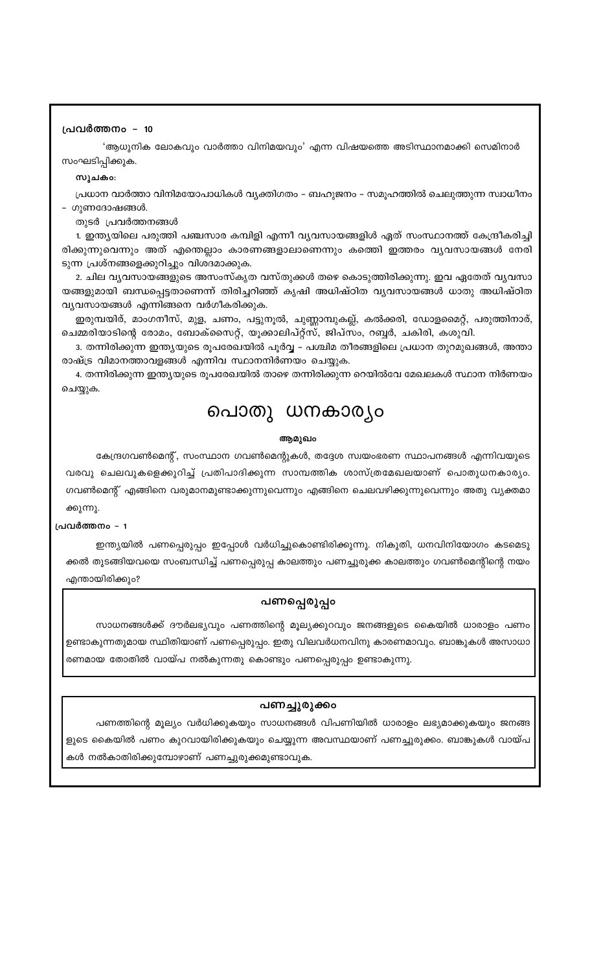#### പ്രവർത്തനം – 10

'ആധുനിക ലോകവും വാർത്താ വിനിമയവും' എന്ന വിഷയത്തെ അടിസ്ഥാനമാക്കി സെമിനാർ സംഘടിപ്പിക്കുക.

#### സൂചകം:

പ്രധാന വാർത്താ വിനിമയോപാധികൾ വ്യക്തിഗതം – ബഹുജനം – സമൂഹത്തിൽ ചെലുത്തുന്ന സ്വാധീനം - ഗുണദോഷങ്ങൾ.

തുടർ പ്രവർത്തനങ്ങൾ

1. ഇന്ത്യയിലെ പരുത്തി പഞ്ചസാര കമ്പിളി എന്നീ വ്യവസായങ്ങളിൾ ഏത് സംസ്ഥാനത്ത് കേന്ദ്രീകരിച്ചി രിക്കുന്നുവെന്നും അത് എന്തെല്ലാം കാരണങ്ങളാലാണെന്നും കത്തിെ ഇത്തരം വ്യവസായങ്ങൾ നേരി ടുന്ന പ്രശ്നങ്ങളെക്കുറിച്ചും വിശദമാക്കുക.

2. ചില വൃവസായങ്ങളുടെ അസംസ്കൃത വസ്തുക്കൾ തഴെ കൊടുത്തിരിക്കുന്നു. ഇവ ഏതേത് വൃവസാ യങ്ങളുമായി ബന്ധപ്പെട്ടതാണെന്ന് തിരിച്ചറിഞ്ഞ് കൃഷി അധിഷ്ഠിത വൃവസായങ്ങൾ ധാതു അധിഷ്ഠിത വ്യവസായങ്ങൾ എന്നിങ്ങനെ വർഗീകരിക്കുക.

ഇരുമ്പയിര്, മാംഗനീസ്, മുള, ചണം, പട്ടുനൂൽ, ചുണ്ണാമ്പുകല്ല്, കൽക്കരി, ഡോളമൈറ്റ്, പരുത്തിനാര്, ചെമ്മരിയാടിന്റെ രോമം, ബോക്സൈറ്റ്, യൂക്കാലിപ്റ്റ്സ്, ജിപ്സം, റബ്ബർ, ചകിരി, കശുവി.

3. തന്നിരിക്കുന്ന ഇന്ത്യയുടെ രൂപരേഖയിൽ പൂർവ്വ – പശ്ചിമ തീരങ്ങളിലെ പ്രധാന തുറമുഖങ്ങൾ, അന്താ രാഷ്ട്ര വിമാനത്താവളങ്ങൾ എന്നിവ സ്ഥാനനിർണയം ചെയ്യുക.

4. തന്നിരിക്കുന്ന ഇന്ത്യയുടെ രൂപരേഖയിൽ താഴെ തന്നിരിക്കുന്ന റെയിൽവേ മേഖലകൾ സ്ഥാന നിർണയം ചെയ്യുക.

# പൊതു ധനകാര്യം

#### ആമുഖം

കേന്ദ്രഗവൺമെന്റ്, സംസ്ഥാന ഗവൺമെന്റുകൾ, തദ്ദേശ സ്വയംഭരണ സ്ഥാപനങ്ങൾ എന്നിവയുടെ വരവു ചെലവുകളെക്കുറിച്ച് പ്രതിപാദിക്കുന്ന സാമ്പത്തിക ശാസ്ത്രമേഖലയാണ് പൊതുധനകാര്യം. ഗവൺമെന്റ് എങ്ങിനെ വരുമാനമുണ്ടാക്കുന്നുവെന്നും എങ്ങിനെ ചെലവഴിക്കുന്നുവെന്നും അതു വ്യക്തമാ ക്കുന്നു.

#### പ്രവർത്തനം - 1

ഇന്ത്യയിൽ പണപ്പെരുപ്പം ഇപ്പോൾ വർധിച്ചുകൊണ്ടിരിക്കുന്നു. നികുതി, ധനവിനിയോഗം കടമെടു ക്കൽ തുടങ്ങിയവയെ സംബന്ധിച്ച് പണപ്പെരുപ്പ കാലത്തും പണച്ചുരുക്ക കാലത്തും ഗവൺമെന്റിന്റെ നയം എന്തായിരിക്കും?

## പണപ്പെരുപ്പം

സാധനങ്ങൾക്ക് ദൗർലഭ്യവും പണത്തിന്റെ മൂല്യക്കുറവും ജനങ്ങളുടെ കൈയിൽ ധാരാളം പണം ഉണ്ടാകുന്നതുമായ സ്ഥിതിയാണ് പണപ്പെരുപ്പ<mark>ം</mark>. ഇതു വിലവർധനവിനു കാരണമാവും. ബാങ്കുകൾ അസാധാ രണമായ തോതിൽ വായ്പ നൽകുന്നതു കൊണ്ടും പണപ്പെരുപ്പം ഉണ്ടാകുന്നു.

## പണച്ചുരുക്കം

പണത്തിന്റെ മൂല്യം വർധിക്കുകയും സാധനങ്ങൾ വിപണിയിൽ ധാരാളം ലഭ്യമാക്കുകയും ജനങ്ങ ളുടെ കൈയിൽ പണം കുറവായിരിക്കുകയും ചെയ്യുന്ന അവസ്ഥയാണ് പണച്ചുരുക്കം. ബാങ്കുകൾ വായ്പ കൾ നൽകാതിരിക്കുമ്പോഴാണ് പണച്ചുരുക്കമുണ്ടാവുക.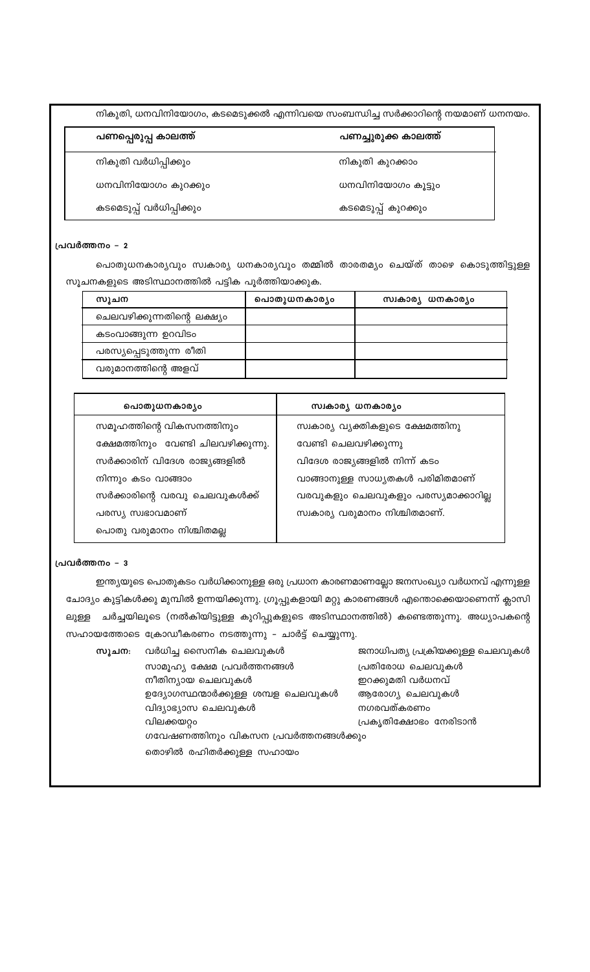നികുതി, ധനവിനിയോഗം, കടമെടുക്കൽ എന്നിവയെ സംബന്ധിച്ച സർക്കാറിന്റെ നയമാണ് ധനനയം.

| പണപ്പെരുപ്പ കാലത്ത്      | പണച്ചുരുക്ക കാലത്ത് |
|--------------------------|---------------------|
| നികുതി വർധിപ്പിക്കും     | നികുതി കുറക്കാം     |
| ധനവിനിയോഗം കുറക്കും      | ധനവിനിയോഗം കൂട്ടും  |
| കടമെടുപ്പ് വർധിപ്പിക്കും | കടമെടുപ്പ് കുറക്കും |

#### പ്രവർത്തനം - 2

പൊതുധനകാര്യവും സ്വകാര്യ ധനകാര്യവും തമ്മിൽ താരതമ്യം ചെയ്ത് താഴെ കൊടുത്തിട്ടുള്ള സൂചനകളുടെ അടിസ്ഥാനത്തിൽ പട്ടിക പൂർത്തിയാക്കുക.

| സുചന                        | പൊതുധനകാര്യം | സ്വകാര്യ ധനകാര്യം |
|-----------------------------|--------------|-------------------|
| ചെലവഴിക്കുന്നതിന്റെ ലക്ഷ്യം |              |                   |
| കടംവാങ്ങുന്ന ഉറവിടം         |              |                   |
| പരസ്യപ്പെടുത്തുന്ന രീതി     |              |                   |
| വരുമാനത്തിന്റെ അളവ്         |              |                   |

| പൊതുധനകാര്യം                        | സ്വകാര്യ ധനകാര്യം                   |
|-------------------------------------|-------------------------------------|
| സമൂഹത്തിന്റെ വികസനത്തിനും           | സ്വകാര്യ വ്യക്തികളുടെ ക്ഷേമത്തിനു   |
| ക്ഷേമത്തിനും വേണ്ടി ചിലവഴിക്കുന്നു. | വേണ്ടി ചെലവഴിക്കുന്നു               |
| സർക്കാരിന് വിദേശ രാജ്യങ്ങളിൽ        | വിദേശ രാജ്യങ്ങളിൽ നിന്ന് കടം        |
| നിന്നും കടം വാങ്ങാം                 | വാങ്ങാനുള്ള സാധ്യതകൾ പരിമിതമാണ്     |
| സർക്കാരിന്റെ വരവു ചെലവുകൾക്ക്       | വരവുകളും ചെലവുകളും പരസ്യമാക്കാറില്ല |
| പരസ്യ സ്വഭാവമാണ്                    | സ്വകാര്യ വരുമാനം നിശ്ചിതമാണ്.       |
| പൊതു വരുമാനം നിശ്ചിതമല്ല            |                                     |

#### പ്രവർത്തനം - 3

ഇന്ത്യയുടെ പൊതുകടം വർധിക്കാനുള്ള ഒരു പ്രധാന കാരണമാണല്ലോ ജനസംഖ്യാ വർധനവ് എന്നുള്ള ചോദ്യം കുട്ടികൾക്കു മുമ്പിൽ ഉന്നയിക്കുന്നു. ഗ്രൂപ്പുകളായി മറ്റു കാരണങ്ങൾ എന്തൊക്കെയാണെന്ന് ക്ലാസി ലുള്ള ചർച്ചയിലൂടെ (നൽകിയിട്ടുള്ള കുറിപ്പുകളുടെ അടിസ്ഥാനത്തിൽ) കണ്ടെത്തുന്നു. അധ്യാപകന്റെ സഹായത്തോടെ ക്രോഡീകരണം നടത്തുന്നു – ചാർട്ട് ചെയ്യുന്നു.

| സൂചന: | വർധിച്ച സൈനിക ചെലവുകൾ                 | ജനാധിപത്യ പ്രക്രിയക്കുള്ള ചെലവുകൾ |
|-------|---------------------------------------|-----------------------------------|
|       | സാമൂഹ്യ ക്ഷേമ പ്രവർത്തനങ്ങൾ           | പ്രതിരോധ ചെലവുകൾ                  |
|       | നീതിന്യായ ചെലവുകൾ                     | ഇറക്കുമതി വർധനവ്                  |
|       | ഉദ്യോഗസ്ഥന്മാർക്കുള്ള ശമ്പള ചെലവുകൾ   | ആരോഗ്യ ചെലവുകൾ                    |
|       | വിദ്യാഭ്യാസ ചെലവുകൾ                   | നഗരവത്കരണം                        |
|       | വിലക്കയറ്റം                           | പ്രകൃതിക്ഷോഭം നേരിടാൻ             |
|       | ഗവേഷണത്തിനും വികസന പ്രവർത്തനങ്ങൾക്കും |                                   |
|       | തൊഴിൽ രഹിതർക്കുള്ള സഹായം              |                                   |
|       |                                       |                                   |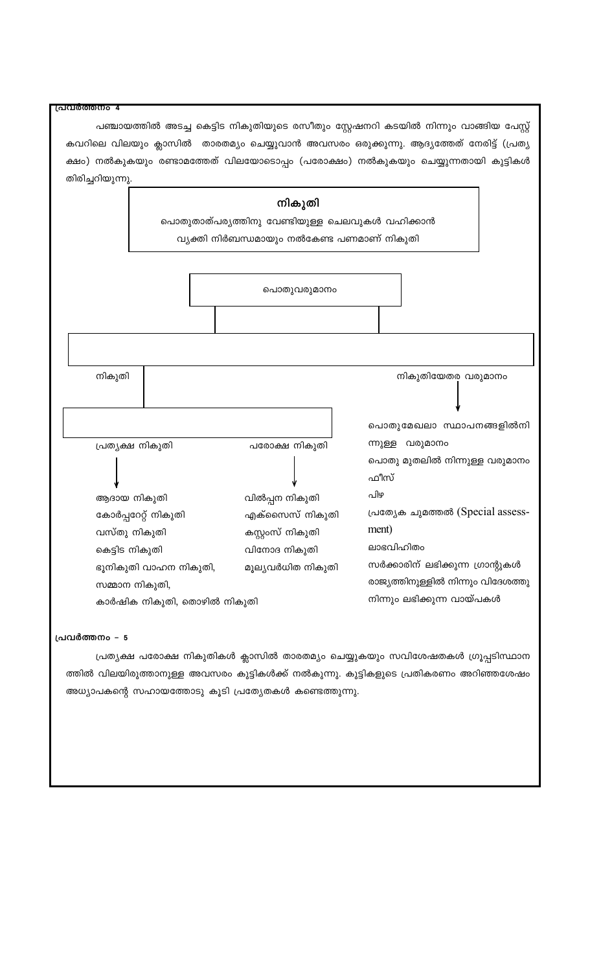| പ്രവർത്തനം 4                |                                                 |                                                                                          |
|-----------------------------|-------------------------------------------------|------------------------------------------------------------------------------------------|
|                             |                                                 | പഞ്ചായത്തിൽ അടച്ച കെട്ടിട നികുതിയുടെ രസീതും സ്റ്റേഷനറി കടയിൽ നിന്നും വാങ്ങിയ പേസ്റ്റ്    |
|                             |                                                 | കവറിലെ വിലയും ക്ലാസിൽ  താരതമ്യം ചെയ്യുവാൻ അവസരം ഒരുക്കുന്നു. ആദ്യത്തേത് നേരിട്ട് (പ്രത്യ |
|                             |                                                 | ക്ഷം) നൽകുകയും രണ്ടാമത്തേത് വിലയോടൊപ്പം (പരോക്ഷം) നൽകുകയും ചെയ്യുന്നതായി കുട്ടികൾ        |
| തിരിച്ചറിയുന്നു.            |                                                 |                                                                                          |
|                             |                                                 |                                                                                          |
|                             | നികുതി                                          |                                                                                          |
|                             | പൊതുതാത്പര്യത്തിനു വേണ്ടിയുള്ള ചെലവുകൾ വഹിക്കാൻ |                                                                                          |
|                             | വ്യക്തി നിർബന്ധമായും നൽകേണ്ട പണമാണ് നികുതി      |                                                                                          |
|                             |                                                 |                                                                                          |
|                             |                                                 |                                                                                          |
|                             | പൊതുവരുമാനം                                     |                                                                                          |
|                             |                                                 |                                                                                          |
|                             |                                                 |                                                                                          |
|                             |                                                 |                                                                                          |
| നികുതി                      |                                                 | നികുതിയേതര വരുമാനം                                                                       |
|                             |                                                 |                                                                                          |
|                             |                                                 |                                                                                          |
|                             |                                                 | പൊതുമേഖലാ സ്ഥാപനങ്ങളിൽനി                                                                 |
| പ്രത്യക്ഷ നികുതി            | പരോക്ഷ നികുതി                                   | ന്നുള്ള വരുമാനം                                                                          |
|                             |                                                 | പൊതു മുതലിൽ നിന്നുള്ള വരുമാനം                                                            |
|                             |                                                 | ഫീസ്                                                                                     |
| ആദായ നികുതി                 | വിൽപ്പന നികുതി                                  | പിഴ                                                                                      |
| കോർപ്പറേറ്റ് നികുതി         | എക്സൈസ് നികുതി                                  | പ്രത്യേക ചുമത്തൽ (Special assess-                                                        |
| വസ്തു നികുതി                | കസ്റ്റംസ് നികുതി                                | ment)                                                                                    |
| കെട്ടിട നികുതി              | വിനോദ നികുതി                                    | ലാഭവിഹിതം                                                                                |
| ഭൂനികുതി വാഹന നികുതി,       | മൂല്യവർധിത നികുതി                               | സർക്കാരിന് ലഭിക്കുന്ന ഗ്രാന്റുകൾ                                                         |
| സമ്മാന നികുതി,              |                                                 | രാജ്യത്തിനുള്ളിൽ നിന്നും വിദേശത്തു                                                       |
| കാർഷിക നികുതി, തൊഴിൽ നികുതി |                                                 | നിന്നും ലഭിക്കുന്ന വായ്പകൾ                                                               |
|                             |                                                 |                                                                                          |

## പ്രവർത്തനം - 5

പ്രത്യക്ഷ പരോക്ഷ നികുതികൾ ക്ലാസിൽ താരതമ്യം ചെയ്യുകയും സവിശേഷതകൾ ഗ്രൂപ്പടിസ്ഥാന ത്തിൽ വിലയിരുത്താനുള്ള അവസരം കുട്ടികൾക്ക് നൽകുന്നു. കുട്ടികളുടെ പ്രതികരണം അറിഞ്ഞശേഷം അധ്യാപകന്റെ സഹായത്തോടു കൂടി പ്രത്യേതകൾ കണ്ടെത്തുന്നു.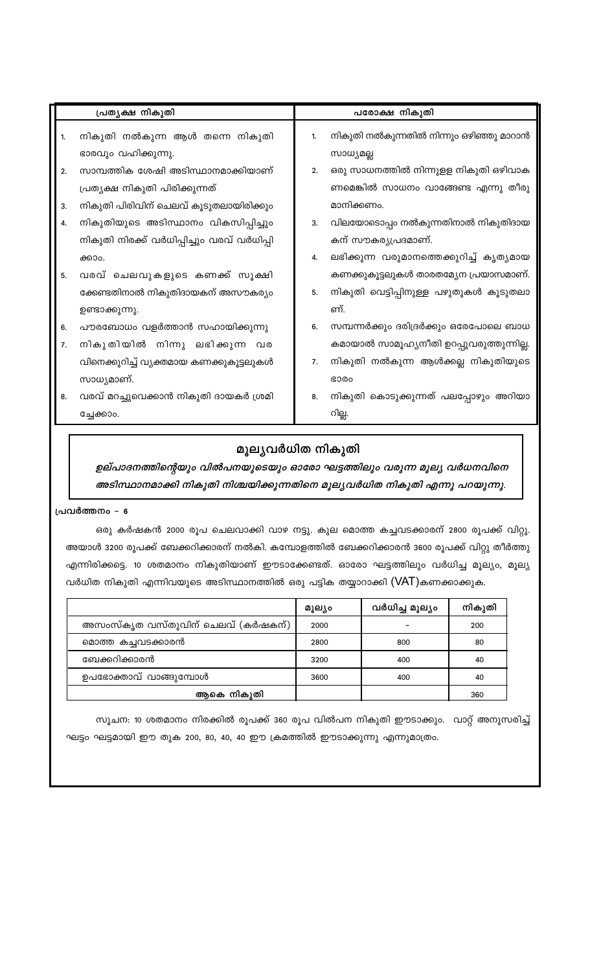| പ്രത്യക്ഷ നികുതി                           |    | പരോക്ഷ നികുതി                            |  |
|--------------------------------------------|----|------------------------------------------|--|
| നികുതി നൽകുന്ന ആൾ തന്നെ നികുതി             | 1. | നികുതി നൽകുന്നതിൽ നിന്നും ഒഴിഞ്ഞു മാറാൻ  |  |
| ഭാരവും വഹിക്കുന്നു.                        |    | സാധ്യമല്ല                                |  |
| സാമ്പത്തിക ശേഷി അടിസ്ഥാനമാക്കിയാണ്         | 2. | ഒരു സാധനത്തിൽ നിന്നുളള നികുതി ഒഴിവാക     |  |
| പ്രത്യക്ഷ നികുതി പിരിക്കുന്നത്             |    | ണമെങ്കിൽ സാധനം വാങ്ങേണ്ട എന്നു തീരു      |  |
| നികുതി പിരിവിന് ചെലവ് കൂടുതലായിരിക്കും     |    | മാനിക്കണം.                               |  |
| നികുതിയുടെ അടിസ്ഥാനം വികസിപ്പിച്ചും        | 3. | വിലയോടൊപ്പം നൽകുന്നതിനാൽ നികുതിദായ       |  |
| നികുതി നിരക്ക് വർധിപ്പിച്ചും വരവ് വർധിപ്പി |    | കന് സൗകര്യപ്രദമാണ്.                      |  |
| ക്കാം.                                     | 4. | ലഭിക്കുന്ന വരുമാനത്തെക്കുറിച്ച് കൃത്യമായ |  |
| വരവ് ചെലവുകളുടെ കണക്ക് സൂക്ഷി              |    | കണക്കുകൂട്ടലുകൾ താരതമ്യേന പ്രയാസമാണ്.    |  |
| ക്കേണ്ടതിനാൽ നികുതിദായകന് അസൗകര്യം         | 5. | നികുതി വെട്ടിപ്പിനുള്ള പഴുതുകൾ കൂടുതലാ   |  |
| ഉണ്ടാക്കുന്നു.                             |    | ണ്.                                      |  |
| പൗരബോധം വളർത്താൻ സഹായിക്കുന്നു             | 6. | സമ്പന്നർക്കും ദരിദ്രർക്കും ഒരേപോലെ ബാധ   |  |
| നികുതിയിൽ നിന്നു ലഭിക്കുന്ന വര             |    | കമായാൽ സാമൂഹ്യനീതി ഉറപ്പുവരുത്തുന്നില്ല. |  |
| വിനെക്കുറിച്ച് വ്യക്തമായ കണക്കുകൂട്ടലുകൾ   | 7. | നികുതി നൽകുന്ന ആൾക്കല്ല നികുതിയുടെ       |  |
| സാധ്യമാണ്.                                 |    | <b>GO00</b>                              |  |
| വരവ് മറച്ചുവെക്കാൻ നികുതി ദായകർ ശ്രമി      | 8. | നികുതി കൊടുക്കുന്നത് പലപ്പോഴും അറിയാ     |  |
| ച്ചേക്കാം.                                 |    | റില്ല.                                   |  |
|                                            |    |                                          |  |

## മൂല്യവർധിത നികുതി

ഉല്പാദനത്തിന്റെയും വിൽപനയുടെയും ഓരോ ഘട്ടത്തിലും വരുന്ന മൂല്യ വർധനവിനെ അടിസ്ഥാനമാക്കി നികുതി നിശ്ചയിക്കുന്നതിനെ മൂല്യവർധിത നികുതി എന്നു പറയുന്നു.

പ്രവർത്തനം - 6

ഒരു കർഷകൻ 2000 രൂപ ചെലവാക്കി വാഴ നട്ടു. കുല മൊത്ത കച്ചവടക്കാരന് 2800 രൂപക്ക് വിറ്റു. അയാൾ 3200 രൂപക്ക് ബേക്കറിക്കാരന് നൽകി. കമ്പോളത്തിൽ ബേക്കറിക്കാരൻ 3600 രൂപക്ക് വിറ്റു തീർത്തു എന്നിരിക്കട്ടെ. 10 ശതമാനം നികുതിയാണ് ഈടാക്കേണ്ടത്. ഓരോ ഘട്ടത്തിലും വർധിച്ച മൂല്യം, മൂല്യ വർധിത നികുതി എന്നിവയുടെ അടിസ്ഥാനത്തിൽ ഒരു പട്ടിക തയ്യാറാക്കി (VAT)കണക്കാക്കുക.

|                                   | മൂല്യം | വർധിച്ച മൂല്യം | നികുതി |
|-----------------------------------|--------|----------------|--------|
| അസംസ്കൃത വസ്തുവിന് ചെലവ് (കർഷകന്) | 2000   |                | 200    |
| മൊത്ത കച്ചവടക്കാരൻ                | 2800   | 800            | 80     |
| ബേക്കറിക്കാരൻ                     | 3200   | 400            | 40     |
| ഉപഭോക്താവ് വാങ്ങുമ്പോൾ            | 3600   | 400            | 40     |
| ആകെ നികൂതി                        |        |                | 360    |

സൂചന: 10 ശതമാനം നിരക്കിൽ രൂപക്ക് 360 രൂപ വിൽപന നികുതി ഈടാക്കും. വാറ്റ് അനുസരിച്ച് ഘട്ടം ഘട്ടമായി ഈ തുക 200, 80, 40, 40 ഈ ക്രമത്തിൽ ഈടാക്കുന്നു എന്നുമാത്രം.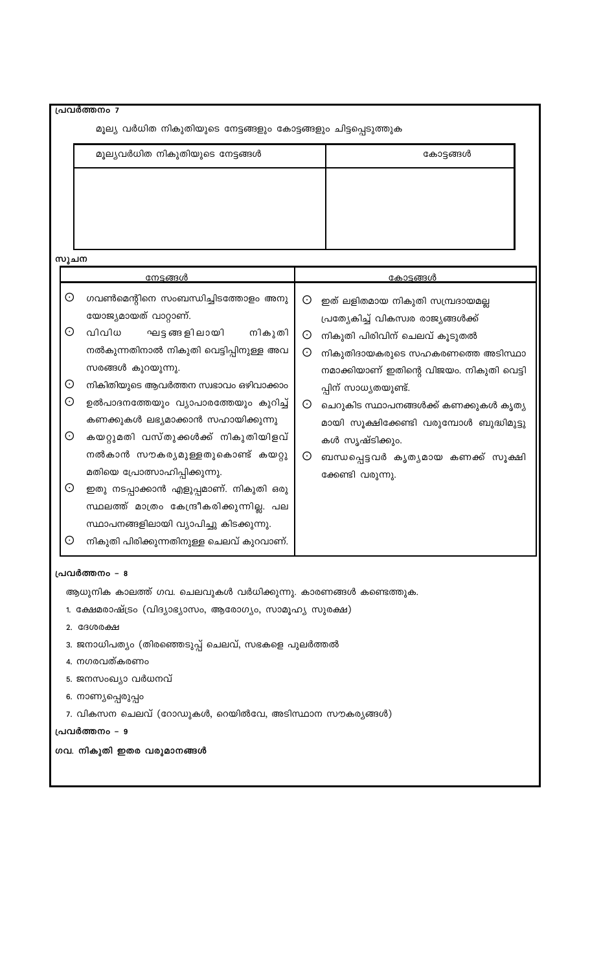| പ്രവർത്തനം 7                                                                    |                                                                                                                                                                                                                                                                                                                                                                                                                                                                                                                                                                                  |                                                                                                                                                                                                                                                                                                                                                                                                                |                |
|---------------------------------------------------------------------------------|----------------------------------------------------------------------------------------------------------------------------------------------------------------------------------------------------------------------------------------------------------------------------------------------------------------------------------------------------------------------------------------------------------------------------------------------------------------------------------------------------------------------------------------------------------------------------------|----------------------------------------------------------------------------------------------------------------------------------------------------------------------------------------------------------------------------------------------------------------------------------------------------------------------------------------------------------------------------------------------------------------|----------------|
| മൂല്യ വർധിത നികുതിയുടെ നേട്ടങ്ങളും കോട്ടങ്ങളും ചിട്ടപ്പെടുത്തുക                 |                                                                                                                                                                                                                                                                                                                                                                                                                                                                                                                                                                                  |                                                                                                                                                                                                                                                                                                                                                                                                                |                |
|                                                                                 | മൂല്യവർധിത നികുതിയുടെ നേട്ടങ്ങൾ                                                                                                                                                                                                                                                                                                                                                                                                                                                                                                                                                  |                                                                                                                                                                                                                                                                                                                                                                                                                | കോട്ടങ്ങൾ      |
| സൂചന                                                                            |                                                                                                                                                                                                                                                                                                                                                                                                                                                                                                                                                                                  |                                                                                                                                                                                                                                                                                                                                                                                                                |                |
|                                                                                 | <u>നേട്ടങ്ങൾ</u>                                                                                                                                                                                                                                                                                                                                                                                                                                                                                                                                                                 |                                                                                                                                                                                                                                                                                                                                                                                                                | <u>കോടങ്ങൾ</u> |
| $_{\odot}$<br>⊙<br>⊙<br>$_{\odot}$<br>$_{\odot}$<br>$_{\odot}$<br>⊙             | ഗവൺമെന്റിനെ സംബന്ധിച്ചിടത്തോളം അനു<br>യോജ്യമായത് വാറ്റാണ്.<br>വിവിധ<br>ഘട്ടങ്ങളിലായി<br>നികുതി<br>നൽകുന്നതിനാൽ നികുതി വെട്ടിപ്പിനുള്ള അവ<br>സരങ്ങൾ കുറയുന്നു.<br>നികിതിയുടെ ആവർത്തന സ്വഭാവം ഒഴിവാക്കാം<br>ഉൽപാദനത്തേയും വ്യാപാരത്തേയും കുറിച്ച്<br>കണക്കുകൾ ലഭ്യമാക്കാൻ സഹായിക്കുന്നു<br>കയറ്റുമതി വസ്തുക്കൾക്ക് നികുതിയിളവ്<br>നൽകാൻ സൗകര്യമുള്ളതുകൊണ്ട് കയറ്റു<br>മതിയെ പ്രോത്സാഹിപ്പിക്കുന്നു.<br>ഇതു നടപ്പാക്കാൻ എളുപ്പമാണ്. നികുതി ഒരു<br>സ്ഥലത്ത് മാത്രം കേന്ദ്രീകരിക്കുന്നില്ല. പല<br>സ്ഥാപനങ്ങളിലായി വ്യാപിച്ചു കിടക്കുന്നു.<br>നികുതി പിരിക്കുന്നതിനുള്ള ചെലവ് കുറവാണ്. | 0<br>ഇത് ലളിതമായ നികുതി സമ്പ്രദായമല്ല<br>പ്രത്യേകിച്ച് വികസ്വര രാജ്യങ്ങൾക്ക്<br>നികുതി പിരിവിന് ചെലവ് കൂടുതൽ<br>⊙<br>0<br>നികുതിദായകരുടെ സഹകരണത്തെ അടിസ്ഥാ<br>നമാക്കിയാണ് ഇതിന്റെ വിജയം. നികുതി വെട്ടി<br>പ്പിന് സാധ്യതയുണ്ട്.<br>0<br>ചെറുകിട സ്ഥാപനങ്ങൾക്ക് കണക്കുകൾ കൃത്യ<br>മായി സൂക്ഷിക്കേണ്ടി വരുമ്പോൾ ബുദ്ധിമുട്ടു<br>കൾ സൃഷ്ടിക്കും.<br>0<br>ബന്ധപ്പെട്ടവർ കൃത്യമായ കണക്ക് സൂക്ഷി<br>ക്കേണ്ടി വരുന്നു. |                |
| പ്രവർത്തനം - 8<br>ആധുനിക കാലത്ത് ഗവ. ചെലവുകൾ വർധിക്കുന്നു. കാരണങ്ങൾ കണ്ടെത്തുക. |                                                                                                                                                                                                                                                                                                                                                                                                                                                                                                                                                                                  |                                                                                                                                                                                                                                                                                                                                                                                                                |                |
|                                                                                 | 1. ക്ഷേമരാഷ്ട്രം (വിദ്യാഭ്യാസം, ആരോഗ്യം, സാമൂഹ്യ സുരക്ഷ)                                                                                                                                                                                                                                                                                                                                                                                                                                                                                                                         |                                                                                                                                                                                                                                                                                                                                                                                                                |                |
|                                                                                 | 2. ദേശരക്ഷ                                                                                                                                                                                                                                                                                                                                                                                                                                                                                                                                                                       |                                                                                                                                                                                                                                                                                                                                                                                                                |                |
|                                                                                 | 3. ജനാധിപത്യം (തിരഞ്ഞെടുപ്പ് ചെലവ്, സഭകളെ പുലർത്തൽ                                                                                                                                                                                                                                                                                                                                                                                                                                                                                                                               |                                                                                                                                                                                                                                                                                                                                                                                                                |                |
|                                                                                 | 4. നഗരവത്കരണം                                                                                                                                                                                                                                                                                                                                                                                                                                                                                                                                                                    |                                                                                                                                                                                                                                                                                                                                                                                                                |                |
|                                                                                 | 5. ജനസംഖ്യാ വർധനവ്                                                                                                                                                                                                                                                                                                                                                                                                                                                                                                                                                               |                                                                                                                                                                                                                                                                                                                                                                                                                |                |
|                                                                                 | 6. നാണ്യപ്പെരുപ്പം                                                                                                                                                                                                                                                                                                                                                                                                                                                                                                                                                               |                                                                                                                                                                                                                                                                                                                                                                                                                |                |

7. വികസന ചെലവ് (റോഡുകൾ, റെയിൽവേ, അടിസ്ഥാന സൗകര്യങ്ങൾ)

പ്രവർത്തനം - 9

ഗവ. നികുതി ഇതര വരുമാനങ്ങൾ